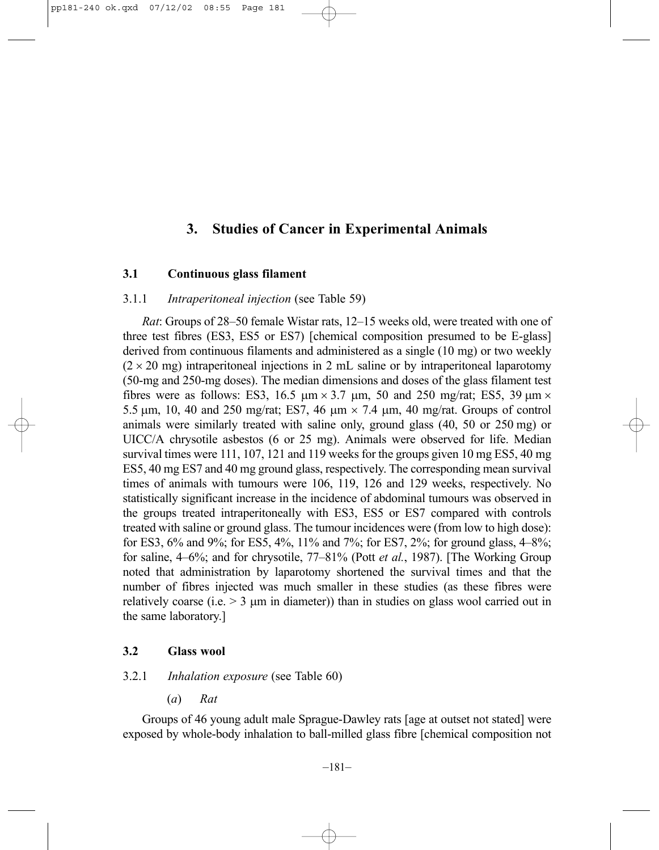# **3. Studies of Cancer in Experimental Animals**

# **3.1 Continuous glass filament**

### 3.1.1 *Intraperitoneal injection* (see Table 59)

*Rat*: Groups of 28–50 female Wistar rats, 12–15 weeks old, were treated with one of three test fibres (ES3, ES5 or ES7) [chemical composition presumed to be E-glass] derived from continuous filaments and administered as a single (10 mg) or two weekly  $(2 \times 20 \text{ mg})$  intraperitoneal injections in 2 mL saline or by intraperitoneal laparotomy (50-mg and 250-mg doses). The median dimensions and doses of the glass filament test fibres were as follows: ES3, 16.5  $\mu$ m × 3.7  $\mu$ m, 50 and 250 mg/rat; ES5, 39  $\mu$ m × 5.5 µm, 10, 40 and 250 mg/rat; ES7, 46 µm × 7.4 µm, 40 mg/rat. Groups of control animals were similarly treated with saline only, ground glass (40, 50 or 250 mg) or UICC/A chrysotile asbestos (6 or 25 mg). Animals were observed for life. Median survival times were 111, 107, 121 and 119 weeks for the groups given 10 mg ES5, 40 mg ES5, 40 mg ES7 and 40 mg ground glass, respectively. The corresponding mean survival times of animals with tumours were 106, 119, 126 and 129 weeks, respectively. No statistically significant increase in the incidence of abdominal tumours was observed in the groups treated intraperitoneally with ES3, ES5 or ES7 compared with controls treated with saline or ground glass. The tumour incidences were (from low to high dose): for ES3, 6% and 9%; for ES5, 4%, 11% and 7%; for ES7, 2%; for ground glass, 4–8%; for saline, 4–6%; and for chrysotile, 77–81% (Pott *et al.*, 1987). [The Working Group noted that administration by laparotomy shortened the survival times and that the number of fibres injected was much smaller in these studies (as these fibres were relatively coarse (i.e.  $> 3 \mu m$  in diameter)) than in studies on glass wool carried out in the same laboratory.]

# **3.2 Glass wool**

# 3.2.1 *Inhalation exposure* (see Table 60)

(*a*) *Rat*

Groups of 46 young adult male Sprague-Dawley rats [age at outset not stated] were exposed by whole-body inhalation to ball-milled glass fibre [chemical composition not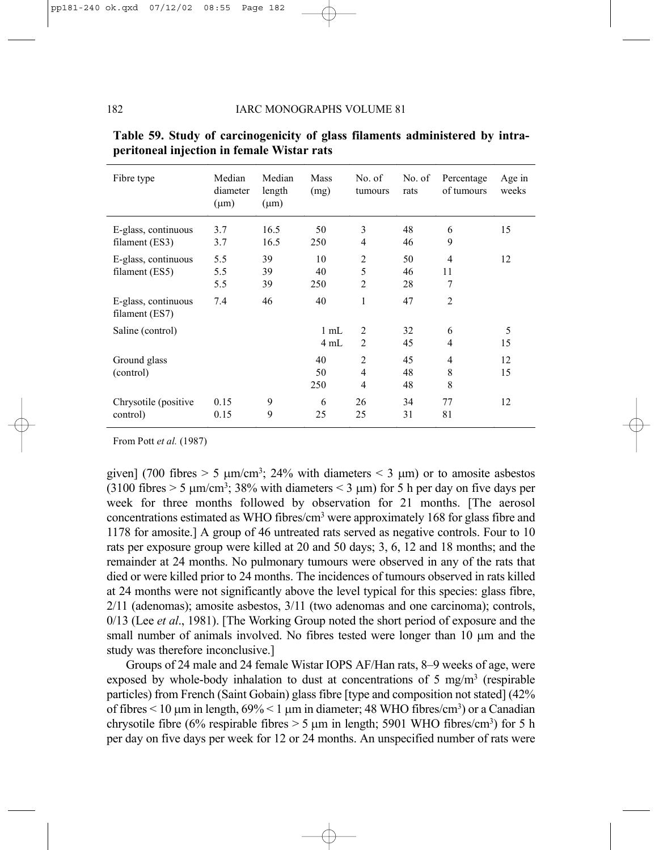| Fibre type                              | Median<br>diameter<br>$(\mu m)$ | Median<br>length<br>$(\mu m)$ | Mass<br>(mg)           | No. of<br>tumours                                  | No. of<br>rats | Percentage<br>of tumours | Age in<br>weeks |
|-----------------------------------------|---------------------------------|-------------------------------|------------------------|----------------------------------------------------|----------------|--------------------------|-----------------|
| E-glass, continuous<br>filament $(ES3)$ | 3.7<br>3.7                      | 16.5<br>16.5                  | 50<br>250              | 3<br>$\overline{4}$                                | 48<br>46       | 6<br>9                   | 15              |
| E-glass, continuous<br>filament $(ES5)$ | 5.5<br>5.5<br>5.5               | 39<br>39<br>39                | 10<br>40<br>250        | $\overline{2}$<br>5<br>$\overline{2}$              | 50<br>46<br>28 | 4<br>11<br>7             | 12              |
| E-glass, continuous<br>filament $(ES7)$ | 7.4                             | 46                            | 40                     | 1                                                  | 47             | $\overline{2}$           |                 |
| Saline (control)                        |                                 |                               | $1 \text{ mL}$<br>4 mL | 2<br>2                                             | 32<br>45       | 6<br>4                   | 5<br>15         |
| Ground glass<br>(control)               |                                 |                               | 40<br>50<br>250        | $\overline{2}$<br>$\overline{4}$<br>$\overline{4}$ | 45<br>48<br>48 | 4<br>8<br>8              | 12<br>15        |
| Chrysotile (positive)<br>control)       | 0.15<br>0.15                    | 9<br>9                        | 6<br>25                | 26<br>25                                           | 34<br>31       | 77<br>81                 | 12              |

|                                            |  |  |  | Table 59. Study of carcinogenicity of glass filaments administered by intra- |  |
|--------------------------------------------|--|--|--|------------------------------------------------------------------------------|--|
| peritoneal injection in female Wistar rats |  |  |  |                                                                              |  |

From Pott *et al.* (1987)

given] (700 fibres  $> 5 \mu m/cm^3$ ; 24% with diameters  $< 3 \mu m$ ) or to amosite asbestos (3100 fibres  $> 5 \mu m/cm<sup>3</sup>$ ; 38% with diameters  $< 3 \mu m$ ) for 5 h per day on five days per week for three months followed by observation for 21 months. [The aerosol concentrations estimated as WHO fibres/cm3 were approximately 168 for glass fibre and 1178 for amosite.] A group of 46 untreated rats served as negative controls. Four to 10 rats per exposure group were killed at 20 and 50 days; 3, 6, 12 and 18 months; and the remainder at 24 months. No pulmonary tumours were observed in any of the rats that died or were killed prior to 24 months. The incidences of tumours observed in rats killed at 24 months were not significantly above the level typical for this species: glass fibre, 2/11 (adenomas); amosite asbestos, 3/11 (two adenomas and one carcinoma); controls, 0/13 (Lee *et al*., 1981). [The Working Group noted the short period of exposure and the small number of animals involved. No fibres tested were longer than 10 µm and the study was therefore inconclusive.]

Groups of 24 male and 24 female Wistar IOPS AF/Han rats, 8–9 weeks of age, were exposed by whole-body inhalation to dust at concentrations of 5 mg/m<sup>3</sup> (respirable particles) from French (Saint Gobain) glass fibre [type and composition not stated] (42% of fibres  $\leq 10 \,\mu m$  in length,  $69\% \leq 1 \,\mu m$  in diameter; 48 WHO fibres/cm<sup>3</sup>) or a Canadian chrysotile fibre (6% respirable fibres  $> 5 \mu$ m in length; 5901 WHO fibres/cm<sup>3</sup>) for 5 h per day on five days per week for 12 or 24 months. An unspecified number of rats were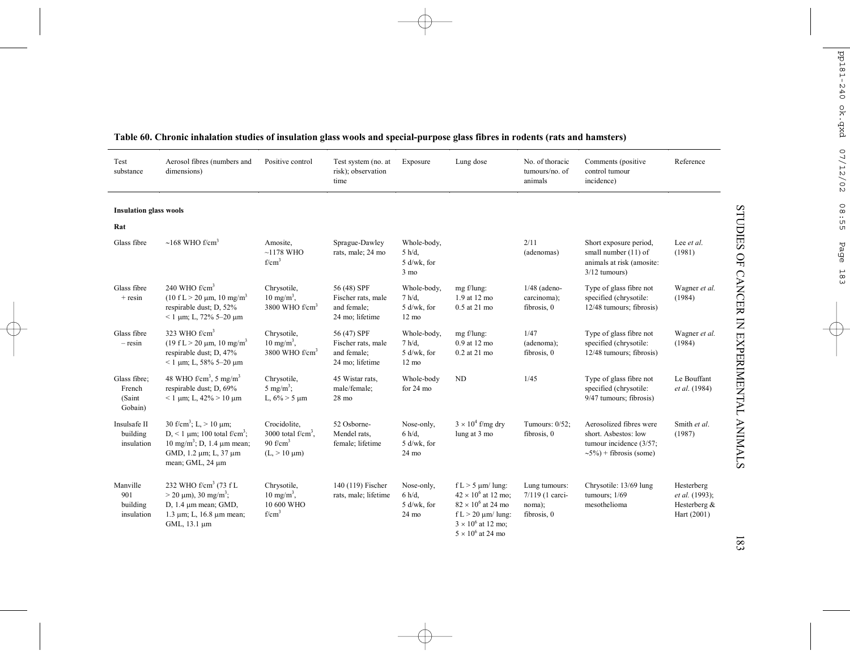| Test<br>substance                           | Aerosol fibres (numbers and<br>dimensions)                                                                                                                                                | Positive control                                                        | Test system (no. at<br>risk); observation<br>time                   | Exposure                                                   | Lung dose                                                                                                                                                            | No. of thoracic<br>tumours/no. of<br>animals              | Comments (positive<br>control tumour<br>incidence)                                                         | Reference                                                   |
|---------------------------------------------|-------------------------------------------------------------------------------------------------------------------------------------------------------------------------------------------|-------------------------------------------------------------------------|---------------------------------------------------------------------|------------------------------------------------------------|----------------------------------------------------------------------------------------------------------------------------------------------------------------------|-----------------------------------------------------------|------------------------------------------------------------------------------------------------------------|-------------------------------------------------------------|
| <b>Insulation glass wools</b>               |                                                                                                                                                                                           |                                                                         |                                                                     |                                                            |                                                                                                                                                                      |                                                           |                                                                                                            |                                                             |
| Rat                                         |                                                                                                                                                                                           |                                                                         |                                                                     |                                                            |                                                                                                                                                                      |                                                           |                                                                                                            |                                                             |
| Glass fibre                                 | $\sim$ 168 WHO f/cm <sup>3</sup>                                                                                                                                                          | Amosite,<br>$~1178$ WHO<br>f/cm <sup>3</sup>                            | Sprague-Dawley<br>rats, male; 24 mo                                 | Whole-body,<br>$5 h/d$ ,<br>5 d/wk, for<br>$3 \text{ mo}$  |                                                                                                                                                                      | 2/11<br>(adenomas)                                        | Short exposure period,<br>small number (11) of<br>animals at risk (amosite:<br>$3/12$ tumours)             | Lee et al.<br>(1981)                                        |
| Glass fibre<br>$+$ resin                    | 240 WHO $f/cm3$<br>$(10 fL > 20 \mu m, 10 mg/m3)$<br>respirable dust; D, 52%<br>$<$ 1 µm; L, 72% 5-20 µm                                                                                  | Chrysotile,<br>$10 \text{ mg/m}^3$ ,<br>3800 WHO $f/cm3$                | 56 (48) SPF<br>Fischer rats, male<br>and female;<br>24 mo; lifetime | Whole-body,<br>7 h/d.<br>5 d/wk, for<br>$12 \text{ mo}$    | mg f/lung:<br>1.9 at 12 mo<br>0.5 at 21 mo                                                                                                                           | $1/48$ (adeno-<br>carcinoma);<br>fibrosis, 0              | Type of glass fibre not<br>specified (chrysotile:<br>12/48 tumours; fibrosis)                              | Wagner et al.<br>(1984)                                     |
| Glass fibre<br>$-$ resin                    | 323 WHO $f/cm3$<br>$(19 \text{ f L} > 20 \text{ µm}, 10 \text{ mg/m}^3)$<br>respirable dust; D, 47%<br>$<$ 1 µm; L, 58% 5-20 µm                                                           | Chrysotile,<br>$10 \text{ mg/m}^3$ ,<br>3800 WHO $f/cm3$                | 56 (47) SPF<br>Fischer rats, male<br>and female;<br>24 mo; lifetime | Whole-body,<br>$7 h/d$ ,<br>5 d/wk, for<br>$12 \text{ mo}$ | mg f/lung:<br>0.9 at 12 mo<br>0.2 at 21 mo                                                                                                                           | 1/47<br>(adenoma);<br>fibrosis, 0                         | Type of glass fibre not<br>specified (chrysotile:<br>12/48 tumours; fibrosis)                              | Wagner et al.<br>(1984)                                     |
| Glass fibre;<br>French<br>(Saint<br>Gobain) | 48 WHO f/cm <sup>3</sup> , 5 mg/m <sup>3</sup><br>respirable dust; D, 69%<br>$< 1 \mu m$ ; L, 42% $> 10 \mu m$                                                                            | Chrysotile,<br>5 mg/m <sup>3</sup> ;<br>L, $6\% > 5 \mu m$              | 45 Wistar rats,<br>male/female;<br>$28 \text{ mo}$                  | Whole-body<br>for 24 mo                                    | <b>ND</b>                                                                                                                                                            | 1/45                                                      | Type of glass fibre not<br>specified (chrysotile:<br>9/47 tumours; fibrosis)                               | Le Bouffant<br>et al. (1984)                                |
| Insulsafe II<br>building<br>insulation      | 30 f/cm <sup>3</sup> ; L, $> 10 \text{ µm}$ ;<br>D, < 1 $\mu$ m; 100 total f/cm <sup>3</sup> ;<br>$10 \text{ mg/m}^3$ ; D, 1.4 $\mu$ m mean;<br>GMD, 1.2 μm; L, 37 μm<br>mean; GML, 24 µm | Crocidolite,<br>3000 total $f/cm3$ .<br>90 $f/cm3$<br>$(L > 10 \mu m)$  | 52 Osborne-<br>Mendel rats,<br>female; lifetime                     | Nose-only,<br>$6 h/d$ ,<br>5 d/wk, for<br>24 mo            | $3 \times 10^4$ f/mg dry<br>lung at 3 mo                                                                                                                             | Tumours: 0/52;<br>fibrosis, 0                             | Aerosolized fibres were<br>short. Asbestos: low<br>tumour incidence (3/57;<br>$\sim$ 5%) + fibrosis (some) | Smith et al.<br>(1987)                                      |
| Manville<br>901<br>building<br>insulation   | 232 WHO f/cm <sup>3</sup> (73 f L<br>$>$ 20 $\mu$ m), 30 mg/m <sup>3</sup> ;<br>$D$ , 1.4 $\mu$ m mean; GMD,<br>$1.3 \mu m$ ; L, $16.8 \mu m$ mean;<br>GML, 13.1 um                       | Chrysotile,<br>$10 \text{ mg/m}^3$ ,<br>10 600 WHO<br>f/cm <sup>3</sup> | 140 (119) Fischer<br>rats, male; lifetime                           | Nose-only,<br>6 h/d.<br>5 d/wk, for<br>24 mo               | $f L > 5$ µm/ lung:<br>$42 \times 10^6$ at 12 mo:<br>$82 \times 10^6$ at 24 mo<br>f L $>$ 20 $\mu$ m/ lung:<br>$3 \times 10^6$ at 12 mo;<br>$5 \times 10^6$ at 24 mo | Lung tumours:<br>7/119 (1 carci-<br>noma);<br>fibrosis, 0 | Chrysotile: 13/69 lung<br>tumours: $1/69$<br>mesothelioma                                                  | Hesterberg<br>et al. (1993);<br>Hesterberg &<br>Hart (2001) |

# **Table 60. Chronic inhalation studies of insulation glass wools and special-purpose glass fibres in rodents (rats and hamsters)**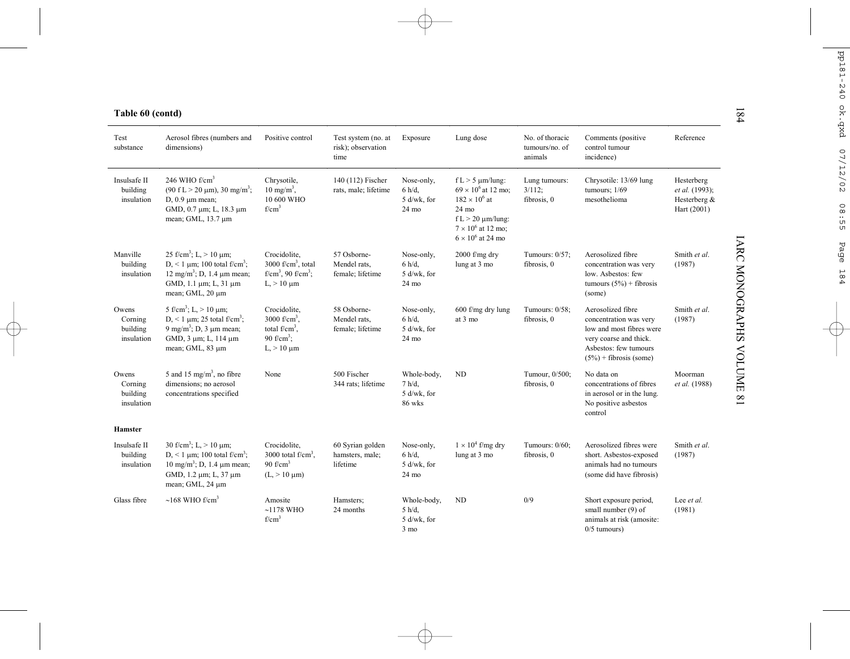| Table 60 (contd)                           |                                                                                                                                                                                      |                                                                                                                          |                                                   |                                                        |                                                                                                                                                                           |                                              |                                                                                                                                                         |                                                             |
|--------------------------------------------|--------------------------------------------------------------------------------------------------------------------------------------------------------------------------------------|--------------------------------------------------------------------------------------------------------------------------|---------------------------------------------------|--------------------------------------------------------|---------------------------------------------------------------------------------------------------------------------------------------------------------------------------|----------------------------------------------|---------------------------------------------------------------------------------------------------------------------------------------------------------|-------------------------------------------------------------|
| Test<br>substance                          | Aerosol fibres (numbers and<br>dimensions)                                                                                                                                           | Positive control                                                                                                         | Test system (no. at<br>risk); observation<br>time | Exposure                                               | Lung dose                                                                                                                                                                 | No. of thoracic<br>tumours/no. of<br>animals | Comments (positive<br>control tumour<br>incidence)                                                                                                      | Reference                                                   |
| Insulsafe II<br>building<br>insulation     | 246 WHO $f/cm3$<br>$(90 \text{ f L} > 20 \text{ µm})$ , 30 mg/m <sup>3</sup> ;<br>$D, 0.9$ $\mu$ m mean;<br>GMD, 0.7 μm; L, 18.3 μm<br>mean; GML, 13.7 µm                            | Chrysotile,<br>$10 \text{ mg/m}^3$ ,<br>10 600 WHO<br>f/cm <sup>3</sup>                                                  | 140 (112) Fischer<br>rats, male; lifetime         | Nose-only,<br>6 h/d.<br>5 d/wk, for<br>24 mo           | $f L > 5 \mu m/lung$ :<br>$69 \times 10^6$ at 12 mo;<br>$182 \times 10^{6}$ at<br>24 mo<br>$f L > 20 \mu m/l$ ung:<br>$7 \times 10^6$ at 12 mo;<br>$6\times10^6$ at 24 mo | Lung tumours:<br>3/112;<br>fibrosis, 0       | Chrysotile: 13/69 lung<br>tumours; $1/69$<br>mesothelioma                                                                                               | Hesterberg<br>et al. (1993);<br>Hesterberg &<br>Hart (2001) |
| Manville<br>building<br>insulation         | 25 f/cm <sup>3</sup> ; L, $> 10 \mu$ m;<br>D, < 1 $\mu$ m; 100 total f/cm <sup>3</sup> ;<br>$12 \text{ mg/m}^3$ ; D, 1.4 $\mu$ m mean;<br>GMD, 1.1 μm; L, 31 μm<br>mean; GML, 20 µm  | Crocidolite.<br>3000 f/cm <sup>3</sup> , total<br>f/cm <sup>3</sup> , 90 f/cm <sup>3</sup> ;<br>$L_{\rm h}$ > 10 $\mu$ m | 57 Osborne-<br>Mendel rats,<br>female; lifetime   | Nose-only,<br>$6 h/d$ ,<br>5 d/wk, for<br>24 mo        | 2000 f/mg dry<br>lung at 3 mo                                                                                                                                             | Tumours: 0/57;<br>fibrosis, 0                | Aerosolized fibre<br>concentration was very<br>low. Asbestos: few<br>tumours $(5\%)$ + fibrosis<br>(some)                                               | Smith et al.<br>(1987)                                      |
| Owens<br>Corning<br>building<br>insulation | 5 f/cm <sup>3</sup> ; L, $> 10 \mu$ m;<br>D, < 1 $\mu$ m; 25 total f/cm <sup>3</sup> ;<br>9 mg/m <sup>3</sup> ; D, 3 $\mu$ m mean;<br>GMD, 3 µm; L, 114 µm<br>mean; GML, 83 µm       | Crocidolite,<br>3000 $f/cm^3$ .<br>total $f/cm^3$ .<br>90 f/cm <sup>3</sup> :<br>$L_{\rm s}$ > 10 $\mu$ m                | 58 Osborne-<br>Mendel rats,<br>female; lifetime   | Nose-only,<br>6 h/d.<br>5 d/wk, for<br>24 mo           | 600 f/mg dry lung<br>at 3 mo                                                                                                                                              | Tumours: 0/58;<br>fibrosis, 0                | Aerosolized fibre<br>concentration was very<br>low and most fibres were<br>very coarse and thick.<br>Asbestos: few tumours<br>$(5\%)$ + fibrosis (some) | Smith et al.<br>(1987)                                      |
| Owens<br>Corning<br>building<br>insulation | 5 and 15 mg/m <sup>3</sup> , no fibre<br>dimensions; no aerosol<br>concentrations specified                                                                                          | None                                                                                                                     | 500 Fischer<br>344 rats; lifetime                 | Whole-body,<br>7 h/d.<br>5 d/wk, for<br>86 wks         | <b>ND</b>                                                                                                                                                                 | Tumour, 0/500;<br>fibrosis, 0                | No data on<br>concentrations of fibres<br>in aerosol or in the lung.<br>No positive asbestos<br>control                                                 | Moorman<br>et al. (1988)                                    |
| Hamster                                    |                                                                                                                                                                                      |                                                                                                                          |                                                   |                                                        |                                                                                                                                                                           |                                              |                                                                                                                                                         |                                                             |
| Insulsafe II<br>building<br>insulation     | 30 f/cm <sup>3</sup> ; L, $> 10 \mu$ m;<br>D, < 1 $\mu$ m; 100 total f/cm <sup>3</sup> ;<br>10 mg/m <sup>3</sup> ; D, 1.4 $\mu$ m mean;<br>GMD, 1.2 μm; L, 37 μm<br>mean; GML, 24 µm | Crocidolite,<br>3000 total $f/cm3$ .<br>90 $f/cm3$<br>$(L > 10 \mu m)$                                                   | 60 Syrian golden<br>hamsters, male;<br>lifetime   | Nose-only,<br>6 h/d.<br>5 d/wk, for<br>$24 \text{ mo}$ | $1 \times 10^4$ f/mg dry<br>lung at 3 mo                                                                                                                                  | Tumours: 0/60;<br>fibrosis, 0                | Aerosolized fibres were<br>short. Asbestos-exposed<br>animals had no tumours<br>(some did have fibrosis)                                                | Smith et al.<br>(1987)                                      |
| Glass fibre                                | $\sim$ 168 WHO f/cm <sup>3</sup>                                                                                                                                                     | Amosite<br>$~1178$ WHO<br>$f/cm^3$                                                                                       | Hamsters:<br>24 months                            | Whole-body,<br>5 h/d.<br>5 d/wk, for<br>$3 \text{ mo}$ | <b>ND</b>                                                                                                                                                                 | 0/9                                          | Short exposure period,<br>small number (9) of<br>animals at risk (amosite:<br>$0/5$ tumours)                                                            | Lee et al.<br>(1981)                                        |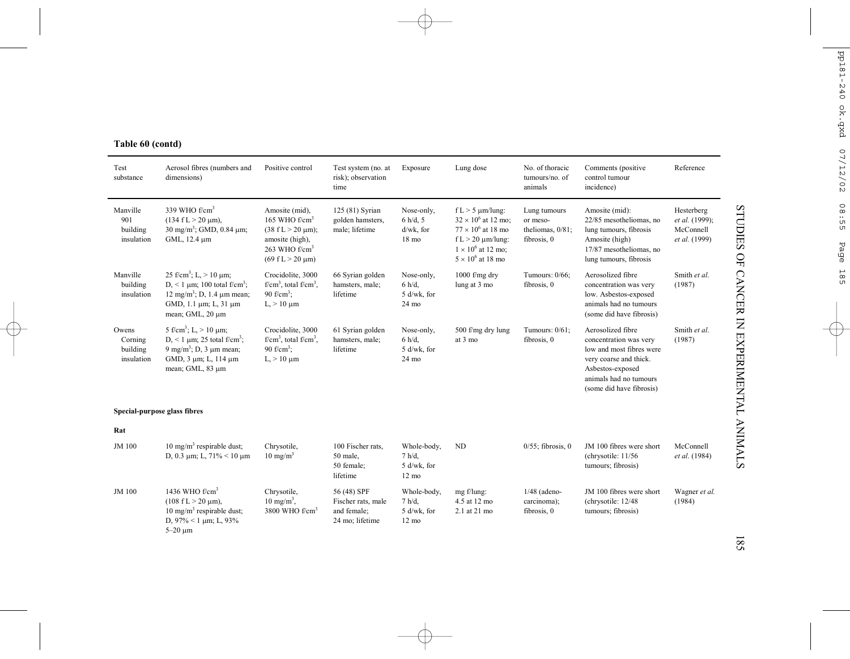# **Table 60 (contd)**

| Test<br>substance                          | Aerosol fibres (numbers and<br>dimensions)                                                                                                                                          | Positive control                                                                                                                                                | Test system (no. at<br>risk); observation<br>time                   | Exposure                                                  | Lung dose                                                                                                                                                            | No. of thoracic<br>tumours/no. of<br>animals                   | Comments (positive)<br>control tumour<br>incidence)                                                                                                                         | Reference                                                  |
|--------------------------------------------|-------------------------------------------------------------------------------------------------------------------------------------------------------------------------------------|-----------------------------------------------------------------------------------------------------------------------------------------------------------------|---------------------------------------------------------------------|-----------------------------------------------------------|----------------------------------------------------------------------------------------------------------------------------------------------------------------------|----------------------------------------------------------------|-----------------------------------------------------------------------------------------------------------------------------------------------------------------------------|------------------------------------------------------------|
| Manville<br>901<br>building<br>insulation  | 339 WHO $f/cm3$<br>$(134 \text{ f L} > 20 \text{ µm})$ ,<br>$30 \text{ mg/m}^3$ ; GMD, 0.84 $\mu$ m;<br>GML, 12.4 µm                                                                | Amosite (mid).<br>165 WHO $f/cm3$<br>$(38 \text{ f L} > 20 \text{ µm})$ ;<br>amosite (high),<br>263 WHO f/cm <sup>3</sup><br>$(69 \text{ f L} > 20 \text{ µm})$ | 125 (81) Syrian<br>golden hamsters.<br>male; lifetime               | Nose-only,<br>$6 h/d$ , 5<br>d/wk, for<br>18 mo           | $f L > 5 \mu m/lung$ :<br>$32 \times 10^6$ at 12 mo;<br>$77 \times 10^6$ at 18 mo<br>f L > 20 $\mu$ m/lung:<br>$1 \times 10^6$ at 12 mo:<br>$5 \times 10^6$ at 18 mo | Lung tumours<br>or meso-<br>theliomas, $0/81$ ;<br>fibrosis, 0 | Amosite (mid):<br>22/85 mesotheliomas, no<br>lung tumours, fibrosis<br>Amosite (high)<br>17/87 mesotheliomas, no<br>lung tumours, fibrosis                                  | Hesterberg<br>et al. (1999);<br>McConnell<br>et al. (1999) |
| Manville<br>building<br>insulation         | 25 f/cm <sup>3</sup> ; L, $> 10 \mu$ m;<br>D, < 1 $\mu$ m; 100 total f/cm <sup>3</sup> ;<br>$12 \text{ mg/m}^3$ ; D, 1.4 $\mu$ m mean;<br>GMD, 1.1 µm; L, 31 µm<br>mean; GML, 20 µm | Crocidolite, 3000<br>f/cm <sup>3</sup> , total f/cm <sup>3</sup> ,<br>90 f/cm <sup>3</sup> :<br>$L > 10 \mu m$                                                  | 66 Syrian golden<br>hamsters, male;<br>lifetime                     | Nose-only,<br>$6 h/d$ ,<br>5 d/wk, for<br>$24 \text{ mo}$ | $1000$ f/mg dry<br>lung at 3 mo                                                                                                                                      | Tumours: 0/66:<br>fibrosis, 0                                  | Aerosolized fibre<br>concentration was very<br>low. Asbestos-exposed<br>animals had no tumours<br>(some did have fibrosis)                                                  | Smith et al.<br>(1987)                                     |
| Owens<br>Corning<br>building<br>insulation | 5 f/cm <sup>3</sup> ; L, $> 10 \mu$ m;<br>D, < 1 $\mu$ m; 25 total f/cm <sup>3</sup> ;<br>9 mg/m <sup>3</sup> ; D, 3 $\mu$ m mean;<br>GMD, 3 μm; L, 114 μm<br>mean; GML, 83 µm      | Crocidolite, 3000<br>$f/cm3$ , total $f/cm3$ ,<br>90 f/cm <sup>3</sup> :<br>$L > 10 \mu m$                                                                      | 61 Syrian golden<br>hamsters, male;<br>lifetime                     | Nose-only,<br>$6 h/d$ ,<br>5 d/wk, for<br>24 mo           | 500 f/mg dry lung<br>at 3 mo                                                                                                                                         | Tumours: 0/61:<br>fibrosis, 0                                  | Aerosolized fibre<br>concentration was very<br>low and most fibres were<br>very coarse and thick.<br>Asbestos-exposed<br>animals had no tumours<br>(some did have fibrosis) | Smith et al.<br>(1987)                                     |
|                                            | Special-purpose glass fibres                                                                                                                                                        |                                                                                                                                                                 |                                                                     |                                                           |                                                                                                                                                                      |                                                                |                                                                                                                                                                             |                                                            |
| Rat                                        |                                                                                                                                                                                     |                                                                                                                                                                 |                                                                     |                                                           |                                                                                                                                                                      |                                                                |                                                                                                                                                                             |                                                            |
| JM 100                                     | 10 mg/m <sup>3</sup> respirable dust;<br>D, 0.3 $\mu$ m; L, 71% < 10 $\mu$ m                                                                                                        | Chrysotile,<br>$10 \text{ mg/m}^3$                                                                                                                              | 100 Fischer rats.<br>50 male,<br>50 female;<br>lifetime             | Whole-body,<br>7 h/d.<br>5 d/wk, for<br>$12 \text{ mo}$   | N <sub>D</sub>                                                                                                                                                       | $0/55$ ; fibrosis, 0                                           | JM 100 fibres were short<br>(chrysotile: $11/56$<br>tumours; fibrosis)                                                                                                      | McConnell<br>et al. (1984)                                 |
| JM 100                                     | 1436 WHO $f/cm3$<br>$(108 \text{ f L} > 20 \text{ }\mu\text{m})$ ,<br>10 mg/m <sup>3</sup> respirable dust;<br>D, $97\% < 1$ µm; L, $93\%$<br>$5-20 \mu m$                          | Chrysotile,<br>$10 \text{ mg/m}^3$ ,<br>3800 WHO $f/cm3$                                                                                                        | 56 (48) SPF<br>Fischer rats, male<br>and female;<br>24 mo; lifetime | Whole-body,<br>7 h/d.<br>5 d/wk, for<br>$12 \text{ mo}$   | mg f/lung:<br>4.5 at 12 mo<br>2.1 at 21 mo                                                                                                                           | $1/48$ (adeno-<br>carcinoma);<br>fibrosis, 0                   | JM 100 fibres were short<br>(chrysotile: 12/48<br>tumours; fibrosis)                                                                                                        | Wagner et al.<br>(1984)                                    |

STUDIES OF CANCER IN EXPERIMENTAL ANIMALS STUDIES OF CANCER IN EXPERIMENTAL ANIMALS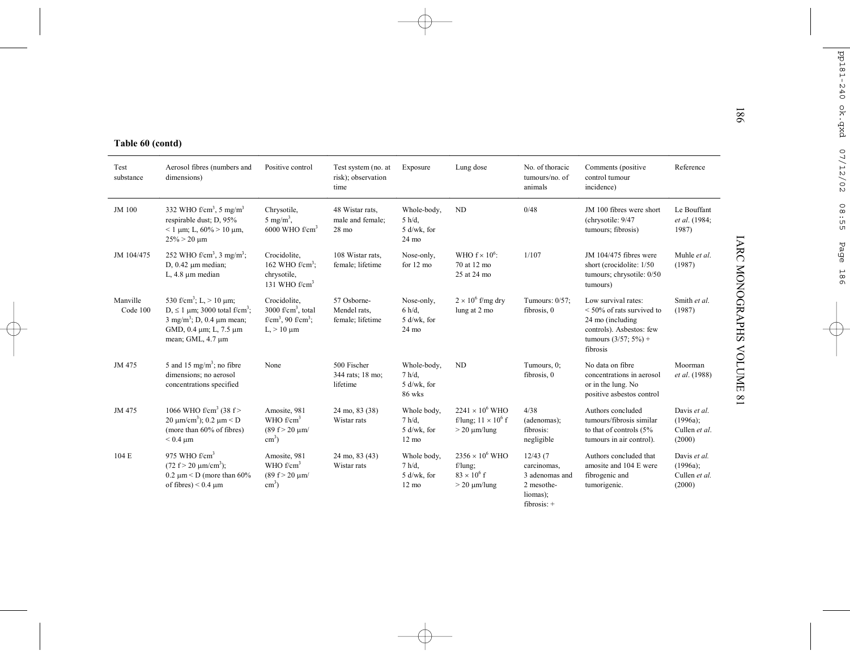| Table 60 (contd)<br>Test<br>substance | Aerosol fibres (numbers and<br>dimensions)                                                                                                                                             | Positive control                                                                                     | Test system (no. at<br>risk); observation              | Exposure                                                   | Lung dose                                                                        | No. of thoracic<br>tumours/no. of                                                    | Comments (positive<br>control tumour                                                                                                      | Reference                                              |
|---------------------------------------|----------------------------------------------------------------------------------------------------------------------------------------------------------------------------------------|------------------------------------------------------------------------------------------------------|--------------------------------------------------------|------------------------------------------------------------|----------------------------------------------------------------------------------|--------------------------------------------------------------------------------------|-------------------------------------------------------------------------------------------------------------------------------------------|--------------------------------------------------------|
|                                       |                                                                                                                                                                                        |                                                                                                      | time                                                   |                                                            |                                                                                  | animals                                                                              | incidence)                                                                                                                                |                                                        |
| JM 100                                | 332 WHO $f/cm3$ , 5 mg/m <sup>3</sup><br>respirable dust; D, 95%<br>$< 1 \text{ µm}$ ; L, 60% > 10 $\mu$ m,<br>$25\% > 20 \text{ µm}$                                                  | Chrysotile,<br>5 mg/m <sup>3</sup> ,<br>$6000$ WHO $f/cm3$                                           | 48 Wistar rats.<br>male and female;<br>$28 \text{ mo}$ | Whole-body,<br>$5 h/d$ ,<br>5 d/wk, for<br>$24 \text{ mo}$ | <b>ND</b>                                                                        | 0/48                                                                                 | JM 100 fibres were short<br>(chrysotile: 9/47<br>tumours; fibrosis)                                                                       | Le Bouffant<br>et al. (1984;<br>1987)                  |
| JM 104/475                            | 252 WHO f/cm <sup>3</sup> , 3 mg/m <sup>3</sup> ;<br>$D, 0.42 \mu m$ median;<br>L, $4.8 \mu m$ median                                                                                  | Crocidolite.<br>162 WHO $f/cm3$ :<br>chrysotile,<br>131 WHO $f/cm3$                                  | 108 Wistar rats.<br>female; lifetime                   | Nose-only,<br>for 12 mo                                    | WHO $f \times 10^6$ :<br>70 at 12 mo<br>25 at 24 mo                              | 1/107                                                                                | JM 104/475 fibres were<br>short (crocidolite: 1/50<br>tumours; chrysotile: 0/50<br>tumours)                                               | Muhle et al.<br>(1987)                                 |
| Manville<br>Code 100                  | 530 f/cm <sup>3</sup> ; L, $> 10 \mu$ m;<br>D, $\leq 1$ µm; 3000 total f/cm <sup>3</sup> ;<br>$3 \text{ mg/m}^3$ ; D, 0.4 $\mu$ m mean;<br>GMD, 0.4 μm; L, 7.5 μm<br>mean; GML, 4.7 µm | Crocidolite,<br>3000 $f/cm3$ , total<br>f/cm <sup>3</sup> , 90 f/cm <sup>3</sup> ;<br>$L > 10 \mu m$ | 57 Osborne-<br>Mendel rats.<br>female; lifetime        | Nose-only,<br>$6 h/d$ ,<br>5 d/wk, for<br>$24 \text{ mo}$  | $2 \times 10^6$ f/mg dry<br>lung at 2 mo                                         | Tumours: 0/57;<br>fibrosis, 0                                                        | Low survival rates:<br>$<$ 50% of rats survived to<br>24 mo (including<br>controls). Asbestos: few<br>tumours $(3/57; 5\%) +$<br>fibrosis | Smith et al.<br>(1987)                                 |
| JM 475                                | 5 and 15 mg/m <sup>3</sup> ; no fibre<br>dimensions; no aerosol<br>concentrations specified                                                                                            | None                                                                                                 | 500 Fischer<br>344 rats; 18 mo;<br>lifetime            | Whole-body,<br>7 h/d.<br>5 d/wk, for<br>86 wks             | ND                                                                               | Tumours, 0;<br>fibrosis, 0                                                           | No data on fibre<br>concentrations in aerosol<br>or in the lung. No<br>positive asbestos control                                          | Moorman<br>et al. (1988)                               |
| JM 475                                | 1066 WHO f/cm <sup>3</sup> (38 f><br>20 μm/cm <sup>3</sup> ); 0.2 μm < D<br>(more than 60% of fibres)<br>$< 0.4 \mu m$                                                                 | Amosite, 981<br>WHO $f/cm^3$<br>$(89 f > 20 \text{ µm})$<br>$\text{cm}^3$ )                          | 24 mo, 83 (38)<br>Wistar rats                          | Whole body,<br>7 h/d.<br>5 d/wk, for<br>$12 \text{ mo}$    | $2241 \times 10^6$ WHO<br>f/lung; $11 \times 10^6$ f<br>$> 20 \mu m/l$ ung       | 4/38<br>(adenomas);<br>fibrosis:<br>negligible                                       | Authors concluded<br>tumours/fibrosis similar<br>to that of controls (5%<br>tumours in air control).                                      | Davis et al.<br>$(1996a)$ :<br>Cullen et al.<br>(2000) |
| 104E                                  | 975 WHO $f/cm3$<br>$(72 \text{ f} > 20 \text{ µm/cm}^3)$ ;<br>$0.2 \mu m < D$ (more than 60%)<br>of fibres) $< 0.4 \text{ µm}$                                                         | Amosite, 981<br>WHO $f/cm3$<br>$(89 f > 20 \text{ µm})$<br>$\text{cm}^3$ )                           | 24 mo, 83 (43)<br>Wistar rats                          | Whole body,<br>$7 h/d$ ,<br>5 d/wk, for<br>$12 \text{ mo}$ | $2356 \times 10^6$ WHO<br>$f/lung$ ;<br>$83 \times 10^6$ f<br>$> 20 \mu m/l$ ung | 12/43(7)<br>carcinomas,<br>3 adenomas and<br>2 mesothe-<br>liomas);<br>$fibrosis: +$ | Authors concluded that<br>amosite and 104 E were<br>fibrogenic and<br>tumorigenic.                                                        | Davis et al.<br>$(1996a)$ ;<br>Cullen et al.<br>(2000) |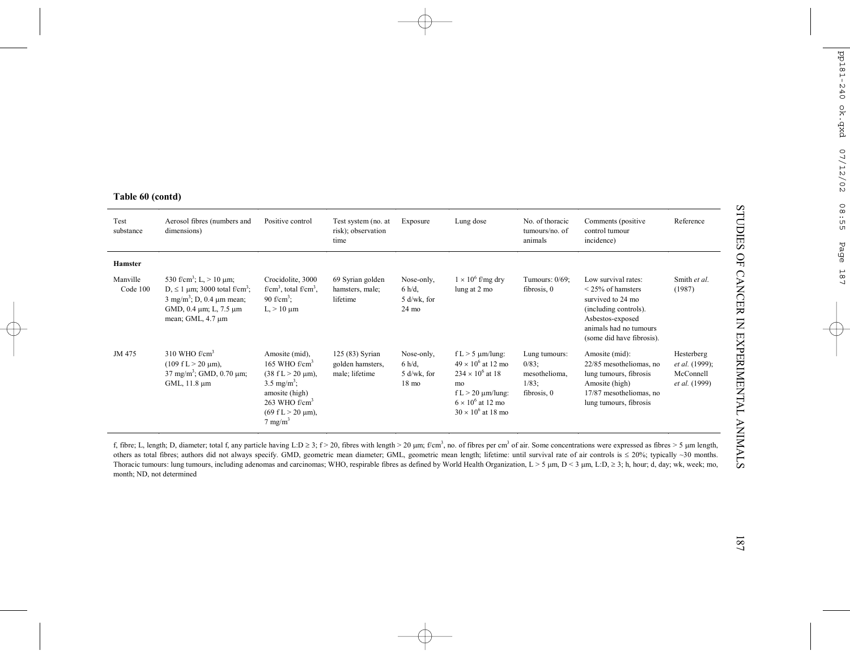| Test<br>substance    | Aerosol fibres (numbers and<br>dimensions)                                                                                                                                                        | Positive control                                                                                                                                                                                                   | Test system (no. at<br>risk); observation<br>time     | Exposure                                                    | Lung dose                                                                                                                                                                   | No. of thoracic<br>tumours/no. of<br>animals                          | Comments (positive<br>control tumour<br>incidence)                                                                                                                     | Reference                                                  |
|----------------------|---------------------------------------------------------------------------------------------------------------------------------------------------------------------------------------------------|--------------------------------------------------------------------------------------------------------------------------------------------------------------------------------------------------------------------|-------------------------------------------------------|-------------------------------------------------------------|-----------------------------------------------------------------------------------------------------------------------------------------------------------------------------|-----------------------------------------------------------------------|------------------------------------------------------------------------------------------------------------------------------------------------------------------------|------------------------------------------------------------|
| <b>Hamster</b>       |                                                                                                                                                                                                   |                                                                                                                                                                                                                    |                                                       |                                                             |                                                                                                                                                                             |                                                                       |                                                                                                                                                                        |                                                            |
| Manville<br>Code 100 | 530 f/cm <sup>3</sup> ; L, $> 10 \mu$ m;<br>D, $\leq 1$ µm; 3000 total f/cm <sup>3</sup> ;<br>$3 \text{ mg/m}^3$ ; D, 0.4 $\mu$ m mean;<br>GMD, $0.4 \mu m$ ; L, $7.5 \mu m$<br>mean; GML, 4.7 µm | Crocidolite, 3000<br>$f/cm3$ , total $f/cm3$ .<br>90 f/cm <sup>3</sup> :<br>$L > 10 \mu m$                                                                                                                         | 69 Syrian golden<br>hamsters, male;<br>lifetime       | Nose-only,<br>$6 h/d$ ,<br>$5$ d/wk, for<br>$24 \text{ mo}$ | $1 \times 10^6$ f/mg dry<br>lung at 2 mo                                                                                                                                    | Tumours: $0/69$ ;<br>fibrosis, 0                                      | Low survival rates:<br>$\leq$ 25% of hamsters<br>survived to 24 mo<br>(including controls).<br>Asbestos-exposed<br>animals had no tumours<br>(some did have fibrosis). | Smith et al.<br>(1987)                                     |
| JM 475               | 310 WHO $f/cm3$<br>$(109 \text{ f L} > 20 \text{ µm})$ ,<br>$37 \text{ mg/m}^3$ ; GMD, 0.70 µm;<br>GML, 11.8 µm                                                                                   | Amosite (mid),<br>165 WHO $f/cm3$<br>$(38 \text{ f L} > 20 \text{ µm})$ ,<br>$3.5 \text{ mg/m}^3$ ;<br>amosite (high)<br>$263$ WHO f/cm <sup>3</sup><br>$(69 \text{ f L} > 20 \text{ µm})$ ,<br>$7 \text{ mg/m}^3$ | 125 (83) Syrian<br>golden hamsters.<br>male; lifetime | Nose-only,<br>$6 h/d$ ,<br>$5$ d/wk, for<br>$18 \text{ mo}$ | f L $>$ 5 $\mu$ m/lung:<br>$49 \times 10^6$ at 12 mo<br>$234 \times 10^{6}$ at 18<br>mo<br>$f L > 20 \mu m/l$ ung:<br>$6 \times 10^6$ at 12 mo<br>$30 \times 10^6$ at 18 mo | Lung tumours:<br>$0/83$ ;<br>mesothelioma,<br>$1/83$ ;<br>fibrosis, 0 | Amosite (mid):<br>22/85 mesotheliomas, no<br>lung tumours, fibrosis<br>Amosite (high)<br>17/87 mesotheliomas, no<br>lung tumours, fibrosis                             | Hesterberg<br>et al. (1999);<br>McConnell<br>et al. (1999) |

f, fibre; L, length; D, diameter; total f, any particle having L:D ≥ 3; f > 20, fibres with length > 20 µm; f/cm<sup>3</sup>, no. of fibres per cm<sup>3</sup> of air. Some concentrations were expressed as fibres > 5 µm length, others as total fibres; authors did not always specify. GMD, geometric mean diameter; GML, geometric mean length; lifetime: until survival rate of air controls is <sup>≤</sup> 20%; typically ~30 months. Thoracic tumours: lung tumours, including adenomas and carcinomas; WHO, respirable fibres as defined by World Health Organization, L > 5 µm, D < 3 µm, L:D, <sup>≥</sup> 3; h, hour; d, day; wk, week; mo, month; ND, not determined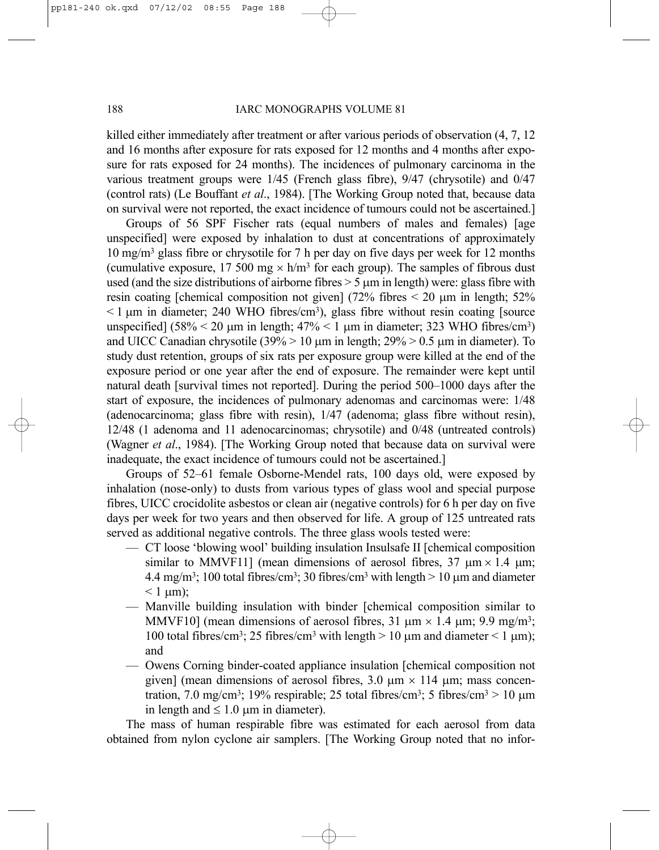killed either immediately after treatment or after various periods of observation (4, 7, 12 and 16 months after exposure for rats exposed for 12 months and 4 months after exposure for rats exposed for 24 months). The incidences of pulmonary carcinoma in the various treatment groups were 1/45 (French glass fibre), 9/47 (chrysotile) and 0/47 (control rats) (Le Bouffant *et al*., 1984). [The Working Group noted that, because data on survival were not reported, the exact incidence of tumours could not be ascertained.]

Groups of 56 SPF Fischer rats (equal numbers of males and females) [age unspecified] were exposed by inhalation to dust at concentrations of approximately 10 mg/m3 glass fibre or chrysotile for 7 h per day on five days per week for 12 months (cumulative exposure, 17 500 mg  $\times$  h/m<sup>3</sup> for each group). The samples of fibrous dust used (and the size distributions of airborne fibres  $> 5 \mu m$  in length) were: glass fibre with resin coating [chemical composition not given] (72% fibres  $\leq$  20  $\mu$ m in length; 52%  $\leq 1$  µm in diameter; 240 WHO fibres/cm<sup>3</sup>), glass fibre without resin coating [source] unspecified]  $(58\% \le 20 \text{ µm}$  in length;  $47\% \le 1 \text{ µm}$  in diameter; 323 WHO fibres/cm<sup>3</sup>) and UICC Canadian chrysotile  $(39\% > 10 \,\mu m)$  in length;  $29\% > 0.5 \,\mu m$  in diameter). To study dust retention, groups of six rats per exposure group were killed at the end of the exposure period or one year after the end of exposure. The remainder were kept until natural death [survival times not reported]. During the period 500–1000 days after the start of exposure, the incidences of pulmonary adenomas and carcinomas were: 1/48 (adenocarcinoma; glass fibre with resin), 1/47 (adenoma; glass fibre without resin), 12/48 (1 adenoma and 11 adenocarcinomas; chrysotile) and 0/48 (untreated controls) (Wagner *et al*., 1984). [The Working Group noted that because data on survival were inadequate, the exact incidence of tumours could not be ascertained.]

Groups of 52–61 female Osborne-Mendel rats, 100 days old, were exposed by inhalation (nose-only) to dusts from various types of glass wool and special purpose fibres, UICC crocidolite asbestos or clean air (negative controls) for 6 h per day on five days per week for two years and then observed for life. A group of 125 untreated rats served as additional negative controls. The three glass wools tested were:

- CT loose 'blowing wool' building insulation Insulsafe II [chemical composition similar to MMVF11] (mean dimensions of aerosol fibres,  $37 \text{ µm} \times 1.4 \text{ µm}$ ; 4.4 mg/m<sup>3</sup>; 100 total fibres/cm<sup>3</sup>; 30 fibres/cm<sup>3</sup> with length  $> 10 \mu$ m and diameter  $< 1$  um);
- Manville building insulation with binder [chemical composition similar to MMVF10] (mean dimensions of aerosol fibres, 31  $\mu$ m × 1.4  $\mu$ m; 9.9 mg/m<sup>3</sup>; 100 total fibres/cm<sup>3</sup>; 25 fibres/cm<sup>3</sup> with length  $> 10 \mu$ m and diameter  $< 1 \mu$ m); and
- Owens Corning binder-coated appliance insulation [chemical composition not given] (mean dimensions of aerosol fibres,  $3.0 \text{ µm} \times 114 \text{ µm}$ ; mass concentration, 7.0 mg/cm<sup>3</sup>; 19% respirable; 25 total fibres/cm<sup>3</sup>; 5 fibres/cm<sup>3</sup> > 10  $\mu$ m in length and  $\leq 1.0 \mu m$  in diameter).

The mass of human respirable fibre was estimated for each aerosol from data obtained from nylon cyclone air samplers. [The Working Group noted that no infor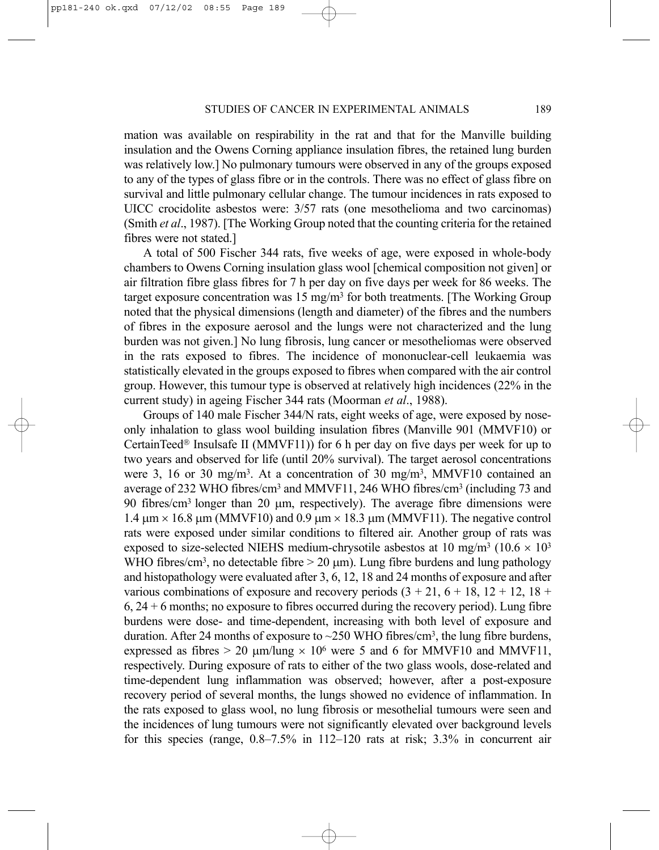mation was available on respirability in the rat and that for the Manville building insulation and the Owens Corning appliance insulation fibres, the retained lung burden was relatively low.] No pulmonary tumours were observed in any of the groups exposed to any of the types of glass fibre or in the controls. There was no effect of glass fibre on survival and little pulmonary cellular change. The tumour incidences in rats exposed to UICC crocidolite asbestos were: 3/57 rats (one mesothelioma and two carcinomas) (Smith *et al*., 1987). [The Working Group noted that the counting criteria for the retained fibres were not stated.]

A total of 500 Fischer 344 rats, five weeks of age, were exposed in whole-body chambers to Owens Corning insulation glass wool [chemical composition not given] or air filtration fibre glass fibres for 7 h per day on five days per week for 86 weeks. The target exposure concentration was  $15 \text{ mg/m}^3$  for both treatments. [The Working Group noted that the physical dimensions (length and diameter) of the fibres and the numbers of fibres in the exposure aerosol and the lungs were not characterized and the lung burden was not given.] No lung fibrosis, lung cancer or mesotheliomas were observed in the rats exposed to fibres. The incidence of mononuclear-cell leukaemia was statistically elevated in the groups exposed to fibres when compared with the air control group. However, this tumour type is observed at relatively high incidences (22% in the current study) in ageing Fischer 344 rats (Moorman *et al*., 1988).

Groups of 140 male Fischer 344/N rats, eight weeks of age, were exposed by noseonly inhalation to glass wool building insulation fibres (Manville 901 (MMVF10) or CertainTeed<sup>®</sup> Insulsafe II (MMVF11)) for 6 h per day on five days per week for up to two years and observed for life (until 20% survival). The target aerosol concentrations were 3, 16 or 30 mg/m<sup>3</sup>. At a concentration of 30 mg/m<sup>3</sup>, MMVF10 contained an average of 232 WHO fibres/cm3 and MMVF11, 246 WHO fibres/cm3 (including 73 and 90 fibres/ $\text{cm}^3$  longer than 20  $\mu$ m, respectively). The average fibre dimensions were  $1.4 \,\mu m \times 16.8 \,\mu m$  (MMVF10) and  $0.9 \,\mu m \times 18.3 \,\mu m$  (MMVF11). The negative control rats were exposed under similar conditions to filtered air. Another group of rats was exposed to size-selected NIEHS medium-chrysotile asbestos at 10 mg/m<sup>3</sup> (10.6  $\times$  10<sup>3</sup>) WHO fibres/cm<sup>3</sup>, no detectable fibre  $> 20 \mu m$ ). Lung fibre burdens and lung pathology and histopathology were evaluated after 3, 6, 12, 18 and 24 months of exposure and after various combinations of exposure and recovery periods  $(3 + 21, 6 + 18, 12 + 12, 18 +$  $6, 24 + 6$  months; no exposure to fibres occurred during the recovery period). Lung fibre burdens were dose- and time-dependent, increasing with both level of exposure and duration. After 24 months of exposure to  $\sim$  250 WHO fibres/cm<sup>3</sup>, the lung fibre burdens, expressed as fibres  $> 20 \mu m/l$ ung  $\times 10^6$  were 5 and 6 for MMVF10 and MMVF11, respectively. During exposure of rats to either of the two glass wools, dose-related and time-dependent lung inflammation was observed; however, after a post-exposure recovery period of several months, the lungs showed no evidence of inflammation. In the rats exposed to glass wool, no lung fibrosis or mesothelial tumours were seen and the incidences of lung tumours were not significantly elevated over background levels for this species (range, 0.8–7.5% in 112–120 rats at risk; 3.3% in concurrent air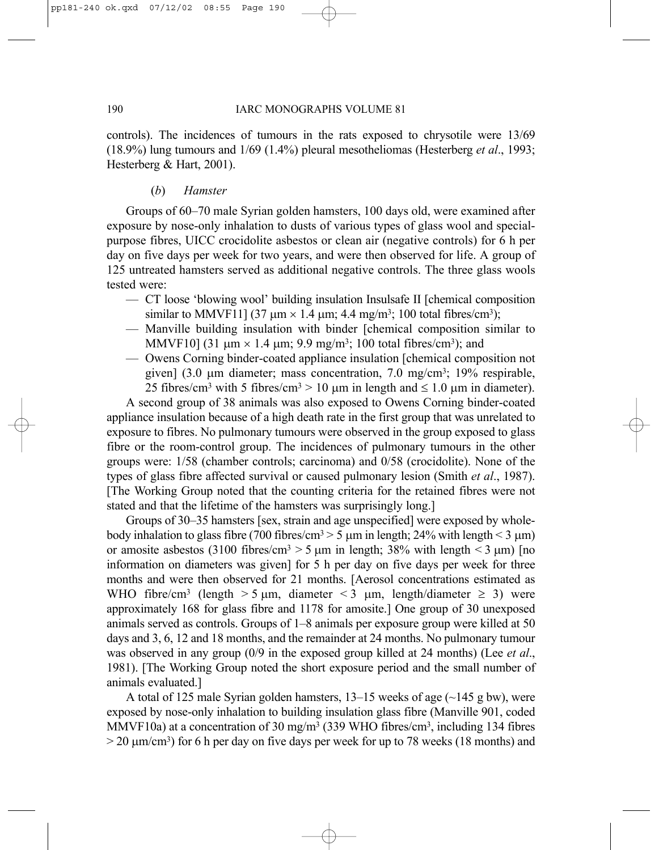controls). The incidences of tumours in the rats exposed to chrysotile were 13/69 (18.9%) lung tumours and 1/69 (1.4%) pleural mesotheliomas (Hesterberg *et al*., 1993; Hesterberg & Hart, 2001).

# (*b*) *Hamster*

Groups of 60–70 male Syrian golden hamsters, 100 days old, were examined after exposure by nose-only inhalation to dusts of various types of glass wool and specialpurpose fibres, UICC crocidolite asbestos or clean air (negative controls) for 6 h per day on five days per week for two years, and were then observed for life. A group of 125 untreated hamsters served as additional negative controls. The three glass wools tested were:

- CT loose 'blowing wool' building insulation Insulsafe II [chemical composition similar to MMVF11] (37  $\mu$ m × 1.4  $\mu$ m; 4.4 mg/m<sup>3</sup>; 100 total fibres/cm<sup>3</sup>);
- Manville building insulation with binder [chemical composition similar to MMVF10] (31  $\mu$ m × 1.4  $\mu$ m; 9.9 mg/m<sup>3</sup>; 100 total fibres/cm<sup>3</sup>); and
- Owens Corning binder-coated appliance insulation [chemical composition not given] (3.0 µm diameter; mass concentration, 7.0 mg/cm3; 19% respirable, 25 fibres/cm<sup>3</sup> with 5 fibres/cm<sup>3</sup> > 10  $\mu$ m in length and  $\leq$  1.0  $\mu$ m in diameter).

A second group of 38 animals was also exposed to Owens Corning binder-coated appliance insulation because of a high death rate in the first group that was unrelated to exposure to fibres. No pulmonary tumours were observed in the group exposed to glass fibre or the room-control group. The incidences of pulmonary tumours in the other groups were: 1/58 (chamber controls; carcinoma) and 0/58 (crocidolite). None of the types of glass fibre affected survival or caused pulmonary lesion (Smith *et al*., 1987). [The Working Group noted that the counting criteria for the retained fibres were not stated and that the lifetime of the hamsters was surprisingly long.]

Groups of 30–35 hamsters [sex, strain and age unspecified] were exposed by wholebody inhalation to glass fibre (700 fibres/cm<sup>3</sup> > 5  $\mu$ m in length; 24% with length < 3  $\mu$ m) or amosite asbestos (3100 fibres/cm<sup>3</sup> > 5  $\mu$ m in length; 38% with length < 3  $\mu$ m) [no information on diameters was given] for 5 h per day on five days per week for three months and were then observed for 21 months. [Aerosol concentrations estimated as WHO fibre/cm<sup>3</sup> (length > 5 µm, diameter < 3 µm, length/diameter  $\geq$  3) were approximately 168 for glass fibre and 1178 for amosite.] One group of 30 unexposed animals served as controls. Groups of 1–8 animals per exposure group were killed at 50 days and 3, 6, 12 and 18 months, and the remainder at 24 months. No pulmonary tumour was observed in any group (0/9 in the exposed group killed at 24 months) (Lee *et al*., 1981). [The Working Group noted the short exposure period and the small number of animals evaluated.]

A total of 125 male Syrian golden hamsters,  $13-15$  weeks of age ( $\sim$ 145 g bw), were exposed by nose-only inhalation to building insulation glass fibre (Manville 901, coded MMVF10a) at a concentration of 30 mg/m<sup>3</sup> (339 WHO fibres/cm<sup>3</sup>, including 134 fibres  $> 20 \text{ µm/cm}^3$ ) for 6 h per day on five days per week for up to 78 weeks (18 months) and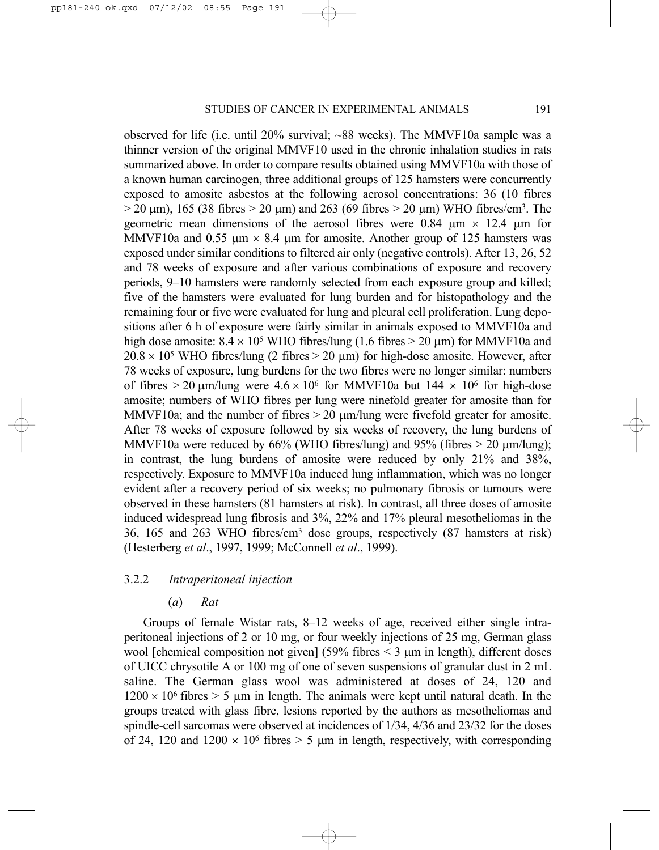observed for life (i.e. until 20% survival; ~88 weeks). The MMVF10a sample was a thinner version of the original MMVF10 used in the chronic inhalation studies in rats summarized above. In order to compare results obtained using MMVF10a with those of a known human carcinogen, three additional groups of 125 hamsters were concurrently exposed to amosite asbestos at the following aerosol concentrations: 36 (10 fibres  $> 20 \mu m$ ), 165 (38 fibres  $> 20 \mu m$ ) and 263 (69 fibres  $> 20 \mu m$ ) WHO fibres/cm<sup>3</sup>. The geometric mean dimensions of the aerosol fibres were 0.84  $\mu$ m  $\times$  12.4  $\mu$ m for MMVF10a and 0.55  $\mu$ m  $\times$  8.4  $\mu$ m for amosite. Another group of 125 hamsters was exposed under similar conditions to filtered air only (negative controls). After 13, 26, 52 and 78 weeks of exposure and after various combinations of exposure and recovery periods, 9–10 hamsters were randomly selected from each exposure group and killed; five of the hamsters were evaluated for lung burden and for histopathology and the remaining four or five were evaluated for lung and pleural cell proliferation. Lung depositions after 6 h of exposure were fairly similar in animals exposed to MMVF10a and high dose amosite:  $8.4 \times 10^5$  WHO fibres/lung (1.6 fibres  $> 20 \mu m$ ) for MMVF10a and  $20.8 \times 10^5$  WHO fibres/lung (2 fibres > 20 µm) for high-dose amosite. However, after 78 weeks of exposure, lung burdens for the two fibres were no longer similar: numbers of fibres  $> 20 \mu m/l$ ung were  $4.6 \times 10^6$  for MMVF10a but  $144 \times 10^6$  for high-dose amosite; numbers of WHO fibres per lung were ninefold greater for amosite than for MMVF10a; and the number of fibres  $> 20 \mu m/l$ ung were fivefold greater for amosite. After 78 weeks of exposure followed by six weeks of recovery, the lung burdens of MMVF10a were reduced by  $66\%$  (WHO fibres/lung) and  $95\%$  (fibres  $> 20 \text{ µm/lung}$ ); in contrast, the lung burdens of amosite were reduced by only 21% and 38%, respectively. Exposure to MMVF10a induced lung inflammation, which was no longer evident after a recovery period of six weeks; no pulmonary fibrosis or tumours were observed in these hamsters (81 hamsters at risk). In contrast, all three doses of amosite induced widespread lung fibrosis and 3%, 22% and 17% pleural mesotheliomas in the 36, 165 and 263 WHO fibres/cm3 dose groups, respectively (87 hamsters at risk) (Hesterberg *et al*., 1997, 1999; McConnell *et al*., 1999).

# 3.2.2 *Intraperitoneal injection*

# (*a*) *Rat*

Groups of female Wistar rats, 8–12 weeks of age, received either single intraperitoneal injections of 2 or 10 mg, or four weekly injections of 25 mg, German glass wool [chemical composition not given] (59% fibres  $\leq$  3  $\mu$ m in length), different doses of UICC chrysotile A or 100 mg of one of seven suspensions of granular dust in 2 mL saline. The German glass wool was administered at doses of 24, 120 and  $1200 \times 10^6$  fibres  $> 5$  µm in length. The animals were kept until natural death. In the groups treated with glass fibre, lesions reported by the authors as mesotheliomas and spindle-cell sarcomas were observed at incidences of 1/34, 4/36 and 23/32 for the doses of 24, 120 and  $1200 \times 10^6$  fibres  $> 5 \mu m$  in length, respectively, with corresponding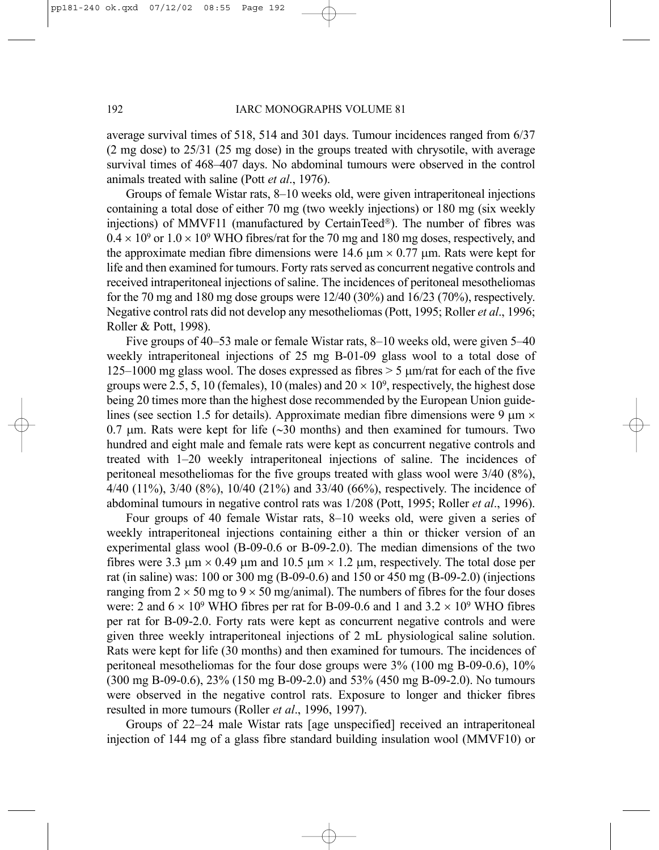average survival times of 518, 514 and 301 days. Tumour incidences ranged from 6/37 (2 mg dose) to 25/31 (25 mg dose) in the groups treated with chrysotile, with average survival times of 468–407 days. No abdominal tumours were observed in the control animals treated with saline (Pott *et al*., 1976).

Groups of female Wistar rats, 8–10 weeks old, were given intraperitoneal injections containing a total dose of either 70 mg (two weekly injections) or 180 mg (six weekly injections) of MMVF11 (manufactured by CertainTeed®). The number of fibres was  $0.4 \times 10^9$  or  $1.0 \times 10^9$  WHO fibres/rat for the 70 mg and 180 mg doses, respectively, and the approximate median fibre dimensions were 14.6  $\mu$ m × 0.77  $\mu$ m. Rats were kept for life and then examined for tumours. Forty rats served as concurrent negative controls and received intraperitoneal injections of saline. The incidences of peritoneal mesotheliomas for the 70 mg and 180 mg dose groups were  $12/40 (30\%)$  and  $16/23 (70\%)$ , respectively. Negative control rats did not develop any mesotheliomas (Pott, 1995; Roller *et al*., 1996; Roller & Pott, 1998).

Five groups of 40–53 male or female Wistar rats, 8–10 weeks old, were given 5–40 weekly intraperitoneal injections of 25 mg B-01-09 glass wool to a total dose of 125–1000 mg glass wool. The doses expressed as fibres  $> 5 \mu m/r$ at for each of the five groups were 2.5, 5, 10 (females), 10 (males) and  $20 \times 10^9$ , respectively, the highest dose being 20 times more than the highest dose recommended by the European Union guidelines (see section 1.5 for details). Approximate median fibre dimensions were 9  $\mu$ m  $\times$ 0.7 µm. Rats were kept for life (∼30 months) and then examined for tumours. Two hundred and eight male and female rats were kept as concurrent negative controls and treated with 1–20 weekly intraperitoneal injections of saline. The incidences of peritoneal mesotheliomas for the five groups treated with glass wool were 3/40 (8%), 4/40 (11%), 3/40 (8%), 10/40 (21%) and 33/40 (66%), respectively. The incidence of abdominal tumours in negative control rats was 1/208 (Pott, 1995; Roller *et al*., 1996).

Four groups of 40 female Wistar rats, 8–10 weeks old, were given a series of weekly intraperitoneal injections containing either a thin or thicker version of an experimental glass wool (B-09-0.6 or B-09-2.0). The median dimensions of the two fibres were 3.3  $\mu$ m × 0.49  $\mu$ m and 10.5  $\mu$ m × 1.2  $\mu$ m, respectively. The total dose per rat (in saline) was: 100 or 300 mg (B-09-0.6) and 150 or 450 mg (B-09-2.0) (injections ranging from  $2 \times 50$  mg to  $9 \times 50$  mg/animal). The numbers of fibres for the four doses were: 2 and  $6 \times 10^9$  WHO fibres per rat for B-09-0.6 and 1 and  $3.2 \times 10^9$  WHO fibres per rat for B-09-2.0. Forty rats were kept as concurrent negative controls and were given three weekly intraperitoneal injections of 2 mL physiological saline solution. Rats were kept for life (30 months) and then examined for tumours. The incidences of peritoneal mesotheliomas for the four dose groups were 3% (100 mg B-09-0.6), 10% (300 mg B-09-0.6), 23% (150 mg B-09-2.0) and 53% (450 mg B-09-2.0). No tumours were observed in the negative control rats. Exposure to longer and thicker fibres resulted in more tumours (Roller *et al*., 1996, 1997).

Groups of 22–24 male Wistar rats [age unspecified] received an intraperitoneal injection of 144 mg of a glass fibre standard building insulation wool (MMVF10) or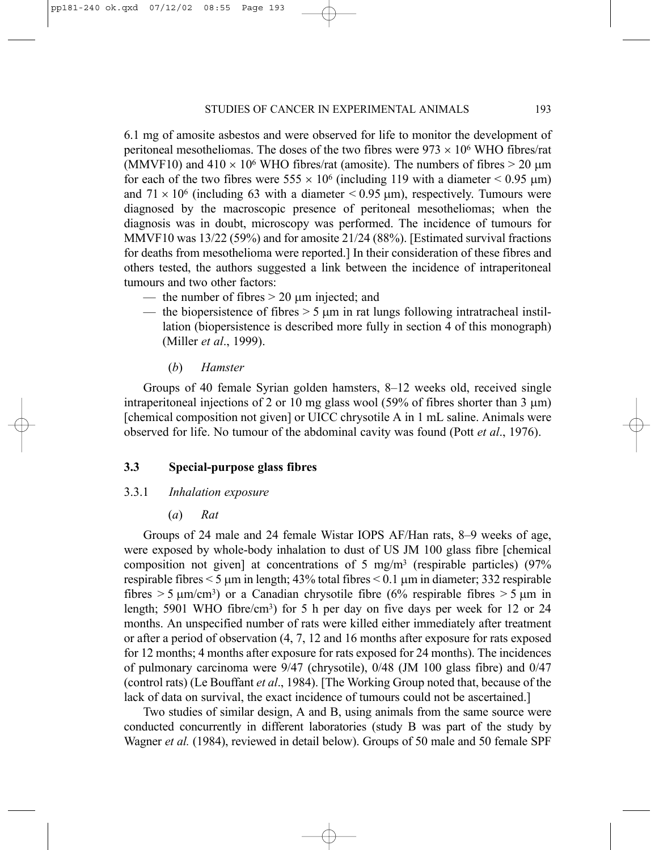6.1 mg of amosite asbestos and were observed for life to monitor the development of peritoneal mesotheliomas. The doses of the two fibres were  $973 \times 10^6$  WHO fibres/rat (MMVF10) and  $410 \times 10^6$  WHO fibres/rat (amosite). The numbers of fibres  $> 20 \mu m$ for each of the two fibres were  $555 \times 10^6$  (including 119 with a diameter  $\le 0.95 \text{ }\mu\text{m}$ ) and  $71 \times 10^6$  (including 63 with a diameter  $\leq 0.95$  µm), respectively. Tumours were diagnosed by the macroscopic presence of peritoneal mesotheliomas; when the diagnosis was in doubt, microscopy was performed. The incidence of tumours for MMVF10 was 13/22 (59%) and for amosite 21/24 (88%). [Estimated survival fractions for deaths from mesothelioma were reported.] In their consideration of these fibres and others tested, the authors suggested a link between the incidence of intraperitoneal tumours and two other factors:

- the number of fibres  $> 20 \mu m$  injected; and
- the biopersistence of fibres  $> 5 \mu m$  in rat lungs following intratracheal instillation (biopersistence is described more fully in section 4 of this monograph) (Miller *et al*., 1999).
	- (*b*) *Hamster*

Groups of 40 female Syrian golden hamsters, 8–12 weeks old, received single intraperitoneal injections of 2 or 10 mg glass wool (59% of fibres shorter than 3  $\mu$ m) [chemical composition not given] or UICC chrysotile A in 1 mL saline. Animals were observed for life. No tumour of the abdominal cavity was found (Pott *et al*., 1976).

# **3.3 Special-purpose glass fibres**

# 3.3.1 *Inhalation exposure*

(*a*) *Rat*

Groups of 24 male and 24 female Wistar IOPS AF/Han rats, 8–9 weeks of age, were exposed by whole-body inhalation to dust of US JM 100 glass fibre [chemical composition not given] at concentrations of 5 mg/m<sup>3</sup> (respirable particles) (97% respirable fibres  $\leq$  5  $\mu$ m in length; 43% total fibres  $\leq$  0.1  $\mu$ m in diameter; 332 respirable fibres  $> 5 \mu m/cm<sup>3</sup>$ ) or a Canadian chrysotile fibre (6% respirable fibres  $> 5 \mu m$  in length; 5901 WHO fibre/cm<sup>3</sup>) for 5 h per day on five days per week for 12 or 24 months. An unspecified number of rats were killed either immediately after treatment or after a period of observation (4, 7, 12 and 16 months after exposure for rats exposed for 12 months; 4 months after exposure for rats exposed for 24 months). The incidences of pulmonary carcinoma were 9/47 (chrysotile), 0/48 (JM 100 glass fibre) and 0/47 (control rats) (Le Bouffant *et al*., 1984). [The Working Group noted that, because of the lack of data on survival, the exact incidence of tumours could not be ascertained.]

Two studies of similar design, A and B, using animals from the same source were conducted concurrently in different laboratories (study B was part of the study by Wagner *et al.* (1984), reviewed in detail below). Groups of 50 male and 50 female SPF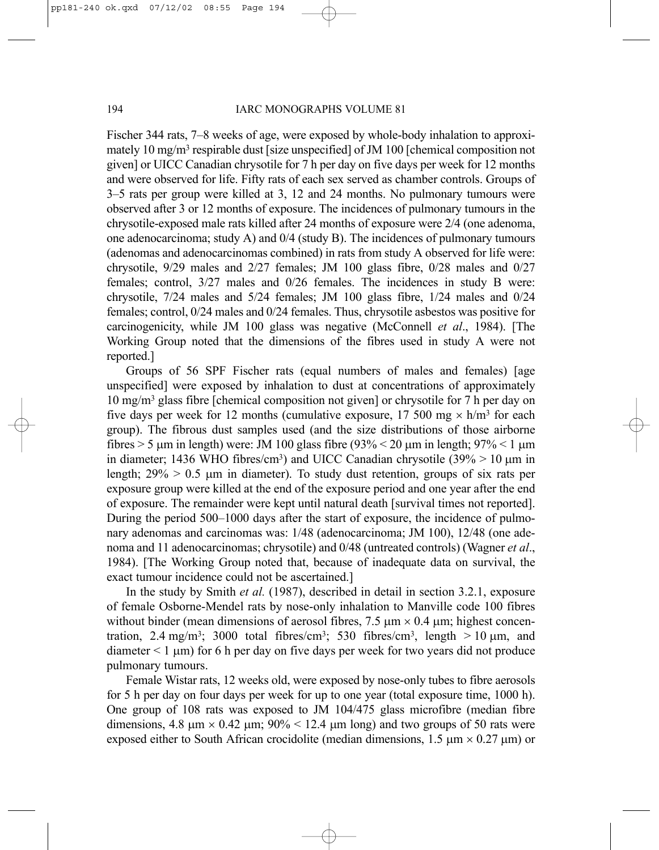Fischer 344 rats, 7–8 weeks of age, were exposed by whole-body inhalation to approximately 10 mg/m<sup>3</sup> respirable dust [size unspecified] of JM 100 [chemical composition not given] or UICC Canadian chrysotile for 7 h per day on five days per week for 12 months and were observed for life. Fifty rats of each sex served as chamber controls. Groups of 3–5 rats per group were killed at 3, 12 and 24 months. No pulmonary tumours were observed after 3 or 12 months of exposure. The incidences of pulmonary tumours in the chrysotile-exposed male rats killed after 24 months of exposure were 2/4 (one adenoma, one adenocarcinoma; study A) and 0/4 (study B). The incidences of pulmonary tumours (adenomas and adenocarcinomas combined) in rats from study A observed for life were: chrysotile, 9/29 males and 2/27 females; JM 100 glass fibre, 0/28 males and 0/27 females; control, 3/27 males and 0/26 females. The incidences in study B were: chrysotile, 7/24 males and 5/24 females; JM 100 glass fibre, 1/24 males and 0/24 females; control, 0/24 males and 0/24 females. Thus, chrysotile asbestos was positive for carcinogenicity, while JM 100 glass was negative (McConnell *et al*., 1984). [The Working Group noted that the dimensions of the fibres used in study A were not reported.]

Groups of 56 SPF Fischer rats (equal numbers of males and females) [age unspecified] were exposed by inhalation to dust at concentrations of approximately 10 mg/m3 glass fibre [chemical composition not given] or chrysotile for 7 h per day on five days per week for 12 months (cumulative exposure, 17 500 mg  $\times$  h/m<sup>3</sup> for each group). The fibrous dust samples used (and the size distributions of those airborne fibres  $> 5 \mu$ m in length) were: JM 100 glass fibre (93%  $< 20 \mu$ m in length; 97%  $< 1 \mu$ m in diameter; 1436 WHO fibres/cm<sup>3</sup>) and UICC Canadian chrysotile (39%  $> 10 \mu m$  in length;  $29\% > 0.5$  µm in diameter). To study dust retention, groups of six rats per exposure group were killed at the end of the exposure period and one year after the end of exposure. The remainder were kept until natural death [survival times not reported]. During the period 500–1000 days after the start of exposure, the incidence of pulmonary adenomas and carcinomas was: 1/48 (adenocarcinoma; JM 100), 12/48 (one adenoma and 11 adenocarcinomas; chrysotile) and 0/48 (untreated controls) (Wagner *et al*., 1984). [The Working Group noted that, because of inadequate data on survival, the exact tumour incidence could not be ascertained.]

In the study by Smith *et al.* (1987), described in detail in section 3.2.1, exposure of female Osborne-Mendel rats by nose-only inhalation to Manville code 100 fibres without binder (mean dimensions of aerosol fibres,  $7.5 \mu m \times 0.4 \mu m$ ; highest concentration, 2.4 mg/m<sup>3</sup>; 3000 total fibres/cm<sup>3</sup>; 530 fibres/cm<sup>3</sup>, length  $> 10 \text{ µm}$ , and diameter  $\leq 1 \text{ }\mu\text{m}$ ) for 6 h per day on five days per week for two years did not produce pulmonary tumours.

Female Wistar rats, 12 weeks old, were exposed by nose-only tubes to fibre aerosols for 5 h per day on four days per week for up to one year (total exposure time, 1000 h). One group of 108 rats was exposed to JM 104/475 glass microfibre (median fibre dimensions, 4.8  $\mu$ m  $\times$  0.42  $\mu$ m; 90%  $\times$  12.4  $\mu$ m long) and two groups of 50 rats were exposed either to South African crocidolite (median dimensions,  $1.5 \mu m \times 0.27 \mu m$ ) or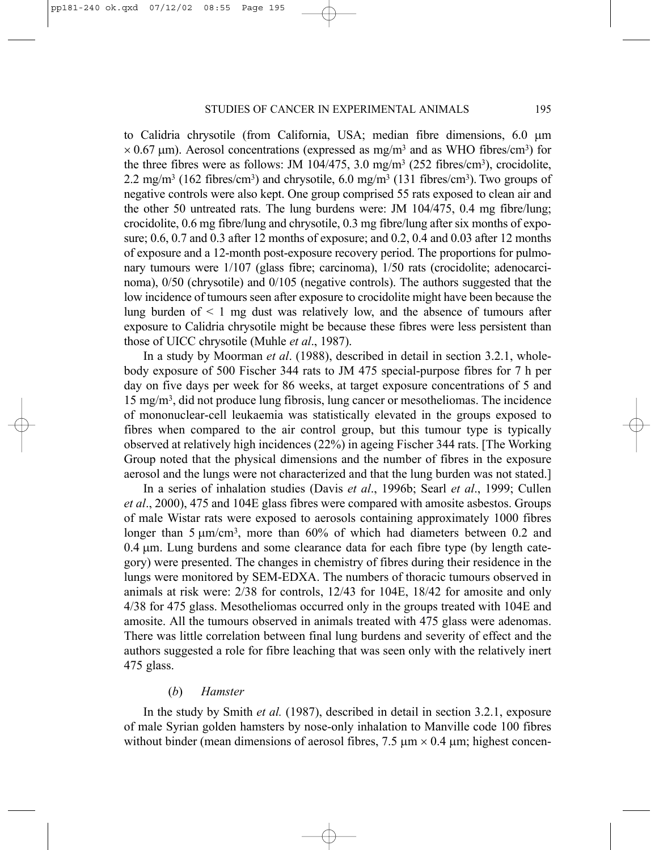to Calidria chrysotile (from California, USA; median fibre dimensions, 6.0 µm  $\times$  0.67 µm). Aerosol concentrations (expressed as mg/m<sup>3</sup> and as WHO fibres/cm<sup>3</sup>) for the three fibres were as follows: JM  $104/475$ , 3.0 mg/m<sup>3</sup> (252 fibres/cm<sup>3</sup>), crocidolite, 2.2 mg/m<sup>3</sup> (162 fibres/cm<sup>3</sup>) and chrysotile, 6.0 mg/m<sup>3</sup> (131 fibres/cm<sup>3</sup>). Two groups of negative controls were also kept. One group comprised 55 rats exposed to clean air and the other 50 untreated rats. The lung burdens were: JM 104/475, 0.4 mg fibre/lung; crocidolite, 0.6 mg fibre/lung and chrysotile, 0.3 mg fibre/lung after six months of exposure; 0.6, 0.7 and 0.3 after 12 months of exposure; and 0.2, 0.4 and 0.03 after 12 months of exposure and a 12-month post-exposure recovery period. The proportions for pulmonary tumours were 1/107 (glass fibre; carcinoma), 1/50 rats (crocidolite; adenocarcinoma), 0/50 (chrysotile) and 0/105 (negative controls). The authors suggested that the low incidence of tumours seen after exposure to crocidolite might have been because the lung burden of  $\leq 1$  mg dust was relatively low, and the absence of tumours after exposure to Calidria chrysotile might be because these fibres were less persistent than those of UICC chrysotile (Muhle *et al*., 1987).

In a study by Moorman *et al*. (1988), described in detail in section 3.2.1, wholebody exposure of 500 Fischer 344 rats to JM 475 special-purpose fibres for 7 h per day on five days per week for 86 weeks, at target exposure concentrations of 5 and 15 mg/m3, did not produce lung fibrosis, lung cancer or mesotheliomas. The incidence of mononuclear-cell leukaemia was statistically elevated in the groups exposed to fibres when compared to the air control group, but this tumour type is typically observed at relatively high incidences (22%) in ageing Fischer 344 rats. [The Working Group noted that the physical dimensions and the number of fibres in the exposure aerosol and the lungs were not characterized and that the lung burden was not stated.]

In a series of inhalation studies (Davis *et al*., 1996b; Searl *et al*., 1999; Cullen *et al*., 2000), 475 and 104E glass fibres were compared with amosite asbestos. Groups of male Wistar rats were exposed to aerosols containing approximately 1000 fibres longer than  $5 \mu m/cm^3$ , more than  $60\%$  of which had diameters between 0.2 and 0.4 µm. Lung burdens and some clearance data for each fibre type (by length category) were presented. The changes in chemistry of fibres during their residence in the lungs were monitored by SEM-EDXA. The numbers of thoracic tumours observed in animals at risk were: 2/38 for controls, 12/43 for 104E, 18/42 for amosite and only 4/38 for 475 glass. Mesotheliomas occurred only in the groups treated with 104E and amosite. All the tumours observed in animals treated with 475 glass were adenomas. There was little correlation between final lung burdens and severity of effect and the authors suggested a role for fibre leaching that was seen only with the relatively inert 475 glass.

#### (*b*) *Hamster*

In the study by Smith *et al.* (1987), described in detail in section 3.2.1, exposure of male Syrian golden hamsters by nose-only inhalation to Manville code 100 fibres without binder (mean dimensions of aerosol fibres,  $7.5 \text{ µm} \times 0.4 \text{ µm}$ ; highest concen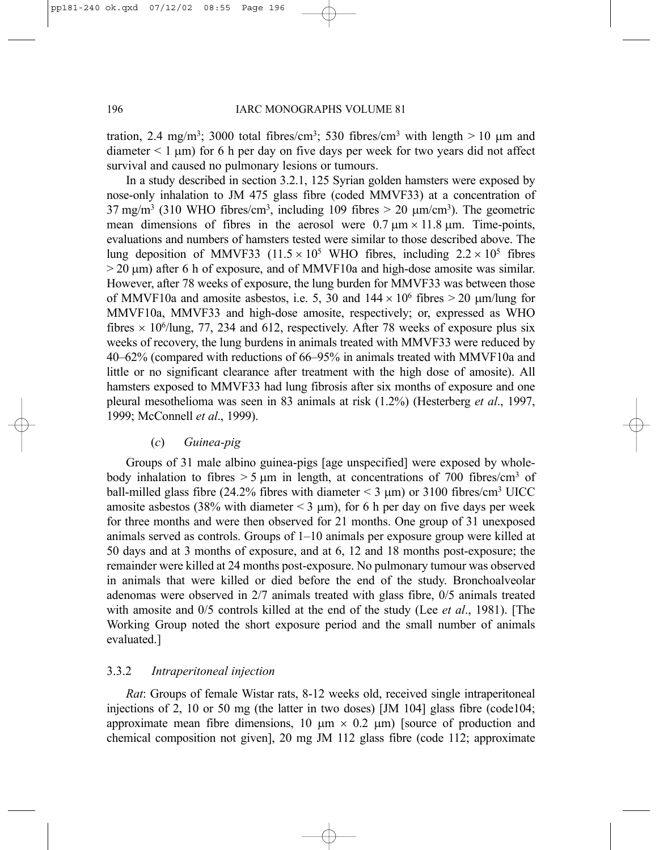tration, 2.4 mg/m<sup>3</sup>; 3000 total fibres/cm<sup>3</sup>; 530 fibres/cm<sup>3</sup> with length  $> 10 \mu$ m and  $diameter < 1 \mu m$ ) for 6 h per day on five days per week for two years did not affect survival and caused no pulmonary lesions or tumours.

In a study described in section 3.2.1, 125 Syrian golden hamsters were exposed by nose-only inhalation to JM 475 glass fibre (coded MMVF33) at a concentration of  $37 \text{ mg/m}^3$  (310 WHO fibres/cm<sup>3</sup>, including 109 fibres > 20  $\mu$ m/cm<sup>3</sup>). The geometric mean dimensions of fibres in the aerosol were  $0.7 \mu m \times 11.8 \mu m$ . Time-points, evaluations and numbers of hamsters tested were similar to those described above. The lung deposition of MMVF33 (11.5  $\times$  10<sup>5</sup> WHO fibres, including 2.2  $\times$  10<sup>5</sup> fibres  $>$  20  $\mu$ m) after 6 h of exposure, and of MMVF10a and high-dose amosite was similar. However, after 78 weeks of exposure, the lung burden for MMVF33 was between those of MMVF10a and amosite asbestos, i.e. 5, 30 and  $144 \times 10^6$  fibres  $> 20$  µm/lung for MMVF10a, MMVF33 and high-dose amosite, respectively; or, expressed as WHO fibres  $\times$  10<sup>6</sup>/lung, 77, 234 and 612, respectively. After 78 weeks of exposure plus six weeks of recovery, the lung burdens in animals treated with MMVF33 were reduced by 40–62% (compared with reductions of 66–95% in animals treated with MMVF10a and little or no significant clearance after treatment with the high dose of amosite). All hamsters exposed to MMVF33 had lung fibrosis after six months of exposure and one pleural mesothelioma was seen in 83 animals at risk (1.2%) (Hesterberg *et al*., 1997, 1999; McConnell *et al*., 1999).

#### (*c*) *Guinea-pig*

Groups of 31 male albino guinea-pigs [age unspecified] were exposed by wholebody inhalation to fibres  $> 5 \mu m$  in length, at concentrations of 700 fibres/cm<sup>3</sup> of ball-milled glass fibre (24.2% fibres with diameter  $\leq$  3  $\mu$ m) or 3100 fibres/cm<sup>3</sup> UICC amosite asbestos (38% with diameter  $\leq$  3  $\mu$ m), for 6 h per day on five days per week for three months and were then observed for 21 months. One group of 31 unexposed animals served as controls. Groups of 1–10 animals per exposure group were killed at 50 days and at 3 months of exposure, and at 6, 12 and 18 months post-exposure; the remainder were killed at 24 months post-exposure. No pulmonary tumour was observed in animals that were killed or died before the end of the study. Bronchoalveolar adenomas were observed in 2/7 animals treated with glass fibre, 0/5 animals treated with amosite and 0/5 controls killed at the end of the study (Lee *et al*., 1981). [The Working Group noted the short exposure period and the small number of animals evaluated.]

# 3.3.2 *Intraperitoneal injection*

*Rat*: Groups of female Wistar rats, 8-12 weeks old, received single intraperitoneal injections of 2, 10 or 50 mg (the latter in two doses) [JM 104] glass fibre (code104; approximate mean fibre dimensions, 10  $\mu$ m  $\times$  0.2  $\mu$ m) [source of production and chemical composition not given], 20 mg JM 112 glass fibre (code 112; approximate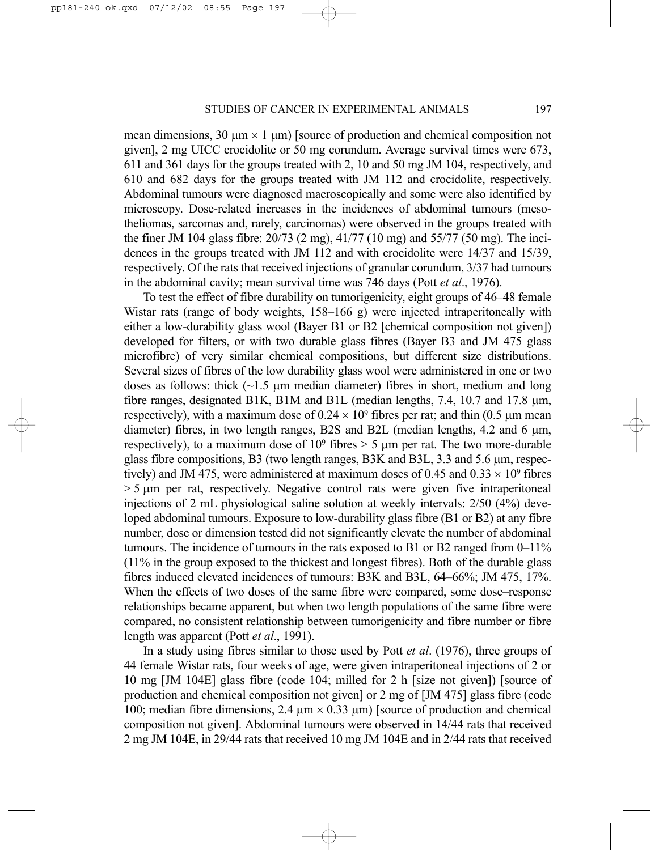mean dimensions,  $30 \mu m \times 1 \mu m$ ) [source of production and chemical composition not given], 2 mg UICC crocidolite or 50 mg corundum. Average survival times were 673, 611 and 361 days for the groups treated with 2, 10 and 50 mg JM 104, respectively, and 610 and 682 days for the groups treated with JM 112 and crocidolite, respectively. Abdominal tumours were diagnosed macroscopically and some were also identified by microscopy. Dose-related increases in the incidences of abdominal tumours (mesotheliomas, sarcomas and, rarely, carcinomas) were observed in the groups treated with the finer JM 104 glass fibre: 20/73 (2 mg), 41/77 (10 mg) and 55/77 (50 mg). The incidences in the groups treated with JM 112 and with crocidolite were 14/37 and 15/39, respectively. Of the rats that received injections of granular corundum, 3/37 had tumours in the abdominal cavity; mean survival time was 746 days (Pott *et al*., 1976).

To test the effect of fibre durability on tumorigenicity, eight groups of 46–48 female Wistar rats (range of body weights, 158–166 g) were injected intraperitoneally with either a low-durability glass wool (Bayer B1 or B2 [chemical composition not given]) developed for filters, or with two durable glass fibres (Bayer B3 and JM 475 glass microfibre) of very similar chemical compositions, but different size distributions. Several sizes of fibres of the low durability glass wool were administered in one or two doses as follows: thick  $(\sim 1.5 \mu m$  median diameter) fibres in short, medium and long fibre ranges, designated B1K, B1M and B1L (median lengths,  $7.4$ , 10.7 and 17.8  $\mu$ m, respectively), with a maximum dose of  $0.24 \times 10^9$  fibres per rat; and thin (0.5 µm mean diameter) fibres, in two length ranges, B2S and B2L (median lengths,  $4.2$  and  $6 \mu m$ , respectively), to a maximum dose of  $10^9$  fibres  $> 5 \mu m$  per rat. The two more-durable glass fibre compositions, B3 (two length ranges, B3K and B3L, 3.3 and 5.6 µm, respectively) and JM 475, were administered at maximum doses of 0.45 and 0.33  $\times$  10<sup>9</sup> fibres  $> 5 \mu m$  per rat, respectively. Negative control rats were given five intraperitoneal injections of 2 mL physiological saline solution at weekly intervals: 2/50 (4%) developed abdominal tumours. Exposure to low-durability glass fibre (B1 or B2) at any fibre number, dose or dimension tested did not significantly elevate the number of abdominal tumours. The incidence of tumours in the rats exposed to B1 or B2 ranged from 0–11% (11% in the group exposed to the thickest and longest fibres). Both of the durable glass fibres induced elevated incidences of tumours: B3K and B3L, 64–66%; JM 475, 17%. When the effects of two doses of the same fibre were compared, some dose–response relationships became apparent, but when two length populations of the same fibre were compared, no consistent relationship between tumorigenicity and fibre number or fibre length was apparent (Pott *et al*., 1991).

In a study using fibres similar to those used by Pott *et al*. (1976), three groups of 44 female Wistar rats, four weeks of age, were given intraperitoneal injections of 2 or 10 mg [JM 104E] glass fibre (code 104; milled for 2 h [size not given]) [source of production and chemical composition not given] or 2 mg of [JM 475] glass fibre (code 100; median fibre dimensions, 2.4  $\mu$ m  $\times$  0.33  $\mu$ m) [source of production and chemical composition not given]. Abdominal tumours were observed in 14/44 rats that received 2 mg JM 104E, in 29/44 rats that received 10 mg JM 104E and in 2/44 rats that received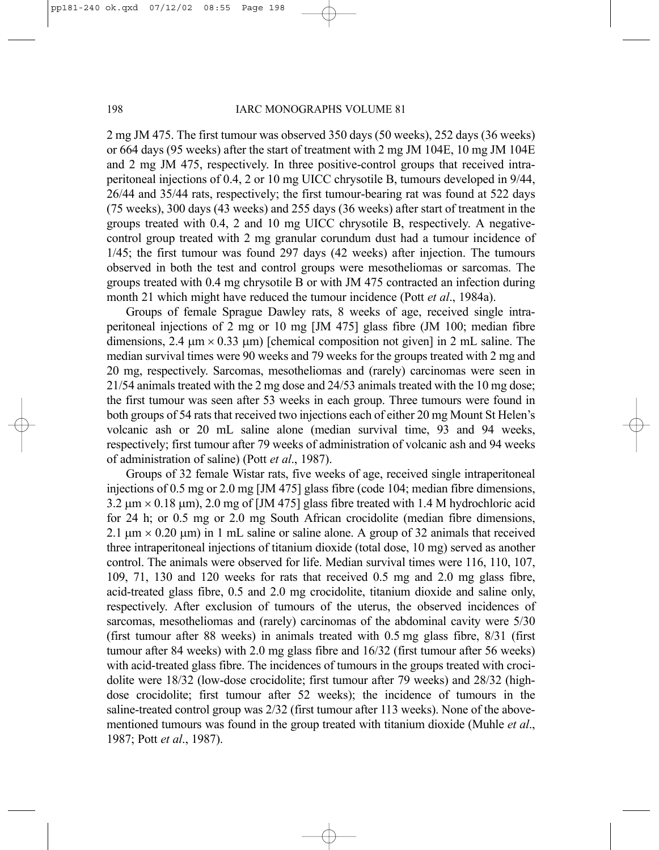2 mg JM 475. The first tumour was observed 350 days (50 weeks), 252 days (36 weeks) or 664 days (95 weeks) after the start of treatment with 2 mg JM 104E, 10 mg JM 104E and 2 mg JM 475, respectively. In three positive-control groups that received intraperitoneal injections of 0.4, 2 or 10 mg UICC chrysotile B, tumours developed in 9/44, 26/44 and 35/44 rats, respectively; the first tumour-bearing rat was found at 522 days (75 weeks), 300 days (43 weeks) and 255 days (36 weeks) after start of treatment in the groups treated with 0.4, 2 and 10 mg UICC chrysotile B, respectively. A negativecontrol group treated with 2 mg granular corundum dust had a tumour incidence of 1/45; the first tumour was found 297 days (42 weeks) after injection. The tumours observed in both the test and control groups were mesotheliomas or sarcomas. The groups treated with 0.4 mg chrysotile B or with JM 475 contracted an infection during month 21 which might have reduced the tumour incidence (Pott *et al*., 1984a).

Groups of female Sprague Dawley rats, 8 weeks of age, received single intraperitoneal injections of 2 mg or 10 mg [JM 475] glass fibre (JM 100; median fibre dimensions, 2.4  $\mu$ m × 0.33  $\mu$ m) [chemical composition not given] in 2 mL saline. The median survival times were 90 weeks and 79 weeks for the groups treated with 2 mg and 20 mg, respectively. Sarcomas, mesotheliomas and (rarely) carcinomas were seen in 21/54 animals treated with the 2 mg dose and 24/53 animals treated with the 10 mg dose; the first tumour was seen after 53 weeks in each group. Three tumours were found in both groups of 54 rats that received two injections each of either 20 mg Mount St Helen's volcanic ash or 20 mL saline alone (median survival time, 93 and 94 weeks, respectively; first tumour after 79 weeks of administration of volcanic ash and 94 weeks of administration of saline) (Pott *et al*., 1987).

Groups of 32 female Wistar rats, five weeks of age, received single intraperitoneal injections of 0.5 mg or 2.0 mg [JM 475] glass fibre (code 104; median fibre dimensions,  $3.2 \text{ µm} \times 0.18 \text{ µm}$ ,  $2.0 \text{ mg of }$  [JM 475] glass fibre treated with 1.4 M hydrochloric acid for 24 h; or 0.5 mg or 2.0 mg South African crocidolite (median fibre dimensions, 2.1  $\mu$ m  $\times$  0.20  $\mu$ m) in 1 mL saline or saline alone. A group of 32 animals that received three intraperitoneal injections of titanium dioxide (total dose, 10 mg) served as another control. The animals were observed for life. Median survival times were 116, 110, 107, 109, 71, 130 and 120 weeks for rats that received 0.5 mg and 2.0 mg glass fibre, acid-treated glass fibre, 0.5 and 2.0 mg crocidolite, titanium dioxide and saline only, respectively. After exclusion of tumours of the uterus, the observed incidences of sarcomas, mesotheliomas and (rarely) carcinomas of the abdominal cavity were 5/30 (first tumour after 88 weeks) in animals treated with 0.5 mg glass fibre, 8/31 (first tumour after 84 weeks) with 2.0 mg glass fibre and 16/32 (first tumour after 56 weeks) with acid-treated glass fibre. The incidences of tumours in the groups treated with crocidolite were 18/32 (low-dose crocidolite; first tumour after 79 weeks) and 28/32 (highdose crocidolite; first tumour after 52 weeks); the incidence of tumours in the saline-treated control group was 2/32 (first tumour after 113 weeks). None of the abovementioned tumours was found in the group treated with titanium dioxide (Muhle *et al*., 1987; Pott *et al*., 1987).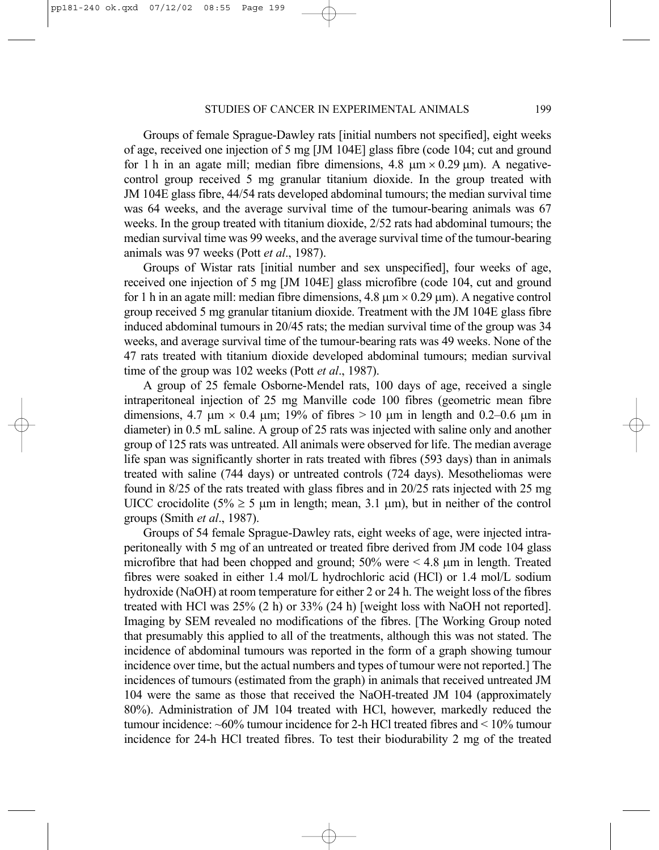Groups of female Sprague-Dawley rats [initial numbers not specified], eight weeks of age, received one injection of 5 mg [JM 104E] glass fibre (code 104; cut and ground for 1 h in an agate mill; median fibre dimensions, 4.8  $\mu$ m × 0.29  $\mu$ m). A negativecontrol group received 5 mg granular titanium dioxide. In the group treated with JM 104E glass fibre, 44/54 rats developed abdominal tumours; the median survival time was 64 weeks, and the average survival time of the tumour-bearing animals was 67 weeks. In the group treated with titanium dioxide, 2/52 rats had abdominal tumours; the median survival time was 99 weeks, and the average survival time of the tumour-bearing animals was 97 weeks (Pott *et al*., 1987).

Groups of Wistar rats [initial number and sex unspecified], four weeks of age, received one injection of 5 mg [JM 104E] glass microfibre (code 104, cut and ground for 1 h in an agate mill: median fibre dimensions,  $4.8 \mu m \times 0.29 \mu m$ ). A negative control group received 5 mg granular titanium dioxide. Treatment with the JM 104E glass fibre induced abdominal tumours in 20/45 rats; the median survival time of the group was 34 weeks, and average survival time of the tumour-bearing rats was 49 weeks. None of the 47 rats treated with titanium dioxide developed abdominal tumours; median survival time of the group was 102 weeks (Pott *et al*., 1987).

A group of 25 female Osborne-Mendel rats, 100 days of age, received a single intraperitoneal injection of 25 mg Manville code 100 fibres (geometric mean fibre dimensions, 4.7  $\mu$ m × 0.4  $\mu$ m; 19% of fibres > 10  $\mu$ m in length and 0.2–0.6  $\mu$ m in diameter) in 0.5 mL saline. A group of 25 rats was injected with saline only and another group of 125 rats was untreated. All animals were observed for life. The median average life span was significantly shorter in rats treated with fibres (593 days) than in animals treated with saline (744 days) or untreated controls (724 days). Mesotheliomas were found in 8/25 of the rats treated with glass fibres and in 20/25 rats injected with 25 mg UICC crocidolite (5%  $\geq$  5 µm in length; mean, 3.1 µm), but in neither of the control groups (Smith *et al*., 1987).

Groups of 54 female Sprague-Dawley rats, eight weeks of age, were injected intraperitoneally with 5 mg of an untreated or treated fibre derived from JM code 104 glass microfibre that had been chopped and ground;  $50\%$  were  $\leq 4.8$  µm in length. Treated fibres were soaked in either 1.4 mol/L hydrochloric acid (HCl) or 1.4 mol/L sodium hydroxide (NaOH) at room temperature for either 2 or 24 h. The weight loss of the fibres treated with HCl was 25% (2 h) or 33% (24 h) [weight loss with NaOH not reported]. Imaging by SEM revealed no modifications of the fibres. [The Working Group noted that presumably this applied to all of the treatments, although this was not stated. The incidence of abdominal tumours was reported in the form of a graph showing tumour incidence over time, but the actual numbers and types of tumour were not reported.] The incidences of tumours (estimated from the graph) in animals that received untreated JM 104 were the same as those that received the NaOH-treated JM 104 (approximately 80%). Administration of JM 104 treated with HCl, however, markedly reduced the tumour incidence:  $\sim 60\%$  tumour incidence for 2-h HCl treated fibres and  $\lt 10\%$  tumour incidence for 24-h HCl treated fibres. To test their biodurability 2 mg of the treated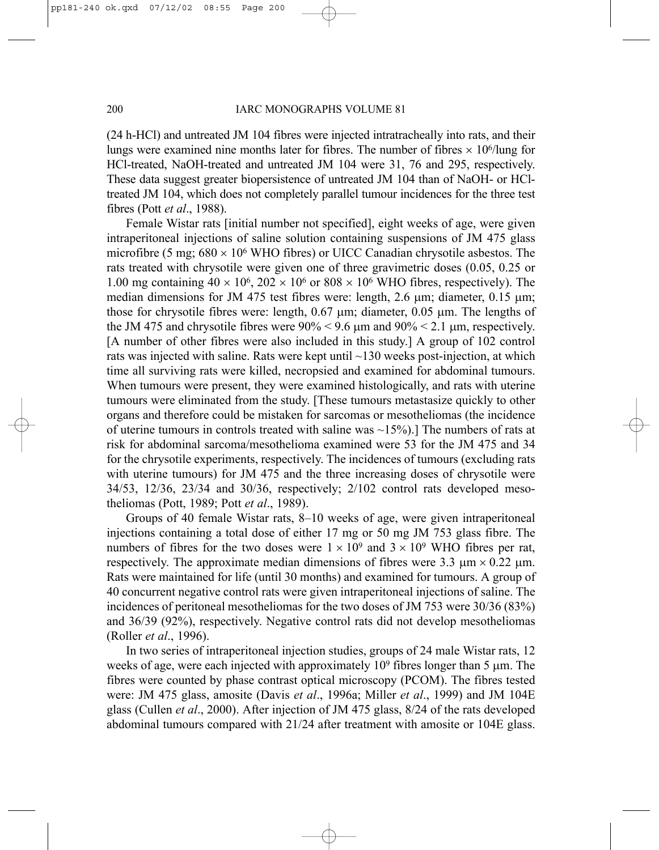(24 h-HCl) and untreated JM 104 fibres were injected intratracheally into rats, and their lungs were examined nine months later for fibres. The number of fibres  $\times 10^6$ /lung for HCl-treated, NaOH-treated and untreated JM 104 were 31, 76 and 295, respectively. These data suggest greater biopersistence of untreated JM 104 than of NaOH- or HCltreated JM 104, which does not completely parallel tumour incidences for the three test fibres (Pott *et al*., 1988).

Female Wistar rats [initial number not specified], eight weeks of age, were given intraperitoneal injections of saline solution containing suspensions of JM 475 glass microfibre (5 mg;  $680 \times 10^6$  WHO fibres) or UICC Canadian chrysotile asbestos. The rats treated with chrysotile were given one of three gravimetric doses (0.05, 0.25 or 1.00 mg containing  $40 \times 10^6$ ,  $202 \times 10^6$  or  $808 \times 10^6$  WHO fibres, respectively). The median dimensions for JM 475 test fibres were: length, 2.6  $\mu$ m; diameter, 0.15  $\mu$ m; those for chrysotile fibres were: length,  $0.67 \mu m$ ; diameter,  $0.05 \mu m$ . The lengths of the JM 475 and chrysotile fibres were  $90\% < 9.6$  µm and  $90\% < 2.1$  µm, respectively. [A number of other fibres were also included in this study.] A group of 102 control rats was injected with saline. Rats were kept until ~130 weeks post-injection, at which time all surviving rats were killed, necropsied and examined for abdominal tumours. When tumours were present, they were examined histologically, and rats with uterine tumours were eliminated from the study. [These tumours metastasize quickly to other organs and therefore could be mistaken for sarcomas or mesotheliomas (the incidence of uterine tumours in controls treated with saline was  $\sim$ 15%).] The numbers of rats at risk for abdominal sarcoma/mesothelioma examined were 53 for the JM 475 and 34 for the chrysotile experiments, respectively. The incidences of tumours (excluding rats with uterine tumours) for JM 475 and the three increasing doses of chrysotile were 34/53, 12/36, 23/34 and 30/36, respectively; 2/102 control rats developed mesotheliomas (Pott, 1989; Pott *et al*., 1989).

Groups of 40 female Wistar rats, 8–10 weeks of age, were given intraperitoneal injections containing a total dose of either 17 mg or 50 mg JM 753 glass fibre. The numbers of fibres for the two doses were  $1 \times 10^9$  and  $3 \times 10^9$  WHO fibres per rat, respectively. The approximate median dimensions of fibres were 3.3  $\mu$ m × 0.22  $\mu$ m. Rats were maintained for life (until 30 months) and examined for tumours. A group of 40 concurrent negative control rats were given intraperitoneal injections of saline. The incidences of peritoneal mesotheliomas for the two doses of JM 753 were 30/36 (83%) and 36/39 (92%), respectively. Negative control rats did not develop mesotheliomas (Roller *et al*., 1996).

In two series of intraperitoneal injection studies, groups of 24 male Wistar rats, 12 weeks of age, were each injected with approximately 10<sup>9</sup> fibres longer than 5 µm. The fibres were counted by phase contrast optical microscopy (PCOM). The fibres tested were: JM 475 glass, amosite (Davis *et al*., 1996a; Miller *et al*., 1999) and JM 104E glass (Cullen *et al*., 2000). After injection of JM 475 glass, 8/24 of the rats developed abdominal tumours compared with 21/24 after treatment with amosite or 104E glass.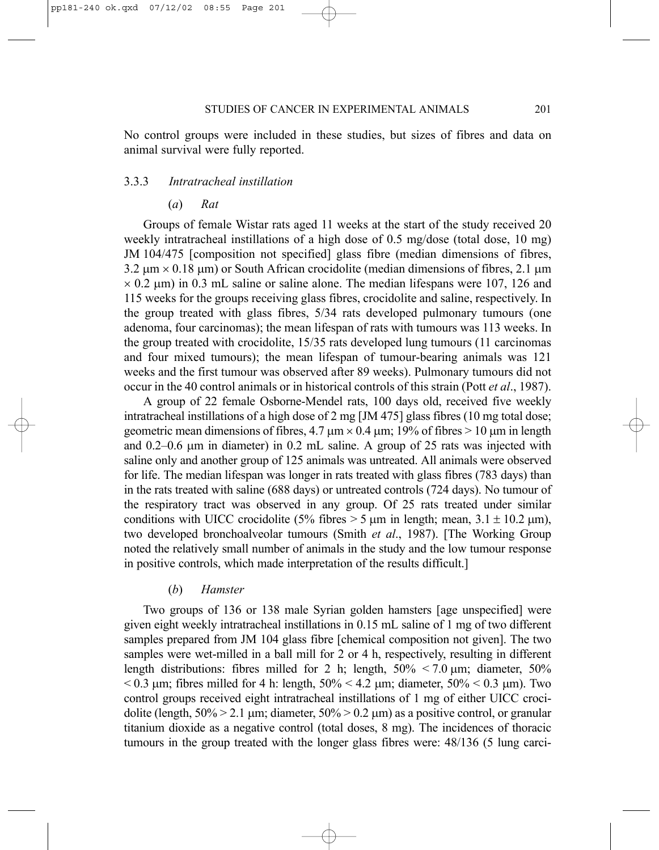No control groups were included in these studies, but sizes of fibres and data on animal survival were fully reported.

# 3.3.3 *Intratracheal instillation*

(*a*) *Rat*

Groups of female Wistar rats aged 11 weeks at the start of the study received 20 weekly intratracheal instillations of a high dose of 0.5 mg/dose (total dose, 10 mg) JM 104/475 [composition not specified] glass fibre (median dimensions of fibres,  $3.2 \text{ µm} \times 0.18 \text{ µm}$ ) or South African crocidolite (median dimensions of fibres,  $2.1 \text{ µm}$  $\times$  0.2  $\mu$ m) in 0.3 mL saline or saline alone. The median lifespans were 107, 126 and 115 weeks for the groups receiving glass fibres, crocidolite and saline, respectively. In the group treated with glass fibres, 5/34 rats developed pulmonary tumours (one adenoma, four carcinomas); the mean lifespan of rats with tumours was 113 weeks. In the group treated with crocidolite, 15/35 rats developed lung tumours (11 carcinomas and four mixed tumours); the mean lifespan of tumour-bearing animals was 121 weeks and the first tumour was observed after 89 weeks). Pulmonary tumours did not occur in the 40 control animals or in historical controls of this strain (Pott *et al*., 1987).

A group of 22 female Osborne-Mendel rats, 100 days old, received five weekly intratracheal instillations of a high dose of 2 mg [JM 475] glass fibres (10 mg total dose; geometric mean dimensions of fibres,  $4.7 \mu m \times 0.4 \mu m$ ; 19% of fibres  $> 10 \mu m$  in length and  $0.2-0.6$  µm in diameter) in  $0.2$  mL saline. A group of  $25$  rats was injected with saline only and another group of 125 animals was untreated. All animals were observed for life. The median lifespan was longer in rats treated with glass fibres (783 days) than in the rats treated with saline (688 days) or untreated controls (724 days). No tumour of the respiratory tract was observed in any group. Of 25 rats treated under similar conditions with UICC crocidolite (5% fibres  $>$  5  $\mu$ m in length; mean, 3.1  $\pm$  10.2  $\mu$ m), two developed bronchoalveolar tumours (Smith *et al*., 1987). [The Working Group noted the relatively small number of animals in the study and the low tumour response in positive controls, which made interpretation of the results difficult.]

#### (*b*) *Hamster*

Two groups of 136 or 138 male Syrian golden hamsters [age unspecified] were given eight weekly intratracheal instillations in 0.15 mL saline of 1 mg of two different samples prepared from JM 104 glass fibre [chemical composition not given]. The two samples were wet-milled in a ball mill for 2 or 4 h, respectively, resulting in different length distributions: fibres milled for 2 h; length,  $50\% < 7.0 \mu m$ ; diameter,  $50\%$  $< 0.3$  µm; fibres milled for 4 h: length,  $50\% < 4.2$  µm; diameter,  $50\% < 0.3$  µm). Two control groups received eight intratracheal instillations of 1 mg of either UICC crocidolite (length,  $50\% > 2.1$  µm; diameter,  $50\% > 0.2$  µm) as a positive control, or granular titanium dioxide as a negative control (total doses, 8 mg). The incidences of thoracic tumours in the group treated with the longer glass fibres were: 48/136 (5 lung carci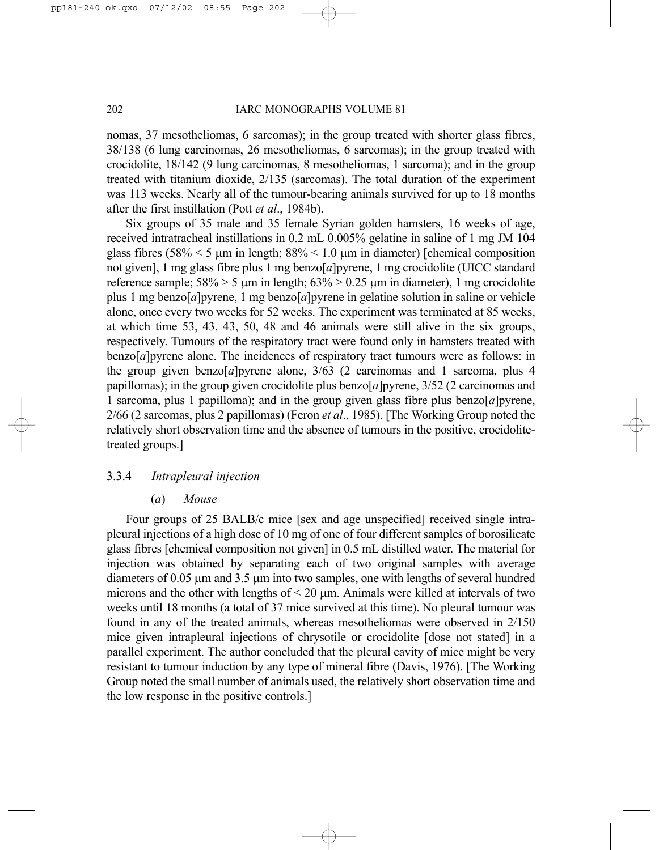nomas, 37 mesotheliomas, 6 sarcomas); in the group treated with shorter glass fibres, 38/138 (6 lung carcinomas, 26 mesotheliomas, 6 sarcomas); in the group treated with crocidolite, 18/142 (9 lung carcinomas, 8 mesotheliomas, 1 sarcoma); and in the group treated with titanium dioxide, 2/135 (sarcomas). The total duration of the experiment was 113 weeks. Nearly all of the tumour-bearing animals survived for up to 18 months after the first instillation (Pott *et al*., 1984b).

Six groups of 35 male and 35 female Syrian golden hamsters, 16 weeks of age, received intratracheal instillations in 0.2 mL 0.005% gelatine in saline of 1 mg JM 104 glass fibres (58%  $\leq$  5  $\mu$ m in length; 88%  $\leq$  1.0  $\mu$ m in diameter) [chemical composition not given], 1 mg glass fibre plus 1 mg benzo[*a*]pyrene, 1 mg crocidolite (UICC standard reference sample;  $58\% > 5$  µm in length;  $63\% > 0.25$  µm in diameter), 1 mg crocidolite plus 1 mg benzo[*a*]pyrene, 1 mg benzo[*a*]pyrene in gelatine solution in saline or vehicle alone, once every two weeks for 52 weeks. The experiment was terminated at 85 weeks, at which time 53, 43, 43, 50, 48 and 46 animals were still alive in the six groups, respectively. Tumours of the respiratory tract were found only in hamsters treated with benzo[*a*]pyrene alone. The incidences of respiratory tract tumours were as follows: in the group given benzo[ $a$ ]pyrene alone,  $3/63$  (2 carcinomas and 1 sarcoma, plus 4 papillomas); in the group given crocidolite plus benzo[*a*]pyrene, 3/52 (2 carcinomas and 1 sarcoma, plus 1 papilloma); and in the group given glass fibre plus benzo[*a*]pyrene, 2/66 (2 sarcomas, plus 2 papillomas) (Feron *et al*., 1985). [The Working Group noted the relatively short observation time and the absence of tumours in the positive, crocidolitetreated groups.]

# 3.3.4 *Intrapleural injection*

(*a*) *Mouse*

Four groups of 25 BALB/c mice [sex and age unspecified] received single intrapleural injections of a high dose of 10 mg of one of four different samples of borosilicate glass fibres [chemical composition not given] in 0.5 mL distilled water. The material for injection was obtained by separating each of two original samples with average diameters of 0.05 µm and 3.5 µm into two samples, one with lengths of several hundred microns and the other with lengths of  $\leq$  20  $\mu$ m. Animals were killed at intervals of two weeks until 18 months (a total of 37 mice survived at this time). No pleural tumour was found in any of the treated animals, whereas mesotheliomas were observed in 2/150 mice given intrapleural injections of chrysotile or crocidolite [dose not stated] in a parallel experiment. The author concluded that the pleural cavity of mice might be very resistant to tumour induction by any type of mineral fibre (Davis, 1976). [The Working Group noted the small number of animals used, the relatively short observation time and the low response in the positive controls.]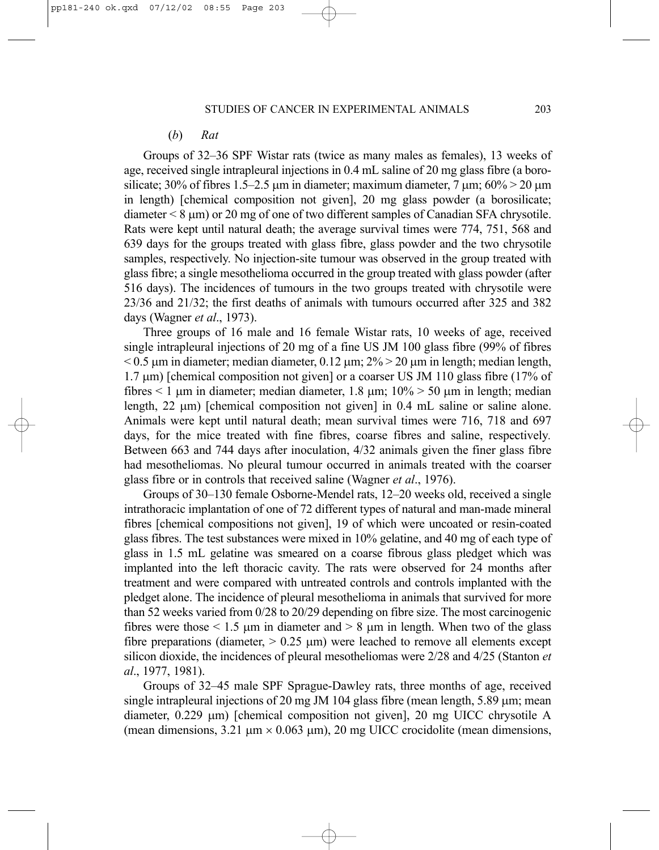#### (*b*) *Rat*

Groups of 32–36 SPF Wistar rats (twice as many males as females), 13 weeks of age, received single intrapleural injections in 0.4 mL saline of 20 mg glass fibre (a borosilicate; 30% of fibres 1.5–2.5  $\mu$ m in diameter; maximum diameter, 7  $\mu$ m; 60% > 20  $\mu$ m in length) [chemical composition not given], 20 mg glass powder (a borosilicate; diameter < 8 µm) or 20 mg of one of two different samples of Canadian SFA chrysotile. Rats were kept until natural death; the average survival times were 774, 751, 568 and 639 days for the groups treated with glass fibre, glass powder and the two chrysotile samples, respectively. No injection-site tumour was observed in the group treated with glass fibre; a single mesothelioma occurred in the group treated with glass powder (after 516 days). The incidences of tumours in the two groups treated with chrysotile were 23/36 and 21/32; the first deaths of animals with tumours occurred after 325 and 382 days (Wagner *et al*., 1973).

Three groups of 16 male and 16 female Wistar rats, 10 weeks of age, received single intrapleural injections of 20 mg of a fine US JM 100 glass fibre (99% of fibres  $< 0.5$  µm in diameter; median diameter, 0.12 µm;  $2\% > 20$  µm in length; median length, 1.7 µm) [chemical composition not given] or a coarser US JM 110 glass fibre (17% of fibres  $\leq 1$  µm in diameter; median diameter, 1.8 µm;  $10\% > 50$  µm in length; median length,  $22 \mu m$ ) [chemical composition not given] in 0.4 mL saline or saline alone. Animals were kept until natural death; mean survival times were 716, 718 and 697 days, for the mice treated with fine fibres, coarse fibres and saline, respectively*.* Between 663 and 744 days after inoculation, 4/32 animals given the finer glass fibre had mesotheliomas. No pleural tumour occurred in animals treated with the coarser glass fibre or in controls that received saline (Wagner *et al*., 1976).

Groups of 30–130 female Osborne-Mendel rats, 12–20 weeks old, received a single intrathoracic implantation of one of 72 different types of natural and man-made mineral fibres [chemical compositions not given], 19 of which were uncoated or resin-coated glass fibres. The test substances were mixed in 10% gelatine, and 40 mg of each type of glass in 1.5 mL gelatine was smeared on a coarse fibrous glass pledget which was implanted into the left thoracic cavity. The rats were observed for 24 months after treatment and were compared with untreated controls and controls implanted with the pledget alone. The incidence of pleural mesothelioma in animals that survived for more than 52 weeks varied from 0/28 to 20/29 depending on fibre size. The most carcinogenic fibres were those  $\leq 1.5$  µm in diameter and  $> 8$  µm in length. When two of the glass fibre preparations (diameter,  $> 0.25$  µm) were leached to remove all elements except silicon dioxide, the incidences of pleural mesotheliomas were 2/28 and 4/25 (Stanton *et al*., 1977, 1981).

Groups of 32–45 male SPF Sprague-Dawley rats, three months of age, received single intrapleural injections of 20 mg JM 104 glass fibre (mean length,  $5.89 \text{ µm}$ ; mean diameter, 0.229 µm) [chemical composition not given], 20 mg UICC chrysotile A (mean dimensions,  $3.21 \mu m \times 0.063 \mu m$ ), 20 mg UICC crocidolite (mean dimensions,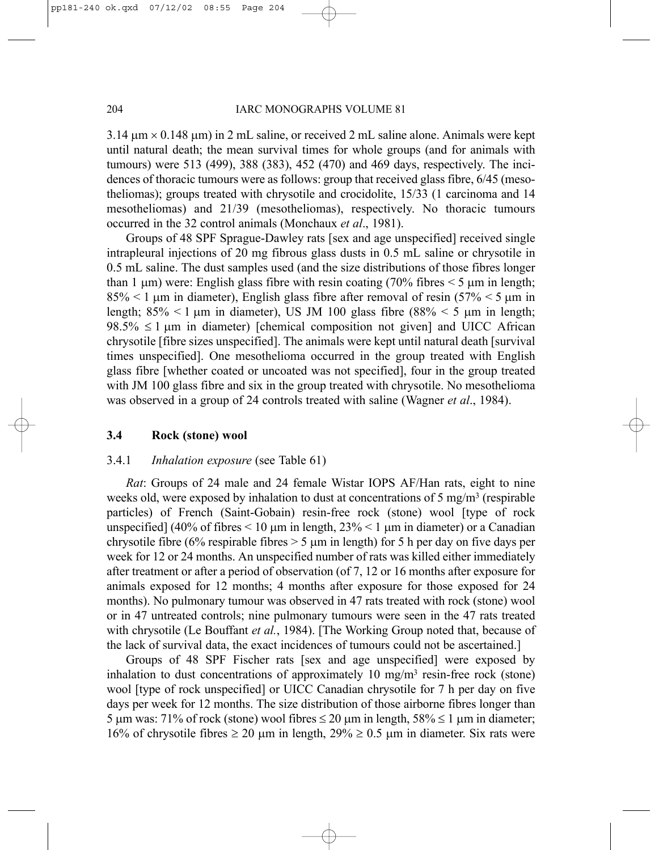$3.14 \text{ µm} \times 0.148 \text{ µm}$  in 2 mL saline, or received 2 mL saline alone. Animals were kept until natural death; the mean survival times for whole groups (and for animals with tumours) were 513 (499), 388 (383), 452 (470) and 469 days, respectively. The incidences of thoracic tumours were as follows: group that received glass fibre, 6/45 (mesotheliomas); groups treated with chrysotile and crocidolite, 15/33 (1 carcinoma and 14 mesotheliomas) and 21/39 (mesotheliomas), respectively. No thoracic tumours occurred in the 32 control animals (Monchaux *et al*., 1981).

Groups of 48 SPF Sprague-Dawley rats [sex and age unspecified] received single intrapleural injections of 20 mg fibrous glass dusts in 0.5 mL saline or chrysotile in 0.5 mL saline. The dust samples used (and the size distributions of those fibres longer than 1  $\mu$ m) were: English glass fibre with resin coating (70% fibres  $\leq$  5  $\mu$ m in length;  $85\% < 1 \,\mu m$  in diameter), English glass fibre after removal of resin (57%  $< 5 \,\mu m$  in length;  $85\% < 1 \,\text{\mu m}$  in diameter), US JM 100 glass fibre  $(88\% < 5 \,\text{\mu m}$  in length;  $98.5\% \leq 1 \text{ µm}$  in diameter) [chemical composition not given] and UICC African chrysotile [fibre sizes unspecified]. The animals were kept until natural death [survival times unspecified]. One mesothelioma occurred in the group treated with English glass fibre [whether coated or uncoated was not specified], four in the group treated with JM 100 glass fibre and six in the group treated with chrysotile. No mesothelioma was observed in a group of 24 controls treated with saline (Wagner *et al*., 1984).

# **3.4 Rock (stone) wool**

# 3.4.1 *Inhalation exposure* (see Table 61)

*Rat*: Groups of 24 male and 24 female Wistar IOPS AF/Han rats, eight to nine weeks old, were exposed by inhalation to dust at concentrations of 5 mg/m<sup>3</sup> (respirable particles) of French (Saint-Gobain) resin-free rock (stone) wool [type of rock unspecified] (40% of fibres  $\leq 10$  µm in length, 23%  $\leq 1$  µm in diameter) or a Canadian chrysotile fibre (6% respirable fibres  $> 5 \mu$ m in length) for 5 h per day on five days per week for 12 or 24 months. An unspecified number of rats was killed either immediately after treatment or after a period of observation (of 7, 12 or 16 months after exposure for animals exposed for 12 months; 4 months after exposure for those exposed for 24 months). No pulmonary tumour was observed in 47 rats treated with rock (stone) wool or in 47 untreated controls; nine pulmonary tumours were seen in the 47 rats treated with chrysotile (Le Bouffant *et al.*, 1984). [The Working Group noted that, because of the lack of survival data, the exact incidences of tumours could not be ascertained.]

Groups of 48 SPF Fischer rats [sex and age unspecified] were exposed by inhalation to dust concentrations of approximately 10 mg/m3 resin-free rock (stone) wool [type of rock unspecified] or UICC Canadian chrysotile for 7 h per day on five days per week for 12 months. The size distribution of those airborne fibres longer than 5 µm was: 71% of rock (stone) wool fibres  $\leq 20$  µm in length,  $58\% \leq 1$  µm in diameter; 16% of chrysotile fibres  $\geq 20$  µm in length,  $29\% \geq 0.5$  µm in diameter. Six rats were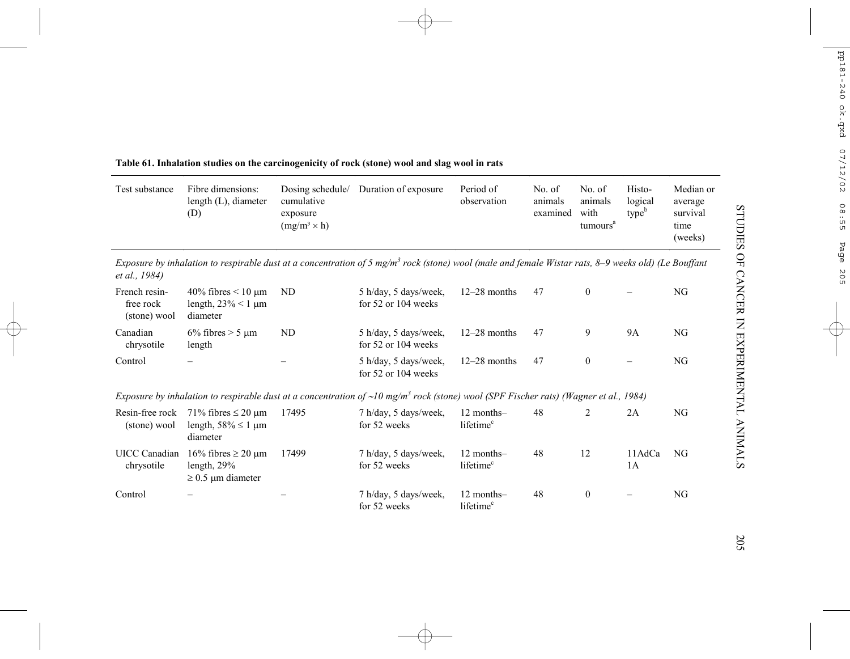| Test substance                             | Fibre dimensions:<br>length (L), diameter<br>(D)                                 | Dosing schedule/<br>cumulative<br>exposure<br>$(mg/m^3 \times h)$ | Duration of exposure                                                                                                                                            | Period of<br>observation            | No. of<br>animals<br>examined | No. of<br>animals<br>with<br>tumours <sup>a</sup> | Histo-<br>logical<br>type <sup>b</sup> | Median or<br>average<br>survival<br>time<br>(weeks) |
|--------------------------------------------|----------------------------------------------------------------------------------|-------------------------------------------------------------------|-----------------------------------------------------------------------------------------------------------------------------------------------------------------|-------------------------------------|-------------------------------|---------------------------------------------------|----------------------------------------|-----------------------------------------------------|
| <i>et al., 1984</i> )                      |                                                                                  |                                                                   | Exposure by inhalation to respirable dust at a concentration of 5 mg/m <sup>3</sup> rock (stone) wool (male and female Wistar rats, 8–9 weeks old) (Le Bouffant |                                     |                               |                                                   |                                        |                                                     |
| French resin-<br>free rock<br>(stone) wool | 40% fibres $\leq 10 \text{ }\mu\text{m}$<br>length, $23\% < 1 \mu m$<br>diameter | ND                                                                | 5 h/day, 5 days/week,<br>for $52$ or $104$ weeks                                                                                                                | $12-28$ months                      | 47                            | $\mathbf{0}$                                      |                                        | NG                                                  |
| Canadian<br>chrysotile                     | $6\%$ fibres > 5 µm<br>length                                                    | ND                                                                | 5 h/day, 5 days/week,<br>for $52$ or $104$ weeks                                                                                                                | $12-28$ months                      | 47                            | 9                                                 | <b>9A</b>                              | NG                                                  |
| Control                                    |                                                                                  |                                                                   | 5 h/day, 5 days/week,<br>for 52 or 104 weeks                                                                                                                    | $12-28$ months                      | 47                            | $\mathbf{0}$                                      |                                        | NG                                                  |
|                                            |                                                                                  |                                                                   | Exposure by inhalation to respirable dust at a concentration of $\sim 10$ mg/m <sup>3</sup> rock (stone) wool (SPF Fischer rats) (Wagner et al., 1984)          |                                     |                               |                                                   |                                        |                                                     |
| Resin-free rock<br>(stone) wool            | 71% fibres $\leq$ 20 µm<br>length, $58\% \leq 1 \mu m$<br>diameter               | 17495                                                             | 7 h/day, 5 days/week,<br>for 52 weeks                                                                                                                           | 12 months-<br>lifetime <sup>c</sup> | 48                            | 2                                                 | 2A                                     | NG                                                  |
| <b>UICC</b> Canadian<br>chrysotile         | 16% fibres $\geq$ 20 µm<br>length, $29\%$<br>$\geq$ 0.5 µm diameter              | 17499                                                             | 7 h/day, 5 days/week,<br>for 52 weeks                                                                                                                           | 12 months-<br>lifetime <sup>c</sup> | 48                            | 12                                                | 11AdCa<br>1A                           | NG                                                  |
| Control                                    |                                                                                  |                                                                   | 7 h/day, 5 days/week,<br>for 52 weeks                                                                                                                           | 12 months-<br>lifetime <sup>c</sup> | 48                            | $\mathbf{0}$                                      |                                        | NG                                                  |

# **Table 61. Inhalation studies on the carcinogenicity of rock (stone) wool and slag wool in rats**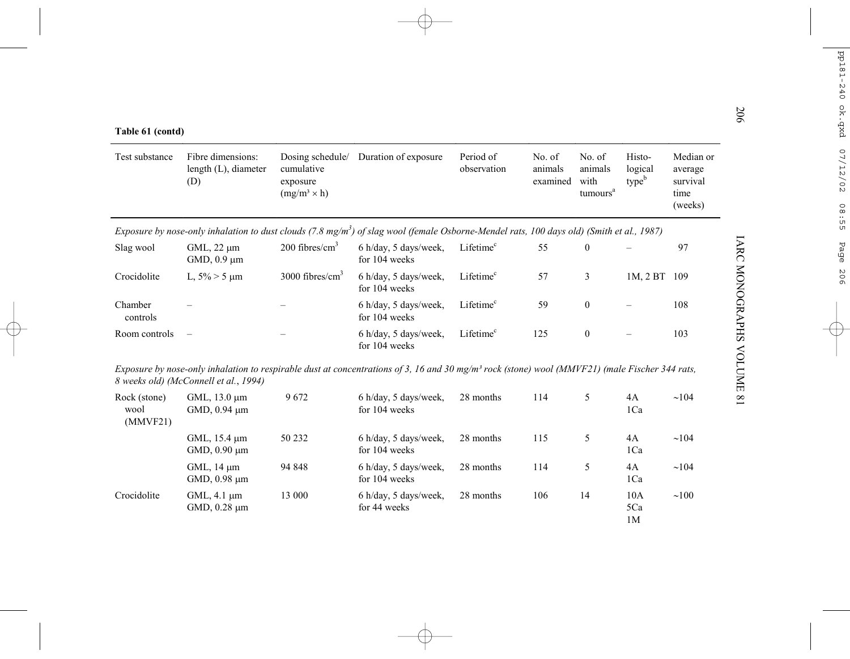| Table 61 (contd)                 |                                                  |                                                                   |                                                                                                                                                            |                          |                               |                                                   |                                        |                                                     |
|----------------------------------|--------------------------------------------------|-------------------------------------------------------------------|------------------------------------------------------------------------------------------------------------------------------------------------------------|--------------------------|-------------------------------|---------------------------------------------------|----------------------------------------|-----------------------------------------------------|
| Test substance                   | Fibre dimensions:<br>length (L), diameter<br>(D) | Dosing schedule/<br>cumulative<br>exposure<br>$(mg/m^3 \times h)$ | Duration of exposure                                                                                                                                       | Period of<br>observation | No. of<br>animals<br>examined | No. of<br>animals<br>with<br>tumours <sup>a</sup> | Histo-<br>logical<br>type <sup>b</sup> | Median or<br>average<br>survival<br>time<br>(weeks) |
|                                  |                                                  |                                                                   | Exposure by nose-only inhalation to dust clouds $(7.8 \text{ mg/m}^3)$ of slag wool (female Osborne-Mendel rats, 100 days old) (Smith et al., 1987)        |                          |                               |                                                   |                                        |                                                     |
| Slag wool                        | $GML$ , 22 $\mu$ m<br>GMD, $0.9 \mu m$           | $200$ fibres/cm <sup>3</sup>                                      | 6 h/day, 5 days/week,<br>for 104 weeks                                                                                                                     | Lifetime <sup>c</sup>    | 55                            | $\boldsymbol{0}$                                  |                                        | 97                                                  |
| Crocidolite                      | L, $5\% > 5 \mu m$                               | $3000$ fibres/cm <sup>3</sup>                                     | 6 h/day, 5 days/week,<br>for 104 weeks                                                                                                                     | Lifetime <sup>c</sup>    | 57                            | 3                                                 | 1M, 2BT                                | 109                                                 |
| Chamber<br>controls              |                                                  |                                                                   | 6 h/day, 5 days/week,<br>for 104 weeks                                                                                                                     | Lifetime <sup>c</sup>    | 59                            | $\mathbf{0}$                                      |                                        | 108                                                 |
| Room controls                    | $\overline{\phantom{0}}$                         |                                                                   | 6 h/day, 5 days/week,<br>for 104 weeks                                                                                                                     | Lifetime <sup>c</sup>    | 125                           | $\mathbf{0}$                                      |                                        | 103                                                 |
|                                  | 8 weeks old) (McConnell et al., 1994)            |                                                                   | Exposure by nose-only inhalation to respirable dust at concentrations of 3, 16 and 30 mg/m <sup>3</sup> rock (stone) wool (MMVF21) (male Fischer 344 rats, |                          |                               |                                                   |                                        |                                                     |
| Rock (stone)<br>wool<br>(MMVF21) | GML, 13.0 μm<br>GMD, 0.94 µm                     | 9672                                                              | 6 h/day, 5 days/week,<br>for 104 weeks                                                                                                                     | 28 months                | 114                           | 5                                                 | 4A<br>1Ca                              | ~104                                                |
|                                  | GML, 15.4 um<br>GMD, 0.90 µm                     | 50 232                                                            | 6 h/day, 5 days/week,<br>for 104 weeks                                                                                                                     | 28 months                | 115                           | 5                                                 | 4A<br>1Ca                              | ~104                                                |
|                                  | GML, 14 µm<br>GMD, 0.98 µm                       | 94 848                                                            | 6 h/day, 5 days/week,<br>for 104 weeks                                                                                                                     | 28 months                | 114                           | 5                                                 | 4A<br>1Ca                              | ~104                                                |
| Crocidolite                      | $GML$ , 4.1 $\mu$ m<br>GMD, 0.28 µm              | 13 000                                                            | 6 h/day, 5 days/week,<br>for 44 weeks                                                                                                                      | 28 months                | 106                           | 14                                                | 10A<br>5Ca<br>1 <sub>M</sub>           | $\sim 100$                                          |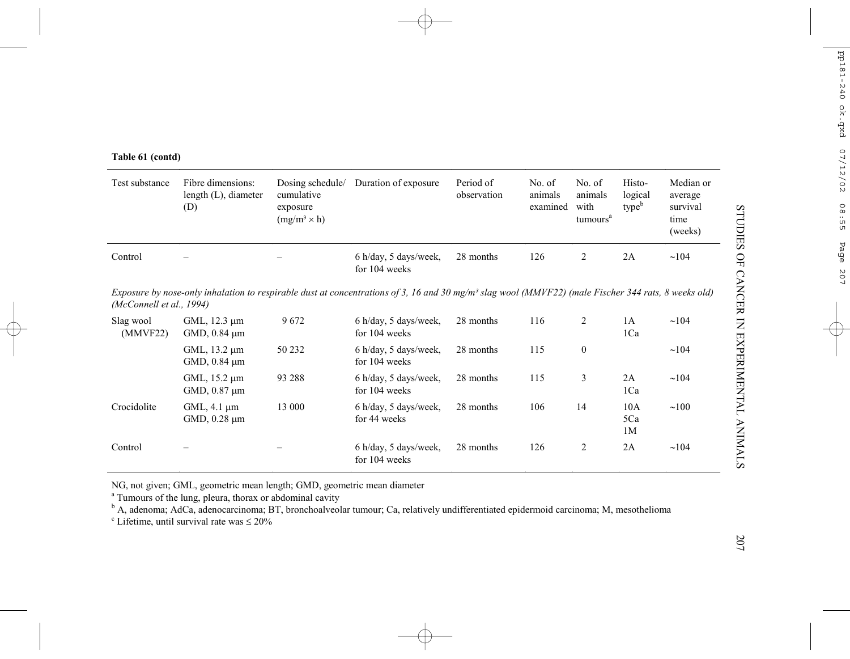|  | Table 61 (contd) |
|--|------------------|
|  |                  |

| Test substance           | Fibre dimensions:<br>length $(L)$ , diameter<br>(D) | Dosing schedule/<br>cumulative<br>exposure<br>$(mg/m^3 \times h)$ | Duration of exposure                                                                                                                                            | Period of<br>observation | No. of<br>animals<br>examined | No. of<br>animals<br>with<br>tumours <sup>a</sup> | Histo-<br>logical<br>type <sup>b</sup> | Median or<br>average<br>survival<br>time<br>(weeks) |
|--------------------------|-----------------------------------------------------|-------------------------------------------------------------------|-----------------------------------------------------------------------------------------------------------------------------------------------------------------|--------------------------|-------------------------------|---------------------------------------------------|----------------------------------------|-----------------------------------------------------|
| Control                  |                                                     |                                                                   | 6 h/day, 5 days/week,<br>for 104 weeks                                                                                                                          | 28 months                | 126                           |                                                   | 2A                                     | $\sim$ 104                                          |
| (McConnell et al., 1994) |                                                     |                                                                   | Exposure by nose-only inhalation to respirable dust at concentrations of 3, 16 and 30 mg/m <sup>3</sup> slag wool (MMVF22) (male Fischer 344 rats, 8 weeks old) |                          |                               |                                                   |                                        |                                                     |
| Slag wool                | GML 12.3 um                                         | 9672                                                              | 6 h/day 5 days/week                                                                                                                                             | 28 months                | 116                           |                                                   | ΙA                                     | $\sim$ 104                                          |

| Slag wool<br>(MMVF22) | GML, 12.3 um<br>GMD, $0.84 \mu m$        | 9672   | 6 h/day, 5 days/week,<br>for 104 weeks | 28 months | 116 | ົ            | 1A<br>1Ca        | $\sim$ 104 |
|-----------------------|------------------------------------------|--------|----------------------------------------|-----------|-----|--------------|------------------|------------|
|                       | GML, $13.2 \mu m$<br>GMD, $0.84 \mu m$   | 50 232 | 6 h/day, 5 days/week,<br>for 104 weeks | 28 months | 115 | $\mathbf{0}$ |                  | $\sim$ 104 |
|                       | GML, $15.2 \mu m$<br>GMD, $0.87 \mu m$   | 93 288 | 6 h/day, 5 days/week,<br>for 104 weeks | 28 months | 115 | 3            | 2A<br>1Ca        | $\sim$ 104 |
| Crocidolite           | $GML$ , 4.1 $\mu$ m<br>$GMD, 0.28 \mu m$ | 13 000 | 6 h/day, 5 days/week,<br>for 44 weeks  | 28 months | 106 | 14           | 10A<br>5Ca<br>1M | $\sim 100$ |
| Control               | -                                        |        | 6 h/day, 5 days/week,<br>for 104 weeks | 28 months | 126 | 2            | 2A               | $\sim$ 104 |

NG, not given; GML, geometric mean length; GMD, geometric mean diameter

<sup>a</sup> Tumours of the lung, pleura, thorax or abdominal cavity<br><sup>b</sup> A, adenoma; AdCa, adenocarcinoma; BT, bronchoalveolar tumour; Ca, relatively undifferentiated epidermoid carcinoma; M, mesothelioma

 $\textdegree$  Lifetime, until survival rate was  $\leq 20\%$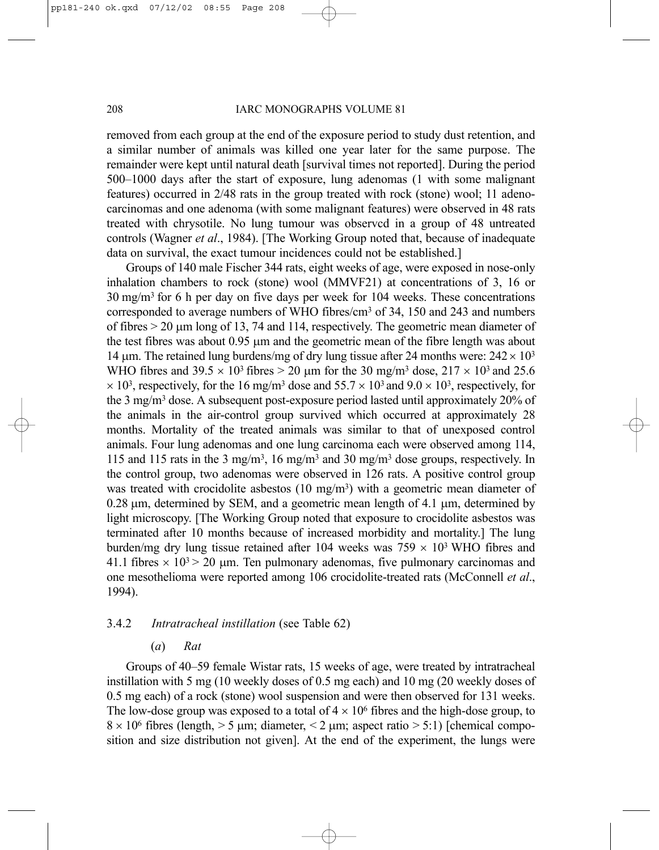removed from each group at the end of the exposure period to study dust retention, and a similar number of animals was killed one year later for the same purpose. The remainder were kept until natural death [survival times not reported]. During the period 500–1000 days after the start of exposure, lung adenomas (1 with some malignant features) occurred in 2/48 rats in the group treated with rock (stone) wool; 11 adenocarcinomas and one adenoma (with some malignant features) were observed in 48 rats treated with chrysotile. No lung tumour was observcd in a group of 48 untreated controls (Wagner *et al*., 1984). [The Working Group noted that, because of inadequate data on survival, the exact tumour incidences could not be established.]

Groups of 140 male Fischer 344 rats, eight weeks of age, were exposed in nose-only inhalation chambers to rock (stone) wool (MMVF21) at concentrations of 3, 16 or 30 mg/m3 for 6 h per day on five days per week for 104 weeks. These concentrations corresponded to average numbers of WHO fibres/cm3 of 34, 150 and 243 and numbers of fibres > 20 µm long of 13, 74 and 114, respectively. The geometric mean diameter of the test fibres was about 0.95 µm and the geometric mean of the fibre length was about 14  $\mu$ m. The retained lung burdens/mg of dry lung tissue after 24 months were:  $242 \times 10^3$ WHO fibres and  $39.5 \times 10^3$  fibres  $> 20$  µm for the 30 mg/m<sup>3</sup> dose,  $217 \times 10^3$  and 25.6  $\times$  10<sup>3</sup>, respectively, for the 16 mg/m<sup>3</sup> dose and 55.7  $\times$  10<sup>3</sup> and 9.0  $\times$  10<sup>3</sup>, respectively, for the 3 mg/m3 dose. A subsequent post-exposure period lasted until approximately 20% of the animals in the air-control group survived which occurred at approximately 28 months. Mortality of the treated animals was similar to that of unexposed control animals. Four lung adenomas and one lung carcinoma each were observed among 114, 115 and 115 rats in the 3 mg/m3, 16 mg/m3 and 30 mg/m3 dose groups, respectively. In the control group, two adenomas were observed in 126 rats. A positive control group was treated with crocidolite asbestos (10 mg/m<sup>3</sup>) with a geometric mean diameter of 0.28 µm, determined by SEM, and a geometric mean length of 4.1 µm, determined by light microscopy. [The Working Group noted that exposure to crocidolite asbestos was terminated after 10 months because of increased morbidity and mortality.] The lung burden/mg dry lung tissue retained after 104 weeks was  $759 \times 10^3$  WHO fibres and 41.1 fibres  $\times$  10<sup>3</sup> > 20 µm. Ten pulmonary adenomas, five pulmonary carcinomas and one mesothelioma were reported among 106 crocidolite-treated rats (McConnell *et al*., 1994).

# 3.4.2 *Intratracheal instillation* (see Table 62)

#### (*a*) *Rat*

Groups of 40–59 female Wistar rats, 15 weeks of age, were treated by intratracheal instillation with 5 mg (10 weekly doses of 0.5 mg each) and 10 mg (20 weekly doses of 0.5 mg each) of a rock (stone) wool suspension and were then observed for 131 weeks. The low-dose group was exposed to a total of  $4 \times 10^6$  fibres and the high-dose group, to  $8 \times 10^6$  fibres (length,  $> 5 \mu m$ ; diameter,  $< 2 \mu m$ ; aspect ratio  $> 5:1$ ) [chemical composition and size distribution not given]. At the end of the experiment, the lungs were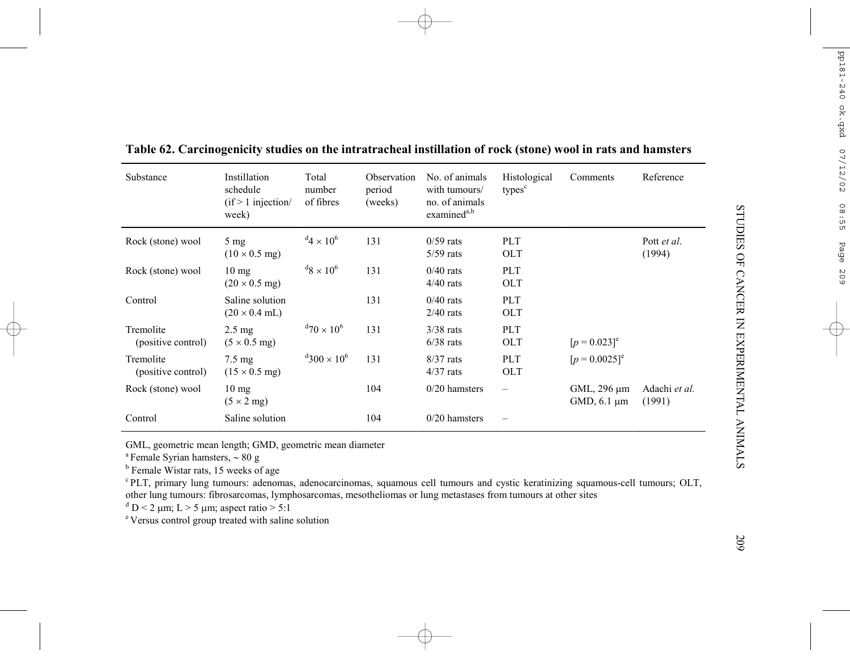| Substance                       | Instillation<br>schedule<br>$(if > 1$ injection<br>week) | Total<br>number<br>of fibres       | Observation<br>period<br>(weeks) | No. of animals<br>with tumours/<br>no. of animals<br>examined <sup>a,b</sup> | Histological<br>types <sup>c</sup> | Comments                        | Reference               |
|---------------------------------|----------------------------------------------------------|------------------------------------|----------------------------------|------------------------------------------------------------------------------|------------------------------------|---------------------------------|-------------------------|
| Rock (stone) wool               | $5 \text{ mg}$<br>$(10 \times 0.5 \text{ mg})$           | $^{d}$ 4 × 10 <sup>6</sup>         | 131                              | $0/59$ rats<br>$5/59$ rats                                                   | <b>PLT</b><br><b>OLT</b>           |                                 | Pott et al.<br>(1994)   |
| Rock (stone) wool               | $10 \text{ mg}$<br>$(20 \times 0.5 \text{ mg})$          | $^{d}8 \times 10^{6}$              | 131                              | $0/40$ rats<br>$4/40$ rats                                                   | PLT<br><b>OLT</b>                  |                                 |                         |
| Control                         | Saline solution<br>$(20 \times 0.4 \text{ mL})$          |                                    | 131                              | $0/40$ rats<br>$2/40$ rats                                                   | PLT<br><b>OLT</b>                  |                                 |                         |
| Tremolite<br>(positive control) | $2.5 \text{ mg}$<br>$(5 \times 0.5 \text{ mg})$          | $^{d}$ 70 $\times$ 10 <sup>6</sup> | 131                              | $3/38$ rats<br>$6/38$ rats                                                   | PLT<br><b>OLT</b>                  | $[p = 0.023]$ <sup>e</sup>      |                         |
| Tremolite<br>(positive control) | $7.5 \text{ mg}$<br>$(15 \times 0.5 \text{ mg})$         | $4300 \times 10^{6}$               | 131                              | $8/37$ rats<br>$4/37$ rats                                                   | <b>PLT</b><br><b>OLT</b>           | $[p = 0.0025]^e$                |                         |
| Rock (stone) wool               | $10 \text{ mg}$<br>$(5 \times 2$ mg)                     |                                    | 104                              | $0/20$ hamsters                                                              | $\overline{\phantom{0}}$           | GML, 296 µm<br>GMD, $6.1 \mu m$ | Adachi et al.<br>(1991) |
| Control                         | Saline solution                                          |                                    | 104                              | $0/20$ hamsters                                                              |                                    |                                 |                         |

**Table 62. Carcinogenicity studies on the intratracheal instillation of rock (stone) wool in rats and hamsters**

GML, geometric mean length; GMD, geometric mean diameter

a Female Syrian hamsters, <sup>∼</sup> 80 g

 $<sup>b</sup>$  Female Wistar rats, 15 weeks of age</sup>

c PLT, primary lung tumours: adenomas, adenocarcinomas, squamous cell tumours and cystic keratinizing squamous-cell tumours; OLT, other lung tumours: fibrosarcomas, lymphosarcomas, mesotheliomas or lung metastases from tumours at other sites

 $\rm d$  D < 2 µm; L > 5 µm; aspect ratio > 5:1

e Versus control group treated with saline solution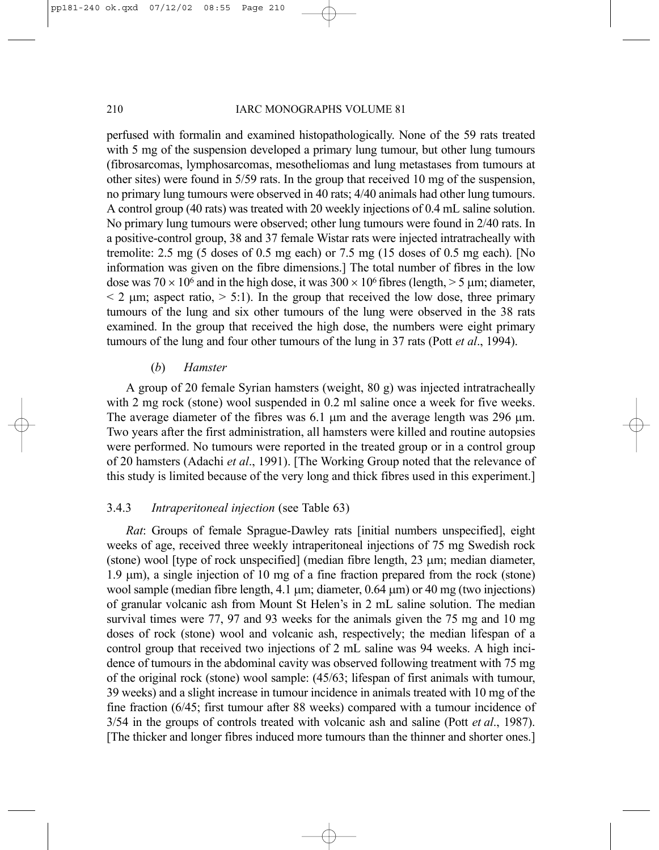### 210 **IARC MONOGRAPHS VOLUME 81**

perfused with formalin and examined histopathologically. None of the 59 rats treated with 5 mg of the suspension developed a primary lung tumour, but other lung tumours (fibrosarcomas, lymphosarcomas, mesotheliomas and lung metastases from tumours at other sites) were found in 5/59 rats. In the group that received 10 mg of the suspension, no primary lung tumours were observed in 40 rats; 4/40 animals had other lung tumours. A control group (40 rats) was treated with 20 weekly injections of 0.4 mL saline solution. No primary lung tumours were observed; other lung tumours were found in 2/40 rats. In a positive-control group, 38 and 37 female Wistar rats were injected intratracheally with tremolite: 2.5 mg (5 doses of 0.5 mg each) or 7.5 mg (15 doses of 0.5 mg each). [No information was given on the fibre dimensions.] The total number of fibres in the low dose was  $70 \times 10^6$  and in the high dose, it was  $300 \times 10^6$  fibres (length,  $> 5$  µm; diameter,  $\leq$  2  $\mu$ m; aspect ratio,  $>$  5:1). In the group that received the low dose, three primary tumours of the lung and six other tumours of the lung were observed in the 38 rats examined. In the group that received the high dose, the numbers were eight primary tumours of the lung and four other tumours of the lung in 37 rats (Pott *et al*., 1994).

# (*b*) *Hamster*

A group of 20 female Syrian hamsters (weight, 80 g) was injected intratracheally with 2 mg rock (stone) wool suspended in 0.2 ml saline once a week for five weeks. The average diameter of the fibres was 6.1  $\mu$ m and the average length was 296  $\mu$ m. Two years after the first administration, all hamsters were killed and routine autopsies were performed. No tumours were reported in the treated group or in a control group of 20 hamsters (Adachi *et al*., 1991). [The Working Group noted that the relevance of this study is limited because of the very long and thick fibres used in this experiment.]

# 3.4.3 *Intraperitoneal injection* (see Table 63)

*Rat*: Groups of female Sprague-Dawley rats [initial numbers unspecified], eight weeks of age, received three weekly intraperitoneal injections of 75 mg Swedish rock (stone) wool [type of rock unspecified] (median fibre length, 23 µm; median diameter, 1.9 µm), a single injection of 10 mg of a fine fraction prepared from the rock (stone) wool sample (median fibre length, 4.1  $\mu$ m; diameter, 0.64  $\mu$ m) or 40 mg (two injections) of granular volcanic ash from Mount St Helen's in 2 mL saline solution. The median survival times were 77, 97 and 93 weeks for the animals given the 75 mg and 10 mg doses of rock (stone) wool and volcanic ash, respectively; the median lifespan of a control group that received two injections of 2 mL saline was 94 weeks. A high incidence of tumours in the abdominal cavity was observed following treatment with 75 mg of the original rock (stone) wool sample: (45/63; lifespan of first animals with tumour, 39 weeks) and a slight increase in tumour incidence in animals treated with 10 mg of the fine fraction (6/45; first tumour after 88 weeks) compared with a tumour incidence of 3/54 in the groups of controls treated with volcanic ash and saline (Pott *et al*., 1987). [The thicker and longer fibres induced more tumours than the thinner and shorter ones.]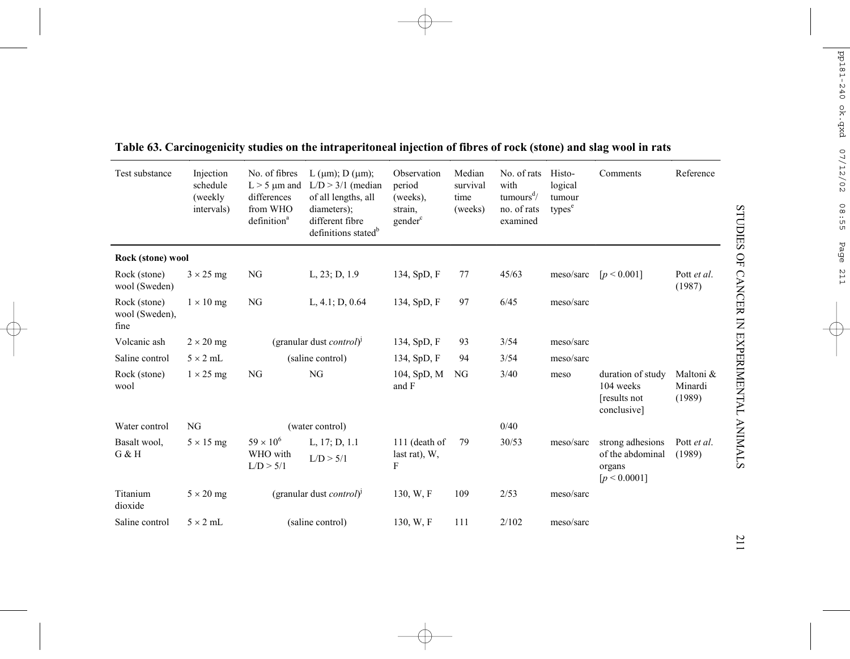| Test substance                         | Injection<br>schedule<br>(weekly)<br>intervals) | No. of fibres<br>$L > 5$ µm and<br>differences<br>from WHO<br>definition <sup>a</sup> | $L (µm)$ ; $D (µm)$ ;<br>$L/D > 3/1$ (median<br>of all lengths, all<br>diameters);<br>different fibre<br>definitions stated <sup>b</sup> | Observation<br>period<br>(weeks),<br>strain,<br>gender <sup>c</sup> | Median<br>survival<br>time<br>(weeks) | No. of rats<br>with<br>tumours <sup>d</sup> /<br>no. of rats<br>examined | Histo-<br>logical<br>tumour<br>types <sup>e</sup> | Comments                                                       | Reference                      |
|----------------------------------------|-------------------------------------------------|---------------------------------------------------------------------------------------|------------------------------------------------------------------------------------------------------------------------------------------|---------------------------------------------------------------------|---------------------------------------|--------------------------------------------------------------------------|---------------------------------------------------|----------------------------------------------------------------|--------------------------------|
| Rock (stone) wool                      |                                                 |                                                                                       |                                                                                                                                          |                                                                     |                                       |                                                                          |                                                   |                                                                |                                |
| Rock (stone)<br>wool (Sweden)          | $3 \times 25$ mg                                | NG                                                                                    | L, 23; D, 1.9                                                                                                                            | 134, SpD, F                                                         | 77                                    | 45/63                                                                    | meso/sarc                                         | [p < 0.001]                                                    | Pott et al.<br>(1987)          |
| Rock (stone)<br>wool (Sweden),<br>fine | $1 \times 10$ mg                                | NG                                                                                    | L, 4.1; D, 0.64                                                                                                                          | 134, SpD, F                                                         | 97                                    | 6/45                                                                     | meso/sarc                                         |                                                                |                                |
| Volcanic ash                           | $2 \times 20$ mg                                |                                                                                       | (granular dust <i>control</i> ) <sup><math>\vert</math></sup>                                                                            | 134, SpD, F                                                         | 93                                    | 3/54                                                                     | meso/sarc                                         |                                                                |                                |
| Saline control                         | $5 \times 2$ mL                                 |                                                                                       | (saline control)                                                                                                                         | 134, SpD, F                                                         | 94                                    | 3/54                                                                     | meso/sarc                                         |                                                                |                                |
| Rock (stone)<br>wool                   | $1 \times 25$ mg                                | NG                                                                                    | NG                                                                                                                                       | 104, SpD, M<br>and F                                                | NG                                    | 3/40                                                                     | meso                                              | duration of study<br>104 weeks<br>results not<br>conclusive]   | Maltoni &<br>Minardi<br>(1989) |
| Water control                          | NG                                              |                                                                                       | (water control)                                                                                                                          |                                                                     |                                       | 0/40                                                                     |                                                   |                                                                |                                |
| Basalt wool,<br>G & H                  | $5 \times 15$ mg                                | $59 \times 10^{6}$<br>WHO with<br>L/D > 5/1                                           | L, $17; D, 1.1$<br>L/D > 5/1                                                                                                             | 111 (death of<br>last rat), W,<br>F                                 | 79                                    | 30/53                                                                    | meso/sarc                                         | strong adhesions<br>of the abdominal<br>organs<br>[p < 0.0001] | Pott et al.<br>(1989)          |
| Titanium<br>dioxide                    | $5 \times 20$ mg                                |                                                                                       | (granular dust <i>control</i> ) <sup>1</sup>                                                                                             | 130, W.F                                                            | 109                                   | 2/53                                                                     | meso/sarc                                         |                                                                |                                |
| Saline control                         | $5 \times 2$ mL                                 |                                                                                       | (saline control)                                                                                                                         | 130, W.F                                                            | 111                                   | 2/102                                                                    | meso/sarc                                         |                                                                |                                |

# **Table 63. Carcinogenicity studies on the intraperitoneal injection of fibres of rock (stone) and slag wool in rats**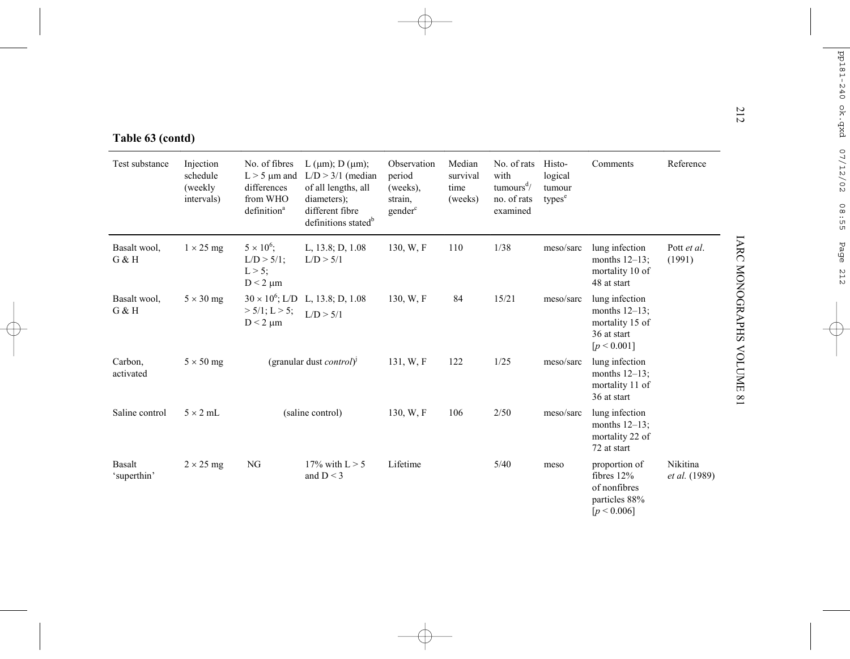|  | Table 63 (contd) |
|--|------------------|
|  |                  |

| Table 63 (contd)      |                                                |                                                                                          |                                                                                                                                                |                                                                     |                                       |                                                                                      |                                                   |                                                                                     |                           |
|-----------------------|------------------------------------------------|------------------------------------------------------------------------------------------|------------------------------------------------------------------------------------------------------------------------------------------------|---------------------------------------------------------------------|---------------------------------------|--------------------------------------------------------------------------------------|---------------------------------------------------|-------------------------------------------------------------------------------------|---------------------------|
| Test substance        | Injection<br>schedule<br>(weekly<br>intervals) | No. of fibres<br>$L > 5 \mu m$ and<br>differences<br>from WHO<br>definition <sup>a</sup> | L ( $\mu$ m); D ( $\mu$ m);<br>$L/D > 3/1$ (median<br>of all lengths, all<br>diameters);<br>different fibre<br>definitions stated <sup>b</sup> | Observation<br>period<br>(weeks),<br>strain,<br>gender <sup>c</sup> | Median<br>survival<br>time<br>(weeks) | No. of rats<br>with<br>tumours <sup><math>d/</math></sup><br>no. of rats<br>examined | Histo-<br>logical<br>tumour<br>types <sup>e</sup> | Comments                                                                            | Reference                 |
| Basalt wool,<br>G & H | $1 \times 25$ mg                               | $5 \times 10^6$ ;<br>$L/D > 5/1$ ;<br>$L > 5$ ;<br>$D < 2 \mu m$                         | L, 13.8; D, 1.08<br>L/D > 5/1                                                                                                                  | 130, W, F                                                           | 110                                   | 1/38                                                                                 | meso/sarc                                         | lung infection<br>months $12-13$ ;<br>mortality 10 of<br>48 at start                | Pott et al.<br>(1991)     |
| Basalt wool,<br>G & H | $5 \times 30$ mg                               | $> 5/1$ ; L $> 5$ ;<br>$D < 2 \mu m$                                                     | $30 \times 10^6$ ; L/D L, 13.8; D, 1.08<br>L/D > 5/1                                                                                           | 130, W, F                                                           | 84                                    | 15/21                                                                                | meso/sarc                                         | lung infection<br>months $12-13$ ;<br>mortality 15 of<br>36 at start<br>[p < 0.001] |                           |
| Carbon.<br>activated  | $5 \times 50$ mg                               |                                                                                          | (granular dust <i>control</i> ) <sup><math>\vert</math></sup>                                                                                  | 131, W.F                                                            | 122                                   | 1/25                                                                                 | meso/sarc                                         | lung infection<br>months $12-13$ ;<br>mortality 11 of<br>36 at start                |                           |
| Saline control        | $5 \times 2$ mL                                |                                                                                          | (saline control)                                                                                                                               | 130, W, F                                                           | 106                                   | 2/50                                                                                 | meso/sarc                                         | lung infection<br>months $12-13$ ;<br>mortality 22 of<br>72 at start                |                           |
| Basalt<br>'superthin' | $2 \times 25$ mg                               | NG                                                                                       | 17% with $L > 5$<br>and $D < 3$                                                                                                                | Lifetime                                                            |                                       | 5/40                                                                                 | meso                                              | proportion of<br>fibres $12%$<br>of nonfibres<br>particles 88%<br>[p < 0.006]       | Nikitina<br>et al. (1989) |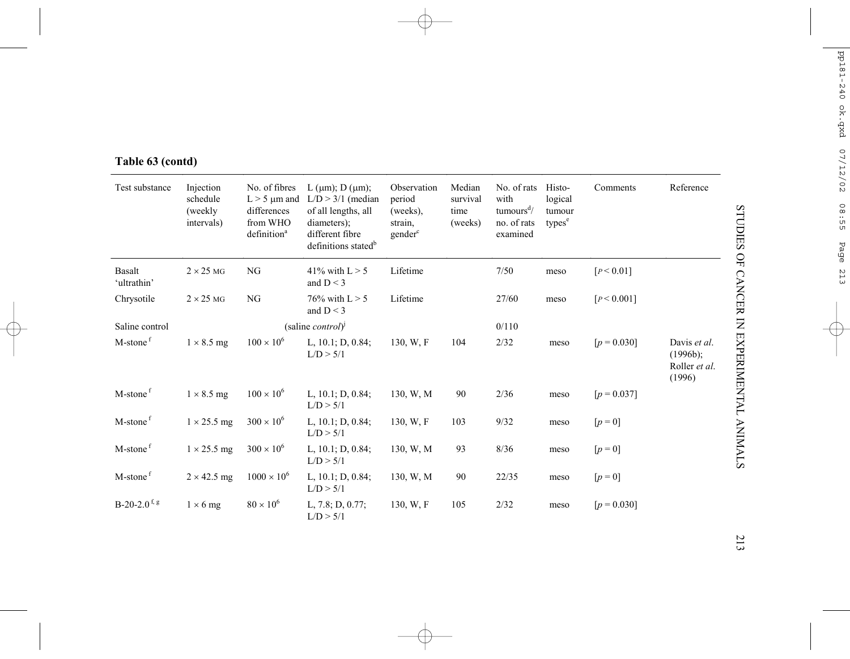| Test substance             | Injection<br>schedule<br>(weekly)<br>intervals) | No. of fibres<br>$L > 5$ µm and<br>differences<br>from WHO<br>definition <sup>a</sup> | L ( $\mu$ m); D ( $\mu$ m);<br>$L/D > 3/1$ (median<br>of all lengths, all<br>diameters);<br>different fibre<br>definitions stated <sup>b</sup> | Observation<br>period<br>(weeks),<br>strain,<br>gender <sup>c</sup> | Median<br>survival<br>time<br>(weeks) | No. of rats<br>with<br>tumours <sup>d</sup><br>no. of rats<br>examined | Histo-<br>logical<br>tumour<br>types <sup>e</sup> | Comments               | Reference                                                     |
|----------------------------|-------------------------------------------------|---------------------------------------------------------------------------------------|------------------------------------------------------------------------------------------------------------------------------------------------|---------------------------------------------------------------------|---------------------------------------|------------------------------------------------------------------------|---------------------------------------------------|------------------------|---------------------------------------------------------------|
| Basalt<br>'ultrathin'      | $2 \times 25$ MG                                | NG                                                                                    | 41% with $L > 5$<br>and $D < 3$                                                                                                                | Lifetime                                                            |                                       | 7/50                                                                   | meso                                              | [ <sub>P</sub> < 0.01] |                                                               |
| Chrysotile                 | $2 \times 25$ MG                                | NG                                                                                    | 76% with $L > 5$<br>and $D < 3$                                                                                                                | Lifetime                                                            |                                       | 27/60                                                                  | meso                                              | [P < 0.001]            |                                                               |
| Saline control             |                                                 |                                                                                       | (saline <i>control</i> ) <sup><math>\left[</math></sup>                                                                                        |                                                                     |                                       | 0/110                                                                  |                                                   |                        |                                                               |
| M-stone <sup>f</sup>       | $1 \times 8.5$ mg                               | $100 \times 10^{6}$                                                                   | L, $10.1; D, 0.84;$<br>L/D > 5/1                                                                                                               | 130, W.F                                                            | 104                                   | 2/32                                                                   | meso                                              | $[p = 0.030]$          | Davis et al.<br>$(1996b)$ ;<br>Roller <i>et al.</i><br>(1996) |
| M-stone <sup>f</sup>       | $1 \times 8.5$ mg                               | $100 \times 10^{6}$                                                                   | L, $10.1$ ; D, $0.84$ ;<br>L/D > 5/1                                                                                                           | 130, W, M                                                           | 90                                    | 2/36                                                                   | meso                                              | $[p = 0.037]$          |                                                               |
| M-stone <sup>f</sup>       | $1 \times 25.5$ mg                              | $300 \times 10^{6}$                                                                   | L, $10.1$ ; D, $0.84$ ;<br>L/D > 5/1                                                                                                           | 130, W, F                                                           | 103                                   | 9/32                                                                   | meso                                              | $[p = 0]$              |                                                               |
| M-stone <sup>f</sup>       | $1 \times 25.5$ mg                              | $300 \times 10^{6}$                                                                   | L, $10.1$ ; D, $0.84$ ;<br>L/D > 5/1                                                                                                           | 130, W, M                                                           | 93                                    | 8/36                                                                   | meso                                              | $[p = 0]$              |                                                               |
| M-stone <sup>f</sup>       | $2 \times 42.5$ mg                              | $1000 \times 10^{6}$                                                                  | L, $10.1$ ; D, $0.84$ ;<br>L/D > 5/1                                                                                                           | 130, W, M                                                           | 90                                    | 22/35                                                                  | meso                                              | $[p = 0]$              |                                                               |
| $B-20-2.0$ <sup>f, g</sup> | $1 \times 6$ mg                                 | $80 \times 10^6$                                                                      | L, 7.8; D, 0.77;<br>L/D > 5/1                                                                                                                  | 130, W.F                                                            | 105                                   | 2/32                                                                   | meso                                              | $[p = 0.030]$          |                                                               |

# **Table 63 (contd)**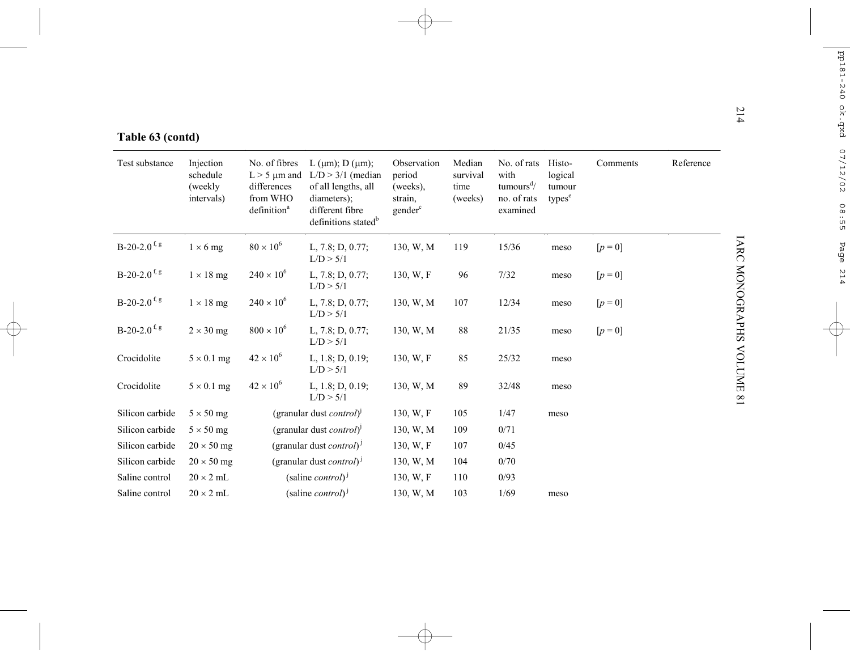| Table 63 (contd) |
|------------------|

| Table 63 (contd)           |                                                |                                                                                          |                                                                                                                                                |                                                                     |                                       |                                                                          |                                                   |           |           |
|----------------------------|------------------------------------------------|------------------------------------------------------------------------------------------|------------------------------------------------------------------------------------------------------------------------------------------------|---------------------------------------------------------------------|---------------------------------------|--------------------------------------------------------------------------|---------------------------------------------------|-----------|-----------|
| Test substance             | Injection<br>schedule<br>(weekly<br>intervals) | No. of fibres<br>$L > 5 \mu m$ and<br>differences<br>from WHO<br>definition <sup>a</sup> | L ( $\mu$ m); D ( $\mu$ m);<br>$L/D > 3/1$ (median<br>of all lengths, all<br>diameters);<br>different fibre<br>definitions stated <sup>b</sup> | Observation<br>period<br>(weeks),<br>strain,<br>gender <sup>c</sup> | Median<br>survival<br>time<br>(weeks) | No. of rats<br>with<br>tumours <sup>d</sup> /<br>no. of rats<br>examined | Histo-<br>logical<br>tumour<br>types <sup>e</sup> | Comments  | Reference |
| $B-20-2.0$ <sup>f, g</sup> | $1 \times 6$ mg                                | $80 \times 10^6$                                                                         | L, $7.8; D, 0.77;$<br>L/D > 5/1                                                                                                                | 130, W, M                                                           | 119                                   | 15/36                                                                    | meso                                              | $[p = 0]$ |           |
| $B-20-2.0$ <sup>f, g</sup> | $1 \times 18$ mg                               | $240 \times 10^{6}$                                                                      | L, 7.8; D, 0.77;<br>L/D > 5/1                                                                                                                  | 130, W, F                                                           | 96                                    | 7/32                                                                     | meso                                              | $[p = 0]$ |           |
| $B-20-2.0$ <sup>f, g</sup> | $1 \times 18$ mg                               | $240 \times 10^{6}$                                                                      | L, $7.8; D, 0.77;$<br>L/D > 5/1                                                                                                                | 130, W, M                                                           | 107                                   | 12/34                                                                    | meso                                              | $[p = 0]$ |           |
| $B-20-2.0$ <sup>f, g</sup> | $2 \times 30$ mg                               | $800 \times 10^{6}$                                                                      | L, $7.8; D, 0.77;$<br>L/D > 5/1                                                                                                                | 130, W, M                                                           | 88                                    | 21/35                                                                    | meso                                              | $[p = 0]$ |           |
| Crocidolite                | $5 \times 0.1$ mg                              | $42 \times 10^{6}$                                                                       | L, $1.8$ ; D, $0.19$ ;<br>L/D > 5/1                                                                                                            | 130, W, F                                                           | 85                                    | 25/32                                                                    | meso                                              |           |           |
| Crocidolite                | $5 \times 0.1$ mg                              | $42 \times 10^{6}$                                                                       | L, $1.8$ ; D, $0.19$ ;<br>L/D > 5/1                                                                                                            | 130, W, M                                                           | 89                                    | 32/48                                                                    | meso                                              |           |           |
| Silicon carbide            | $5 \times 50$ mg                               |                                                                                          | (granular dust <i>control</i> ) <sup>1</sup>                                                                                                   | 130, W, F                                                           | 105                                   | 1/47                                                                     | meso                                              |           |           |
| Silicon carbide            | $5 \times 50$ mg                               |                                                                                          | (granular dust <i>control</i> ) <sup>1</sup>                                                                                                   | 130, W, M                                                           | 109                                   | 0/71                                                                     |                                                   |           |           |
| Silicon carbide            | $20 \times 50$ mg                              |                                                                                          | (granular dust <i>control</i> ) <sup>1</sup>                                                                                                   | 130, W.F.                                                           | 107                                   | 0/45                                                                     |                                                   |           |           |
| Silicon carbide            | $20 \times 50$ mg                              |                                                                                          | (granular dust <i>control</i> ) <sup>1</sup>                                                                                                   | 130, W, M                                                           | 104                                   | 0/70                                                                     |                                                   |           |           |
| Saline control             | $20 \times 2$ mL                               |                                                                                          | (saline <i>control</i> ) <sup><math>J</math></sup>                                                                                             | 130, W.F.                                                           | 110                                   | 0/93                                                                     |                                                   |           |           |
| Saline control             | $20 \times 2$ mL                               |                                                                                          | (saline <i>control</i> ) <sup><math>J</math></sup>                                                                                             | 130, W, M                                                           | 103                                   | 1/69                                                                     | meso                                              |           |           |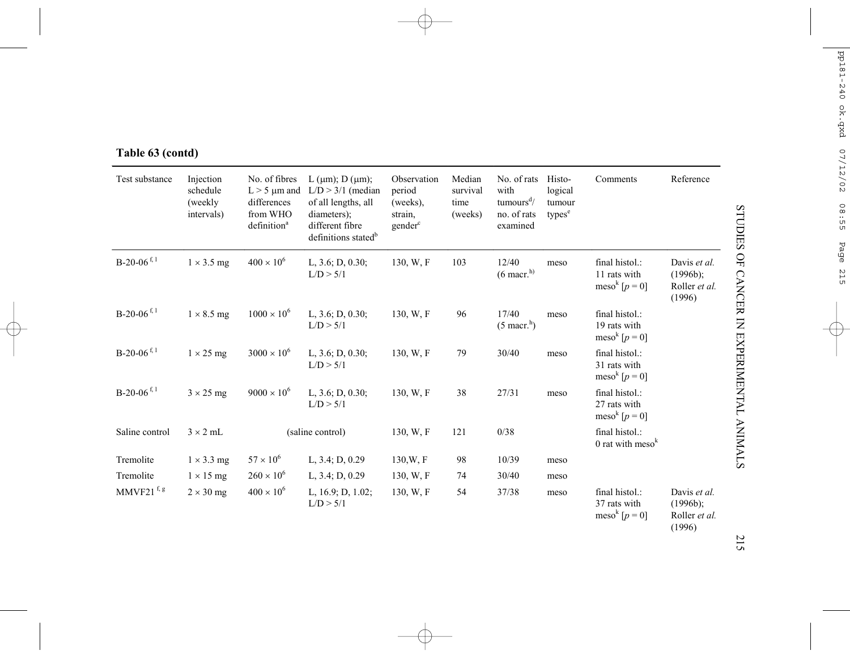| Test substance            | Injection<br>schedule<br>(weekly)<br>intervals) | No. of fibres<br>$L > 5 \mu m$ and<br>differences<br>from WHO<br>definition <sup>a</sup> | L ( $\mu$ m); D ( $\mu$ m);<br>$L/D > 3/1$ (median<br>of all lengths, all<br>diameters);<br>different fibre<br>definitions stated <sup>b</sup> | Observation<br>period<br>(weeks),<br>strain,<br>gender <sup>c</sup> | Median<br>survival<br>time<br>(weeks) | No. of rats<br>with<br>tumours <sup>d</sup> /<br>no. of rats<br>examined | Histo-<br>logical<br>tumour<br>types <sup>e</sup> | Comments                                                        | Reference                                              |
|---------------------------|-------------------------------------------------|------------------------------------------------------------------------------------------|------------------------------------------------------------------------------------------------------------------------------------------------|---------------------------------------------------------------------|---------------------------------------|--------------------------------------------------------------------------|---------------------------------------------------|-----------------------------------------------------------------|--------------------------------------------------------|
| $B-20-06$ <sup>f, 1</sup> | $1 \times 3.5$ mg                               | $400 \times 10^{6}$                                                                      | L, 3.6; D, 0.30;<br>L/D > 5/1                                                                                                                  | 130, W, F                                                           | 103                                   | 12/40<br>$(6 \text{ macr.}^{\text{h}})$                                  | meso                                              | final histol.:<br>11 rats with<br>meso <sup>k</sup> $[p = 0]$   | Davis et al.<br>$(1996b)$ ;<br>Roller et al.<br>(1996) |
| $B-20-06$ <sup>f, 1</sup> | $1 \times 8.5$ mg                               | $1000 \times 10^{6}$                                                                     | L, $3.6$ ; D, $0.30$ ;<br>L/D > 5/1                                                                                                            | 130, W, F                                                           | 96                                    | 17/40<br>$(5$ macr. <sup>h</sup> )                                       | meso                                              | final histol.:<br>19 rats with<br>meso <sup>k</sup> $[p = 0]$   |                                                        |
| $B-20-06$ <sup>f, 1</sup> | $1 \times 25$ mg                                | $3000 \times 10^{6}$                                                                     | L, $3.6$ ; D, $0.30$ ;<br>L/D > 5/1                                                                                                            | 130, W.F                                                            | 79                                    | 30/40                                                                    | meso                                              | final histol.:<br>31 rats with<br>meso <sup>k</sup> [ $p = 0$ ] |                                                        |
| $B-20-06$ <sup>f, 1</sup> | $3 \times 25$ mg                                | $9000 \times 10^{6}$                                                                     | L, $3.6$ ; D, $0.30$ ;<br>L/D > 5/1                                                                                                            | 130, W, F                                                           | 38                                    | 27/31                                                                    | meso                                              | final histol.:<br>27 rats with<br>meso <sup>k</sup> [ $p = 0$ ] |                                                        |
| Saline control            | $3 \times 2$ mL                                 |                                                                                          | (saline control)                                                                                                                               | 130, W, F                                                           | 121                                   | 0/38                                                                     |                                                   | final histol.:<br>0 rat with $mesok$                            |                                                        |
| Tremolite                 | $1 \times 3.3$ mg                               | $57 \times 10^6$                                                                         | L, 3.4; D, 0.29                                                                                                                                | 130, W, F                                                           | 98                                    | 10/39                                                                    | meso                                              |                                                                 |                                                        |
| Tremolite                 | $1 \times 15$ mg                                | $260 \times 10^{6}$                                                                      | L, 3.4; D, 0.29                                                                                                                                | 130, W, F                                                           | 74                                    | 30/40                                                                    | meso                                              |                                                                 |                                                        |
| MMVF21 $f, g$             | $2 \times 30$ mg                                | $400 \times 10^{6}$                                                                      | L, $16.9; D, 1.02;$<br>L/D > 5/1                                                                                                               | 130, W, F                                                           | 54                                    | 37/38                                                                    | meso                                              | final histol.:<br>37 rats with<br>meso <sup>k</sup> $[p = 0]$   | Davis et al.<br>$(1996b)$ ;<br>Roller et al.<br>(1996) |

# **Table 63 (contd)**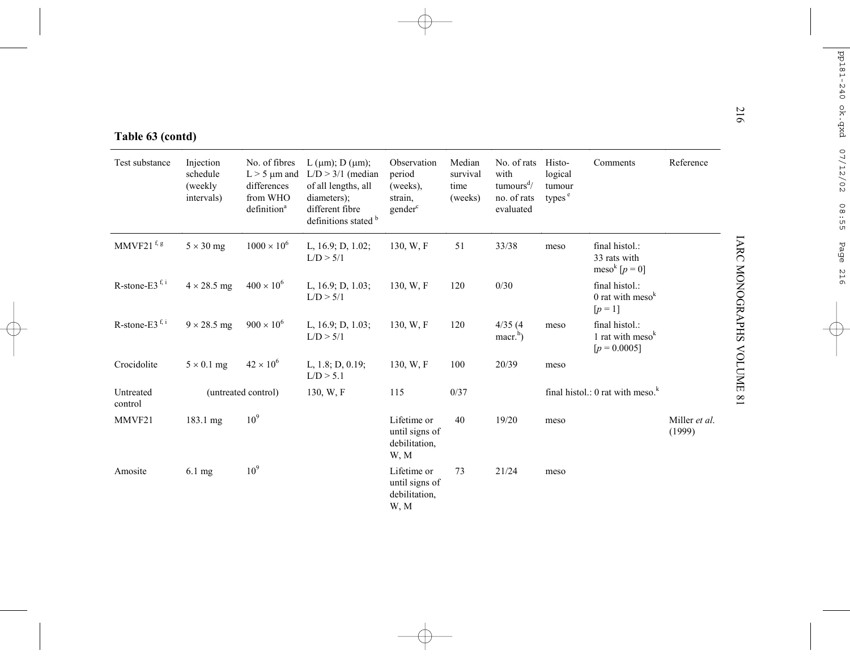|  | Table 63 (contd) |  |
|--|------------------|--|
|  |                  |  |

| Table 63 (contd)                                              |                                                |                                                                                          |                                                                                                                                     |                                                                     |                                       |                                                                                           |                                                   |                                                               |                         |
|---------------------------------------------------------------|------------------------------------------------|------------------------------------------------------------------------------------------|-------------------------------------------------------------------------------------------------------------------------------------|---------------------------------------------------------------------|---------------------------------------|-------------------------------------------------------------------------------------------|---------------------------------------------------|---------------------------------------------------------------|-------------------------|
| Test substance                                                | Injection<br>schedule<br>(weekly<br>intervals) | No. of fibres<br>$L > 5 \mu m$ and<br>differences<br>from WHO<br>definition <sup>a</sup> | L ( $\mu$ m); D ( $\mu$ m);<br>$L/D > 3/1$ (median<br>of all lengths, all<br>diameters);<br>different fibre<br>definitions stated b | Observation<br>period<br>(weeks),<br>strain,<br>gender <sup>c</sup> | Median<br>survival<br>time<br>(weeks) | No. of rats<br>with<br>$t$ umours <sup><math>d</math></sup> /<br>no. of rats<br>evaluated | Histo-<br>logical<br>tumour<br>types <sup>e</sup> | Comments                                                      | Reference               |
| $\text{MMVF21}\ensuremath{\,^\text{f}\!},\ensuremath{\rm{g}}$ | $5 \times 30$ mg                               | $1000 \times 10^{6}$                                                                     | L, 16.9; D, 1.02;<br>L/D > 5/1                                                                                                      | 130, W.F                                                            | 51                                    | 33/38                                                                                     | meso                                              | final histol.:<br>33 rats with<br>meso <sup>k</sup> $[p = 0]$ |                         |
| R-stone-E3 $f, i$                                             | $4 \times 28.5$ mg                             | $400 \times 10^{6}$                                                                      | L, 16.9; D, 1.03;<br>L/D > 5/1                                                                                                      | 130, W, F                                                           | 120                                   | 0/30                                                                                      |                                                   | final histol.:<br>0 rat with $mesok$<br>$[p = 1]$             |                         |
| R-stone-E3 $f, i$                                             | $9 \times 28.5$ mg                             | $900 \times 10^{6}$                                                                      | L, $16.9; D, 1.03;$<br>L/D > 5/1                                                                                                    | 130, W, F                                                           | 120                                   | 4/35(4)<br>$\text{macr.}^{\text{h}}$                                                      | meso                                              | final histol.:<br>1 rat with $mesok$<br>$[p = 0.0005]$        |                         |
| Crocidolite                                                   | $5 \times 0.1$ mg                              | $42 \times 10^{6}$                                                                       | L, 1.8; D, 0.19;<br>L/D > 5.1                                                                                                       | 130, W, F                                                           | 100                                   | 20/39                                                                                     | meso                                              |                                                               |                         |
| Untreated<br>control                                          |                                                | (untreated control)                                                                      | 130, W.F                                                                                                                            | 115                                                                 | 0/37                                  |                                                                                           |                                                   | final histol.: 0 rat with meso. $k$                           |                         |
| MMVF21                                                        | 183.1 mg                                       | 10 <sup>9</sup>                                                                          |                                                                                                                                     | Lifetime or<br>until signs of<br>debilitation,<br>W, M              | 40                                    | 19/20                                                                                     | meso                                              |                                                               | Miller et al.<br>(1999) |
| Amosite                                                       | $6.1 \text{ mg}$                               | 10 <sup>9</sup>                                                                          |                                                                                                                                     | Lifetime or<br>until signs of<br>debilitation,<br>W, M              | 73                                    | 21/24                                                                                     | meso                                              |                                                               |                         |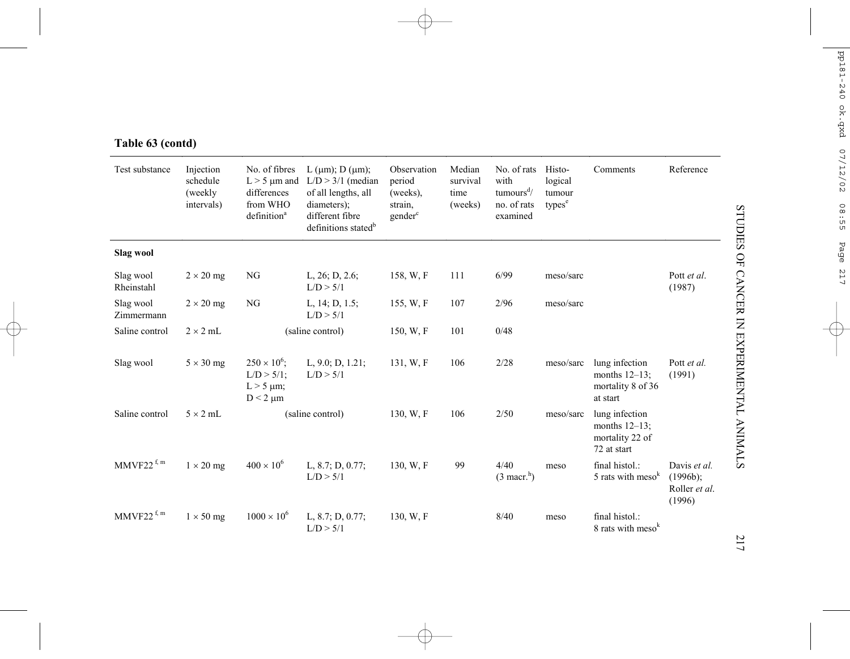| Test substance           | Injection<br>schedule<br>(weekly<br>intervals) | No. of fibres<br>$L > 5$ µm and<br>differences<br>from WHO<br>definition <sup>a</sup> | L ( $\mu$ m); D ( $\mu$ m);<br>$L/D > 3/1$ (median<br>of all lengths, all<br>diameters);<br>different fibre<br>definitions stated <sup>b</sup> | Observation<br>period<br>(weeks),<br>strain,<br>gender <sup>c</sup> | Median<br>survival<br>time<br>(weeks) | No. of rats<br>with<br>tumours <sup>d</sup> /<br>no. of rats<br>examined | Histo-<br>logical<br>tumour<br>types <sup>e</sup> | Comments                                                             | Reference                                              |
|--------------------------|------------------------------------------------|---------------------------------------------------------------------------------------|------------------------------------------------------------------------------------------------------------------------------------------------|---------------------------------------------------------------------|---------------------------------------|--------------------------------------------------------------------------|---------------------------------------------------|----------------------------------------------------------------------|--------------------------------------------------------|
| Slag wool                |                                                |                                                                                       |                                                                                                                                                |                                                                     |                                       |                                                                          |                                                   |                                                                      |                                                        |
| Slag wool<br>Rheinstahl  | $2 \times 20$ mg                               | NG                                                                                    | L, $26$ ; D, $2.6$ ;<br>L/D > 5/1                                                                                                              | 158, W, F                                                           | 111                                   | 6/99                                                                     | meso/sarc                                         |                                                                      | Pott et al.<br>(1987)                                  |
| Slag wool<br>Zimmermann  | $2 \times 20$ mg                               | NG                                                                                    | L, $14$ ; D, $1.5$ ;<br>L/D > 5/1                                                                                                              | 155, W, F                                                           | 107                                   | 2/96                                                                     | meso/sarc                                         |                                                                      |                                                        |
| Saline control           | $2 \times 2$ mL                                |                                                                                       | (saline control)                                                                                                                               | 150, W, F                                                           | 101                                   | 0/48                                                                     |                                                   |                                                                      |                                                        |
| Slag wool                | $5 \times 30$ mg                               | $250 \times 10^{6}$ ;<br>$L/D > 5/1$ ;<br>$L > 5 \mu m$ ;<br>$D < 2 \mu m$            | L, $9.0; D, 1.21;$<br>L/D > 5/1                                                                                                                | 131, W.F                                                            | 106                                   | 2/28                                                                     | meso/sarc                                         | lung infection<br>months $12-13$ ;<br>mortality 8 of 36<br>at start  | Pott et al.<br>(1991)                                  |
| Saline control           | $5 \times 2$ mL                                |                                                                                       | (saline control)                                                                                                                               | 130, W, F                                                           | 106                                   | 2/50                                                                     | meso/sarc                                         | lung infection<br>months $12-13$ ;<br>mortality 22 of<br>72 at start |                                                        |
| $MMVF22$ <sup>f, m</sup> | $1 \times 20$ mg                               | $400 \times 10^{6}$                                                                   | L, $8.7; D, 0.77;$<br>L/D > 5/1                                                                                                                | 130, W, F                                                           | 99                                    | 4/40<br>$(3 \text{ macr.}^h)$                                            | meso                                              | final histol.:<br>5 rats with meso <sup>k</sup>                      | Davis et al.<br>$(1996b)$ ;<br>Roller et al.<br>(1996) |
| $MMVF22$ <sup>f, m</sup> | $1 \times 50$ mg                               | $1000 \times 10^{6}$                                                                  | L, $8.7; D, 0.77;$<br>L/D > 5/1                                                                                                                | 130, W, F                                                           |                                       | 8/40                                                                     | meso                                              | final histol.:<br>8 rats with meso <sup>k</sup>                      |                                                        |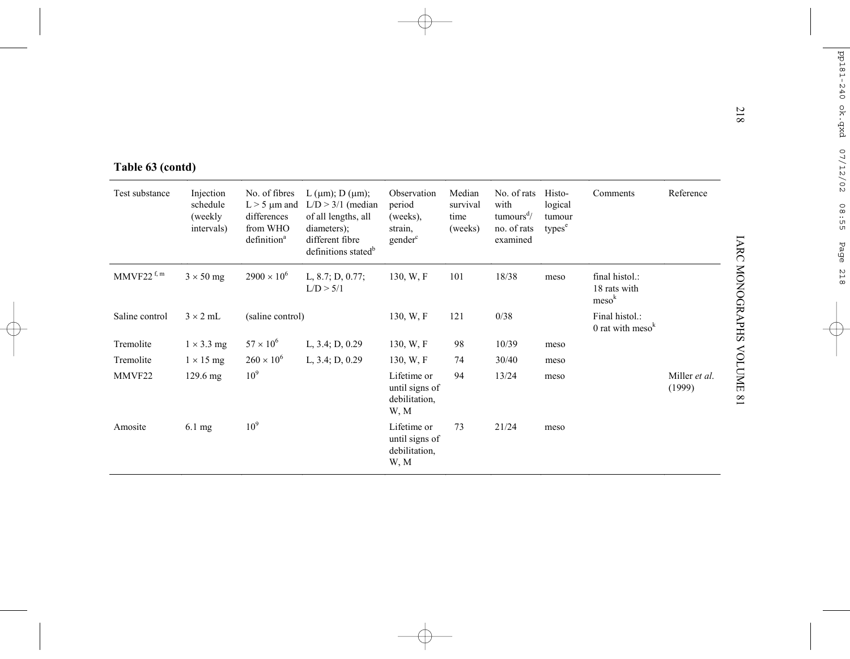| Table 63 (contd) |                                                 |                                                                                          |                                                                                                                                                |                                                                     |                                       |                                                                          |                                                   |                                                     |                         |
|------------------|-------------------------------------------------|------------------------------------------------------------------------------------------|------------------------------------------------------------------------------------------------------------------------------------------------|---------------------------------------------------------------------|---------------------------------------|--------------------------------------------------------------------------|---------------------------------------------------|-----------------------------------------------------|-------------------------|
| Test substance   | Injection<br>schedule<br>(weekly)<br>intervals) | No. of fibres<br>$L > 5 \mu m$ and<br>differences<br>from WHO<br>definition <sup>a</sup> | L ( $\mu$ m); D ( $\mu$ m);<br>$L/D > 3/1$ (median<br>of all lengths, all<br>diameters);<br>different fibre<br>definitions stated <sup>b</sup> | Observation<br>period<br>(weeks),<br>strain,<br>gender <sup>c</sup> | Median<br>survival<br>time<br>(weeks) | No. of rats<br>with<br>tumours <sup>d</sup> /<br>no. of rats<br>examined | Histo-<br>logical<br>tumour<br>types <sup>e</sup> | Comments                                            | Reference               |
| MMVF22 $f, m$    | $3 \times 50$ mg                                | $2900 \times 10^{6}$                                                                     | L, 8.7; D, 0.77;<br>L/D > 5/1                                                                                                                  | 130, W, F                                                           | 101                                   | 18/38                                                                    | meso                                              | final histol.:<br>18 rats with<br>meso <sup>k</sup> |                         |
| Saline control   | $3 \times 2$ mL                                 | (saline control)                                                                         |                                                                                                                                                | 130, W, F                                                           | 121                                   | 0/38                                                                     |                                                   | Final histol.:<br>0 rat with $mesok$                |                         |
| Tremolite        | $1 \times 3.3$ mg                               | $57 \times 10^{6}$                                                                       | L, 3.4; D, 0.29                                                                                                                                | 130, W, F                                                           | 98                                    | 10/39                                                                    | meso                                              |                                                     |                         |
| Tremolite        | $1 \times 15$ mg                                | $260 \times 10^{6}$                                                                      | L, 3.4; D, 0.29                                                                                                                                | 130, W, F                                                           | 74                                    | 30/40                                                                    | meso                                              |                                                     |                         |
| MMVF22           | $129.6 \text{ mg}$                              | 10 <sup>9</sup>                                                                          |                                                                                                                                                | Lifetime or<br>until signs of<br>debilitation.<br>W, M              | 94                                    | 13/24                                                                    | meso                                              |                                                     | Miller et al.<br>(1999) |
| Amosite          | 6.1 mg                                          | 10 <sup>9</sup>                                                                          |                                                                                                                                                | Lifetime or<br>until signs of<br>debilitation,<br>W, M              | 73                                    | 21/24                                                                    | meso                                              |                                                     |                         |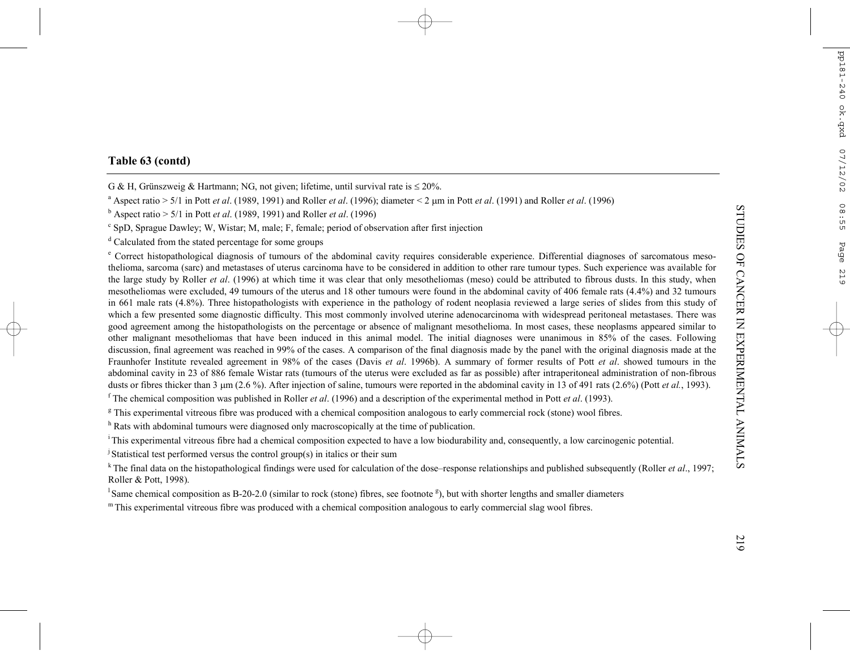# **Table 63 (contd)**

G & H, Grünszweig & Hartmann; NG, not given; lifetime, until survival rate is  $\leq 20\%$ .

a Aspect ratio > 5/1 in Pott *et al*. (1989, 1991) and Roller *et al*. (1996); diameter < 2 <sup>µ</sup>m in Pott *et al*. (1991) and Roller *et al*. (1996)

b Aspect ratio > 5/1 in Pott *et al*. (1989, 1991) and Roller *et al*. (1996)

c SpD, Sprague Dawley; W, Wistar; M, male; F, female; period of observation after first injection

d Calculated from the stated percentage for some groups

e Correct histopathological diagnosis of tumours of the abdominal cavity requires considerable experience. Differential diagnoses of sarcomatous mesothelioma, sarcoma (sarc) and metastases of uterus carcinoma have to be considered in addition to other rare tumour types. Such experience was available for the large study by Roller *et al*. (1996) at which time it was clear that only mesotheliomas (meso) could be attributed to fibrous dusts. In this study, when mesotheliomas were excluded, 49 tumours of the uterus and 18 other tumours were found in the abdominal cavity of 406 female rats (4.4%) and 32 tumours in 661 male rats (4.8%). Three histopathologists with experience in the pathology of rodent neoplasia reviewed a large series of slides from this study of which a few presented some diagnostic difficulty. This most commonly involved uterine adenocarcinoma with widespread peritoneal metastases. There was good agreement among the histopathologists on the percentage or absence of malignant mesothelioma. In most cases, these neoplasms appeared similar to other malignant mesotheliomas that have been induced in this animal model. The initial diagnoses were unanimous in 85% of the cases. Following discussion, final agreement was reached in 99% of the cases. A comparison of the final diagnosis made by the panel with the original diagnosis made at the Fraunhofer Institute revealed agreement in 98% of the cases (Davis *et al*. 1996b). A summary of former results of Pott *et al*. showed tumours in the abdominal cavity in 23 of 886 female Wistar rats (tumours of the uterus were excluded as far as possible) after intraperitoneal administration of non-fibrous dusts or fibres thicker than 3 µm (2.6 %). After injection of saline, tumours were reported in the abdominal cavity in 13 of 491 rats (2.6%) (Pott *et al.*, 1993).

f The chemical composition was published in Roller *et al*. (1996) and a description of the experimental method in Pott *et al*. (1993).

<sup>g</sup> This experimental vitreous fibre was produced with a chemical composition analogous to early commercial rock (stone) wool fibres.

<sup>h</sup> Rats with abdominal tumours were diagnosed only macroscopically at the time of publication.

i This experimental vitreous fibre had a chemical composition expected to have a low biodurability and, consequently, a low carcinogenic potential.

<sup>j</sup> Statistical test performed versus the control group(s) in italics or their sum

k The final data on the histopathological findings were used for calculation of the dose–response relationships and published subsequently (Roller *et al*., 1997; Roller & Pott, 1998).

<sup>1</sup> Same chemical composition as B-20-2.0 (similar to rock (stone) fibres, see footnote  $\epsilon$ ), but with shorter lengths and smaller diameters

 $<sup>m</sup>$  This experimental vitreous fibre was produced with a chemical composition analogous to early commercial slag wool fibres.</sup>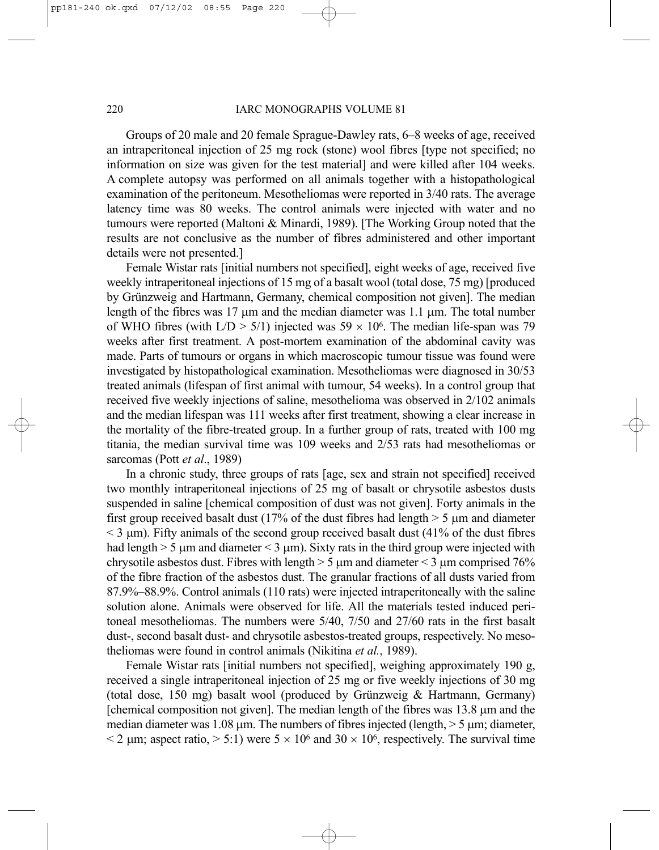### 220 IARC MONOGRAPHS VOLUME 81

Groups of 20 male and 20 female Sprague-Dawley rats, 6–8 weeks of age, received an intraperitoneal injection of 25 mg rock (stone) wool fibres [type not specified; no information on size was given for the test material] and were killed after 104 weeks. A complete autopsy was performed on all animals together with a histopathological examination of the peritoneum. Mesotheliomas were reported in 3/40 rats. The average latency time was 80 weeks. The control animals were injected with water and no tumours were reported (Maltoni & Minardi, 1989). [The Working Group noted that the results are not conclusive as the number of fibres administered and other important details were not presented.]

Female Wistar rats [initial numbers not specified], eight weeks of age, received five weekly intraperitoneal injections of 15 mg of a basalt wool (total dose, 75 mg) [produced by Grünzweig and Hartmann, Germany, chemical composition not given]. The median length of the fibres was 17 µm and the median diameter was 1.1 µm. The total number of WHO fibres (with  $L/D > 5/1$ ) injected was  $59 \times 10^6$ . The median life-span was 79 weeks after first treatment. A post-mortem examination of the abdominal cavity was made. Parts of tumours or organs in which macroscopic tumour tissue was found were investigated by histopathological examination. Mesotheliomas were diagnosed in 30/53 treated animals (lifespan of first animal with tumour, 54 weeks). In a control group that received five weekly injections of saline, mesothelioma was observed in 2/102 animals and the median lifespan was 111 weeks after first treatment, showing a clear increase in the mortality of the fibre-treated group. In a further group of rats, treated with 100 mg titania, the median survival time was 109 weeks and 2/53 rats had mesotheliomas or sarcomas (Pott *et al*., 1989)

In a chronic study, three groups of rats [age, sex and strain not specified] received two monthly intraperitoneal injections of 25 mg of basalt or chrysotile asbestos dusts suspended in saline [chemical composition of dust was not given]. Forty animals in the first group received basalt dust (17% of the dust fibres had length  $>$  5 µm and diameter  $<$  3  $\mu$ m). Fifty animals of the second group received basalt dust (41% of the dust fibres had length  $> 5 \mu$ m and diameter  $< 3 \mu$ m). Sixty rats in the third group were injected with chrysotile asbestos dust. Fibres with length  $> 5 \mu m$  and diameter  $< 3 \mu m$  comprised 76% of the fibre fraction of the asbestos dust. The granular fractions of all dusts varied from 87.9%–88.9%. Control animals (110 rats) were injected intraperitoneally with the saline solution alone. Animals were observed for life. All the materials tested induced peritoneal mesotheliomas. The numbers were 5/40, 7/50 and 27/60 rats in the first basalt dust-, second basalt dust- and chrysotile asbestos-treated groups, respectively. No mesotheliomas were found in control animals (Nikitina *et al.*, 1989).

Female Wistar rats [initial numbers not specified], weighing approximately 190 g, received a single intraperitoneal injection of 25 mg or five weekly injections of 30 mg (total dose, 150 mg) basalt wool (produced by Grünzweig & Hartmann, Germany) [chemical composition not given]. The median length of the fibres was 13.8 µm and the median diameter was 1.08  $\mu$ m. The numbers of fibres injected (length,  $>$  5  $\mu$ m; diameter,  $\leq$  2 µm; aspect ratio,  $>$  5:1) were 5  $\times$  10<sup>6</sup> and 30  $\times$  10<sup>6</sup>, respectively. The survival time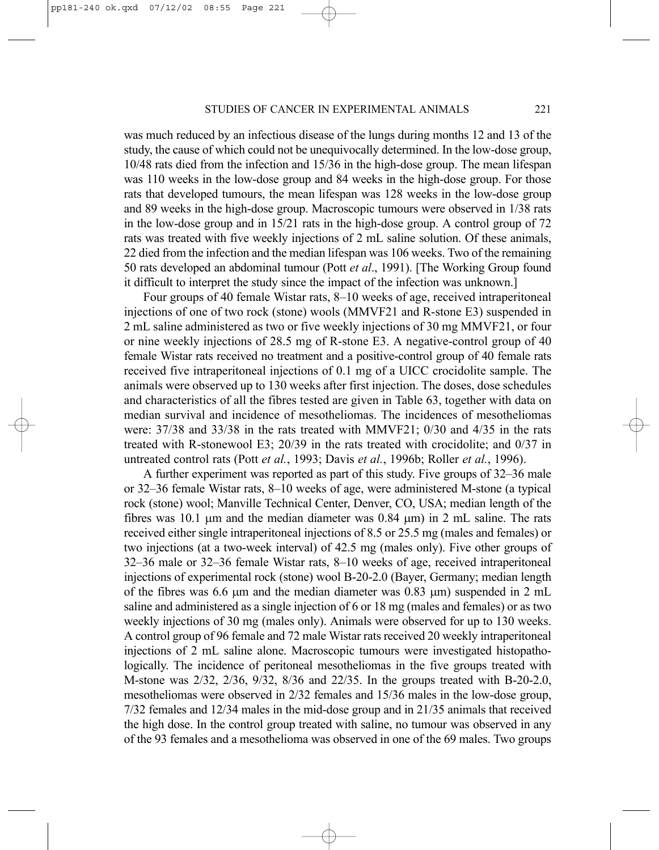was much reduced by an infectious disease of the lungs during months 12 and 13 of the study, the cause of which could not be unequivocally determined. In the low-dose group, 10/48 rats died from the infection and 15/36 in the high-dose group. The mean lifespan was 110 weeks in the low-dose group and 84 weeks in the high-dose group. For those rats that developed tumours, the mean lifespan was 128 weeks in the low-dose group and 89 weeks in the high-dose group. Macroscopic tumours were observed in 1/38 rats in the low-dose group and in 15/21 rats in the high-dose group. A control group of 72 rats was treated with five weekly injections of 2 mL saline solution. Of these animals, 22 died from the infection and the median lifespan was 106 weeks. Two of the remaining 50 rats developed an abdominal tumour (Pott *et al*., 1991). [The Working Group found it difficult to interpret the study since the impact of the infection was unknown.]

Four groups of 40 female Wistar rats, 8–10 weeks of age, received intraperitoneal injections of one of two rock (stone) wools (MMVF21 and R-stone E3) suspended in 2 mL saline administered as two or five weekly injections of 30 mg MMVF21, or four or nine weekly injections of 28.5 mg of R-stone E3. A negative-control group of 40 female Wistar rats received no treatment and a positive-control group of 40 female rats received five intraperitoneal injections of 0.1 mg of a UICC crocidolite sample. The animals were observed up to 130 weeks after first injection. The doses, dose schedules and characteristics of all the fibres tested are given in Table 63, together with data on median survival and incidence of mesotheliomas. The incidences of mesotheliomas were: 37/38 and 33/38 in the rats treated with MMVF21; 0/30 and 4/35 in the rats treated with R-stonewool E3; 20/39 in the rats treated with crocidolite; and 0/37 in untreated control rats (Pott *et al.*, 1993; Davis *et al.*, 1996b; Roller *et al.*, 1996).

A further experiment was reported as part of this study. Five groups of 32–36 male or 32–36 female Wistar rats, 8–10 weeks of age, were administered M-stone (a typical rock (stone) wool; Manville Technical Center, Denver, CO, USA; median length of the fibres was 10.1  $\mu$ m and the median diameter was 0.84  $\mu$ m) in 2 mL saline. The rats received either single intraperitoneal injections of 8.5 or 25.5 mg (males and females) or two injections (at a two-week interval) of 42.5 mg (males only). Five other groups of 32–36 male or 32–36 female Wistar rats, 8–10 weeks of age, received intraperitoneal injections of experimental rock (stone) wool B-20-2.0 (Bayer, Germany; median length of the fibres was 6.6  $\mu$ m and the median diameter was 0.83  $\mu$ m) suspended in 2 mL saline and administered as a single injection of 6 or 18 mg (males and females) or as two weekly injections of 30 mg (males only). Animals were observed for up to 130 weeks. A control group of 96 female and 72 male Wistar rats received 20 weekly intraperitoneal injections of 2 mL saline alone. Macroscopic tumours were investigated histopathologically. The incidence of peritoneal mesotheliomas in the five groups treated with M-stone was 2/32, 2/36, 9/32, 8/36 and 22/35. In the groups treated with B-20-2.0, mesotheliomas were observed in 2/32 females and 15/36 males in the low-dose group, 7/32 females and 12/34 males in the mid-dose group and in 21/35 animals that received the high dose. In the control group treated with saline, no tumour was observed in any of the 93 females and a mesothelioma was observed in one of the 69 males. Two groups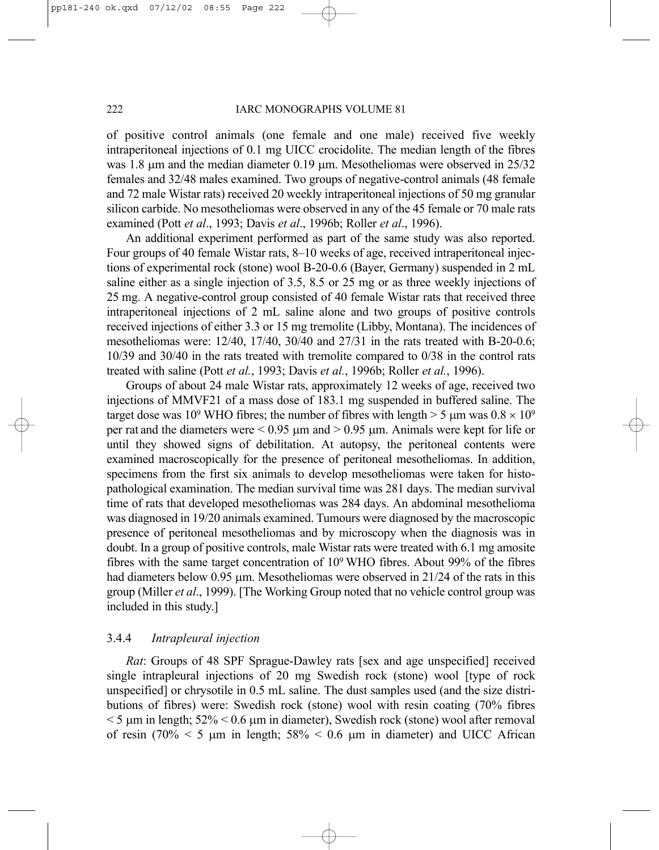of positive control animals (one female and one male) received five weekly intraperitoneal injections of 0.1 mg UICC crocidolite. The median length of the fibres was 1.8  $\mu$ m and the median diameter 0.19  $\mu$ m. Mesotheliomas were observed in 25/32 females and 32/48 males examined. Two groups of negative-control animals (48 female and 72 male Wistar rats) received 20 weekly intraperitoneal injections of 50 mg granular silicon carbide. No mesotheliomas were observed in any of the 45 female or 70 male rats examined (Pott *et al*., 1993; Davis *et al*., 1996b; Roller *et al*., 1996).

An additional experiment performed as part of the same study was also reported. Four groups of 40 female Wistar rats, 8–10 weeks of age, received intraperitoneal injections of experimental rock (stone) wool B-20-0.6 (Bayer, Germany) suspended in 2 mL saline either as a single injection of 3.5, 8.5 or 25 mg or as three weekly injections of 25 mg. A negative-control group consisted of 40 female Wistar rats that received three intraperitoneal injections of 2 mL saline alone and two groups of positive controls received injections of either 3.3 or 15 mg tremolite (Libby, Montana). The incidences of mesotheliomas were: 12/40, 17/40, 30/40 and 27/31 in the rats treated with B-20-0.6; 10/39 and 30/40 in the rats treated with tremolite compared to 0/38 in the control rats treated with saline (Pott *et al.*, 1993; Davis *et al.*, 1996b; Roller *et al.*, 1996).

Groups of about 24 male Wistar rats, approximately 12 weeks of age, received two injections of MMVF21 of a mass dose of 183.1 mg suspended in buffered saline. The target dose was 10<sup>9</sup> WHO fibres; the number of fibres with length  $>$  5 µm was  $0.8 \times 10^9$ per rat and the diameters were  $\leq 0.95$  µm and  $\geq 0.95$  µm. Animals were kept for life or until they showed signs of debilitation. At autopsy, the peritoneal contents were examined macroscopically for the presence of peritoneal mesotheliomas. In addition, specimens from the first six animals to develop mesotheliomas were taken for histopathological examination. The median survival time was 281 days. The median survival time of rats that developed mesotheliomas was 284 days. An abdominal mesothelioma was diagnosed in 19/20 animals examined. Tumours were diagnosed by the macroscopic presence of peritoneal mesotheliomas and by microscopy when the diagnosis was in doubt. In a group of positive controls, male Wistar rats were treated with 6.1 mg amosite fibres with the same target concentration of 109 WHO fibres. About 99% of the fibres had diameters below 0.95  $\mu$ m. Mesotheliomas were observed in 21/24 of the rats in this group (Miller *et al*., 1999). [The Working Group noted that no vehicle control group was included in this study.]

# 3.4.4 *Intrapleural injection*

*Rat*: Groups of 48 SPF Sprague-Dawley rats [sex and age unspecified] received single intrapleural injections of 20 mg Swedish rock (stone) wool [type of rock unspecified] or chrysotile in 0.5 mL saline. The dust samples used (and the size distributions of fibres) were: Swedish rock (stone) wool with resin coating (70% fibres  $<$  5  $\mu$ m in length; 52%  $<$  0.6  $\mu$ m in diameter), Swedish rock (stone) wool after removal of resin (70%  $\leq$  5 µm in length; 58%  $\leq$  0.6 µm in diameter) and UICC African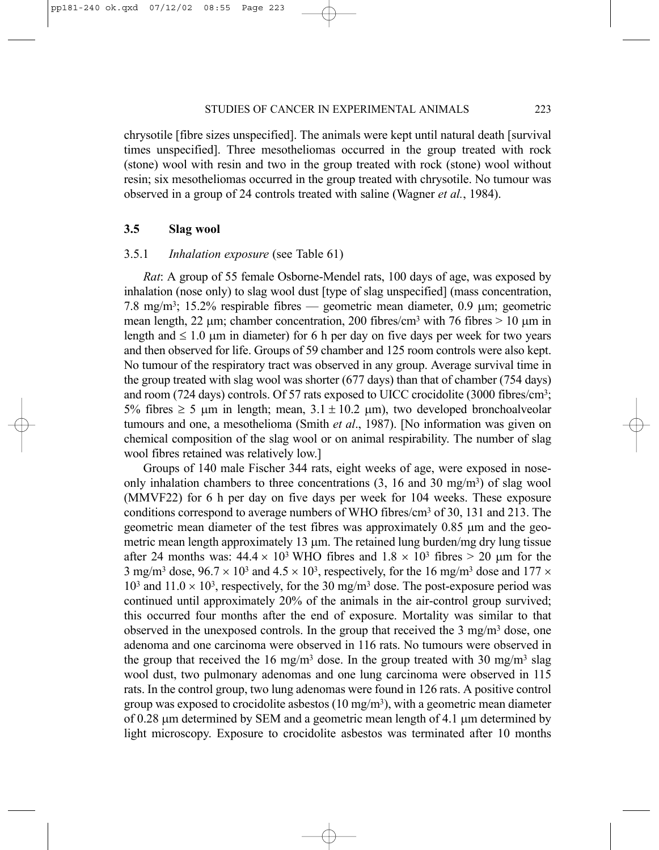chrysotile [fibre sizes unspecified]. The animals were kept until natural death [survival times unspecified]. Three mesotheliomas occurred in the group treated with rock (stone) wool with resin and two in the group treated with rock (stone) wool without resin; six mesotheliomas occurred in the group treated with chrysotile. No tumour was observed in a group of 24 controls treated with saline (Wagner *et al.*, 1984).

# **3.5 Slag wool**

# 3.5.1 *Inhalation exposure* (see Table 61)

*Rat*: A group of 55 female Osborne-Mendel rats, 100 days of age, was exposed by inhalation (nose only) to slag wool dust [type of slag unspecified] (mass concentration, 7.8 mg/m3; 15.2% respirable fibres — geometric mean diameter, 0.9 µm; geometric mean length, 22  $\mu$ m; chamber concentration, 200 fibres/cm<sup>3</sup> with 76 fibres > 10  $\mu$ m in length and  $\leq 1.0$  µm in diameter) for 6 h per day on five days per week for two years and then observed for life. Groups of 59 chamber and 125 room controls were also kept. No tumour of the respiratory tract was observed in any group. Average survival time in the group treated with slag wool was shorter (677 days) than that of chamber (754 days) and room (724 days) controls. Of 57 rats exposed to UICC crocidolite (3000 fibres/cm3; 5% fibres  $\geq$  5 µm in length; mean, 3.1  $\pm$  10.2 µm), two developed bronchoalveolar tumours and one, a mesothelioma (Smith *et al*., 1987). [No information was given on chemical composition of the slag wool or on animal respirability. The number of slag wool fibres retained was relatively low.]

Groups of 140 male Fischer 344 rats, eight weeks of age, were exposed in noseonly inhalation chambers to three concentrations  $(3, 16 \text{ and } 30 \text{ mg/m}^3)$  of slag wool (MMVF22) for 6 h per day on five days per week for 104 weeks. These exposure conditions correspond to average numbers of WHO fibres/cm<sup>3</sup> of 30, 131 and 213. The geometric mean diameter of the test fibres was approximately  $0.85 \mu m$  and the geometric mean length approximately 13  $\mu$ m. The retained lung burden/mg dry lung tissue after 24 months was:  $44.4 \times 10^3$  WHO fibres and  $1.8 \times 10^3$  fibres  $> 20$  µm for the 3 mg/m<sup>3</sup> dose,  $96.7 \times 10^3$  and  $4.5 \times 10^3$ , respectively, for the 16 mg/m<sup>3</sup> dose and 177  $\times$  $10<sup>3</sup>$  and  $11.0 \times 10<sup>3</sup>$ , respectively, for the 30 mg/m<sup>3</sup> dose. The post-exposure period was continued until approximately 20% of the animals in the air-control group survived; this occurred four months after the end of exposure. Mortality was similar to that observed in the unexposed controls. In the group that received the  $3 \text{ mg/m}^3$  dose, one adenoma and one carcinoma were observed in 116 rats. No tumours were observed in the group that received the 16 mg/m<sup>3</sup> dose. In the group treated with 30 mg/m<sup>3</sup> slag wool dust, two pulmonary adenomas and one lung carcinoma were observed in 115 rats. In the control group, two lung adenomas were found in 126 rats. A positive control group was exposed to crocidolite asbestos  $(10 \text{ mg/m}^3)$ , with a geometric mean diameter of 0.28  $\mu$ m determined by SEM and a geometric mean length of 4.1  $\mu$ m determined by light microscopy. Exposure to crocidolite asbestos was terminated after 10 months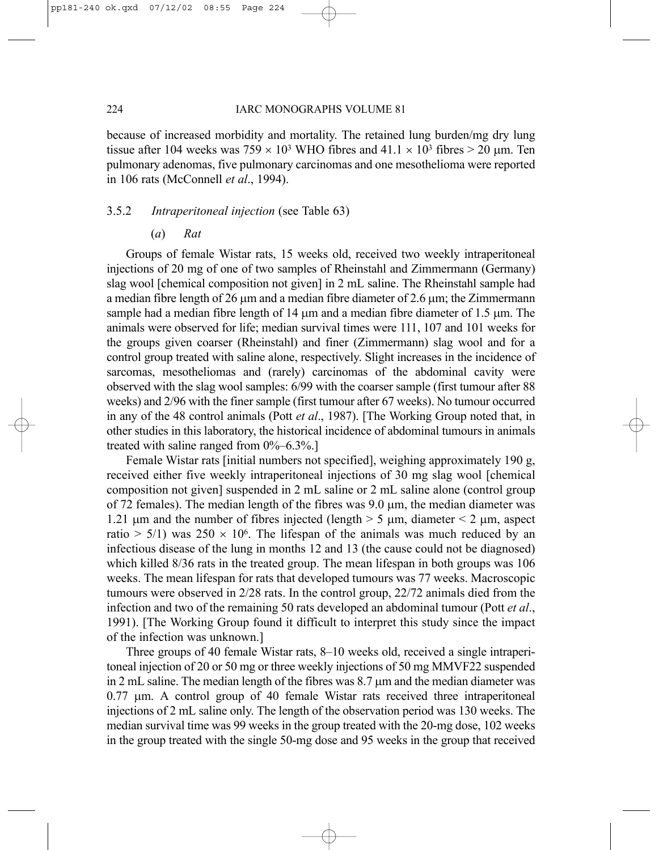because of increased morbidity and mortality. The retained lung burden/mg dry lung tissue after 104 weeks was  $759 \times 10^3$  WHO fibres and  $41.1 \times 10^3$  fibres  $> 20$  µm. Ten pulmonary adenomas, five pulmonary carcinomas and one mesothelioma were reported in 106 rats (McConnell *et al*., 1994).

# 3.5.2 *Intraperitoneal injection* (see Table 63)

(*a*) *Rat*

Groups of female Wistar rats, 15 weeks old, received two weekly intraperitoneal injections of 20 mg of one of two samples of Rheinstahl and Zimmermann (Germany) slag wool [chemical composition not given] in 2 mL saline. The Rheinstahl sample had a median fibre length of 26  $\mu$ m and a median fibre diameter of 2.6  $\mu$ m; the Zimmermann sample had a median fibre length of  $14 \mu m$  and a median fibre diameter of  $1.5 \mu m$ . The animals were observed for life; median survival times were 111, 107 and 101 weeks for the groups given coarser (Rheinstahl) and finer (Zimmermann) slag wool and for a control group treated with saline alone, respectively. Slight increases in the incidence of sarcomas, mesotheliomas and (rarely) carcinomas of the abdominal cavity were observed with the slag wool samples: 6/99 with the coarser sample (first tumour after 88 weeks) and 2/96 with the finer sample (first tumour after 67 weeks). No tumour occurred in any of the 48 control animals (Pott *et al*., 1987). [The Working Group noted that, in other studies in this laboratory, the historical incidence of abdominal tumours in animals treated with saline ranged from  $0\% - 6.3\%$ .

Female Wistar rats [initial numbers not specified], weighing approximately 190 g, received either five weekly intraperitoneal injections of 30 mg slag wool [chemical composition not given] suspended in 2 mL saline or 2 mL saline alone (control group of 72 females). The median length of the fibres was  $9.0 \mu m$ , the median diameter was 1.21  $\mu$ m and the number of fibres injected (length  $>$  5  $\mu$ m, diameter  $\leq$  2  $\mu$ m, aspect ratio  $> 5/1$ ) was  $250 \times 10^6$ . The lifespan of the animals was much reduced by an infectious disease of the lung in months 12 and 13 (the cause could not be diagnosed) which killed 8/36 rats in the treated group. The mean lifespan in both groups was 106 weeks. The mean lifespan for rats that developed tumours was 77 weeks. Macroscopic tumours were observed in 2/28 rats. In the control group, 22/72 animals died from the infection and two of the remaining 50 rats developed an abdominal tumour (Pott *et al*., 1991). [The Working Group found it difficult to interpret this study since the impact of the infection was unknown.]

Three groups of 40 female Wistar rats, 8–10 weeks old, received a single intraperitoneal injection of 20 or 50 mg or three weekly injections of 50 mg MMVF22 suspended in 2 mL saline. The median length of the fibres was  $8.7 \mu m$  and the median diameter was 0.77 µm. A control group of 40 female Wistar rats received three intraperitoneal injections of 2 mL saline only. The length of the observation period was 130 weeks. The median survival time was 99 weeks in the group treated with the 20-mg dose, 102 weeks in the group treated with the single 50-mg dose and 95 weeks in the group that received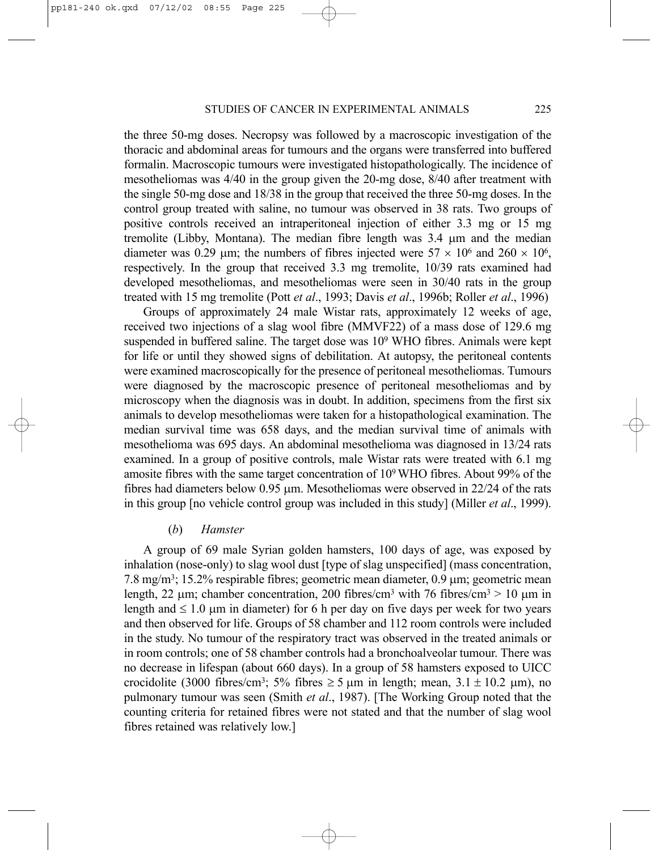the three 50-mg doses. Necropsy was followed by a macroscopic investigation of the thoracic and abdominal areas for tumours and the organs were transferred into buffered formalin. Macroscopic tumours were investigated histopathologically. The incidence of mesotheliomas was 4/40 in the group given the 20-mg dose, 8/40 after treatment with the single 50-mg dose and 18/38 in the group that received the three 50-mg doses. In the control group treated with saline, no tumour was observed in 38 rats. Two groups of positive controls received an intraperitoneal injection of either 3.3 mg or 15 mg tremolite (Libby, Montana). The median fibre length was 3.4 µm and the median diameter was 0.29 µm; the numbers of fibres injected were  $57 \times 10^6$  and  $260 \times 10^6$ , respectively. In the group that received 3.3 mg tremolite, 10/39 rats examined had developed mesotheliomas, and mesotheliomas were seen in 30/40 rats in the group treated with 15 mg tremolite (Pott *et al*., 1993; Davis *et al*., 1996b; Roller *et al*., 1996)

Groups of approximately 24 male Wistar rats, approximately 12 weeks of age, received two injections of a slag wool fibre (MMVF22) of a mass dose of 129.6 mg suspended in buffered saline. The target dose was 109 WHO fibres. Animals were kept for life or until they showed signs of debilitation. At autopsy, the peritoneal contents were examined macroscopically for the presence of peritoneal mesotheliomas. Tumours were diagnosed by the macroscopic presence of peritoneal mesotheliomas and by microscopy when the diagnosis was in doubt. In addition, specimens from the first six animals to develop mesotheliomas were taken for a histopathological examination. The median survival time was 658 days, and the median survival time of animals with mesothelioma was 695 days. An abdominal mesothelioma was diagnosed in 13/24 rats examined. In a group of positive controls, male Wistar rats were treated with 6.1 mg amosite fibres with the same target concentration of 109 WHO fibres. About 99% of the fibres had diameters below 0.95 µm. Mesotheliomas were observed in 22/24 of the rats in this group [no vehicle control group was included in this study] (Miller *et al*., 1999).

#### (*b*) *Hamster*

A group of 69 male Syrian golden hamsters, 100 days of age, was exposed by inhalation (nose-only) to slag wool dust [type of slag unspecified] (mass concentration, 7.8 mg/m<sup>3</sup>; 15.2% respirable fibres; geometric mean diameter,  $0.9 \mu m$ ; geometric mean length, 22  $\mu$ m; chamber concentration, 200 fibres/cm<sup>3</sup> with 76 fibres/cm<sup>3</sup> > 10  $\mu$ m in length and  $\leq 1.0$  µm in diameter) for 6 h per day on five days per week for two years and then observed for life. Groups of 58 chamber and 112 room controls were included in the study. No tumour of the respiratory tract was observed in the treated animals or in room controls; one of 58 chamber controls had a bronchoalveolar tumour. There was no decrease in lifespan (about 660 days). In a group of 58 hamsters exposed to UICC crocidolite (3000 fibres/cm<sup>3</sup>; 5% fibres  $\geq$  5  $\mu$ m in length; mean, 3.1  $\pm$  10.2  $\mu$ m), no pulmonary tumour was seen (Smith *et al*., 1987). [The Working Group noted that the counting criteria for retained fibres were not stated and that the number of slag wool fibres retained was relatively low.]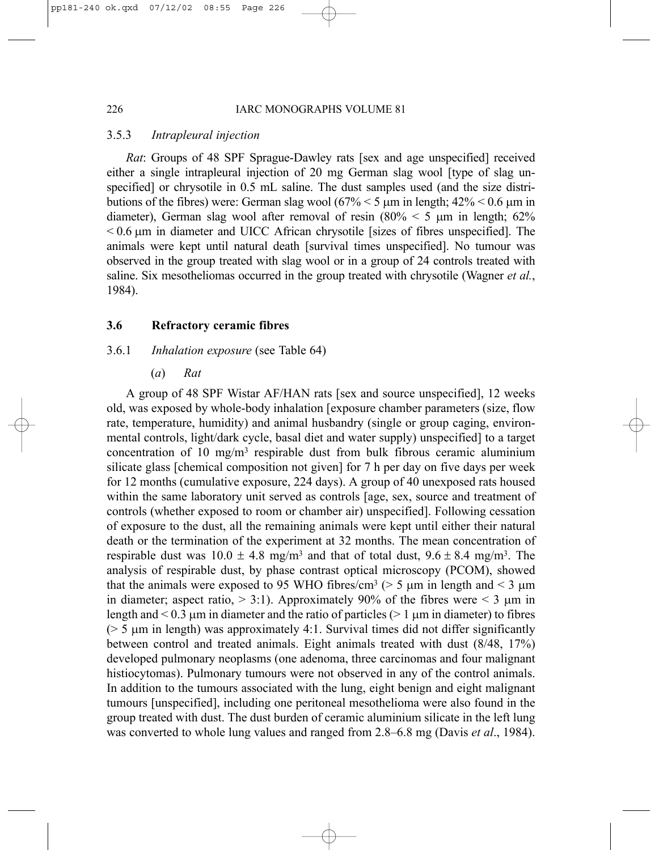#### 226 IARC MONOGRAPHS VOLUME 81

# 3.5.3 *Intrapleural injection*

*Rat*: Groups of 48 SPF Sprague-Dawley rats [sex and age unspecified] received either a single intrapleural injection of 20 mg German slag wool [type of slag unspecified] or chrysotile in 0.5 mL saline. The dust samples used (and the size distributions of the fibres) were: German slag wool  $(67\% \le 5 \text{ µm}$  in length;  $42\% \le 0.6 \text{ µm}$  in diameter), German slag wool after removal of resin  $(80\% \leq 5 \text{ µm}$  in length; 62%  $< 0.6$   $\mu$ m in diameter and UICC African chrysotile [sizes of fibres unspecified]. The animals were kept until natural death [survival times unspecified]. No tumour was observed in the group treated with slag wool or in a group of 24 controls treated with saline. Six mesotheliomas occurred in the group treated with chrysotile (Wagner *et al.*, 1984).

# **3.6 Refractory ceramic fibres**

# 3.6.1 *Inhalation exposure* (see Table 64)

(*a*) *Rat*

A group of 48 SPF Wistar AF/HAN rats [sex and source unspecified], 12 weeks old, was exposed by whole-body inhalation [exposure chamber parameters (size, flow rate, temperature, humidity) and animal husbandry (single or group caging, environmental controls, light/dark cycle, basal diet and water supply) unspecified] to a target concentration of 10 mg/m<sup>3</sup> respirable dust from bulk fibrous ceramic aluminium silicate glass [chemical composition not given] for 7 h per day on five days per week for 12 months (cumulative exposure, 224 days). A group of 40 unexposed rats housed within the same laboratory unit served as controls [age, sex, source and treatment of controls (whether exposed to room or chamber air) unspecified]. Following cessation of exposure to the dust, all the remaining animals were kept until either their natural death or the termination of the experiment at 32 months. The mean concentration of respirable dust was  $10.0 \pm 4.8$  mg/m<sup>3</sup> and that of total dust,  $9.6 \pm 8.4$  mg/m<sup>3</sup>. The analysis of respirable dust, by phase contrast optical microscopy (PCOM), showed that the animals were exposed to 95 WHO fibres/cm<sup>3</sup> ( $>$  5  $\mu$ m in length and < 3  $\mu$ m in diameter; aspect ratio,  $> 3:1$ ). Approximately 90% of the fibres were  $< 3 \mu m$  in length and  $\leq 0.3$  µm in diameter and the ratio of particles ( $\geq 1$  µm in diameter) to fibres ( $> 5 \mu$ m in length) was approximately 4:1. Survival times did not differ significantly between control and treated animals. Eight animals treated with dust (8/48, 17%) developed pulmonary neoplasms (one adenoma, three carcinomas and four malignant histiocytomas). Pulmonary tumours were not observed in any of the control animals. In addition to the tumours associated with the lung, eight benign and eight malignant tumours [unspecified], including one peritoneal mesothelioma were also found in the group treated with dust. The dust burden of ceramic aluminium silicate in the left lung was converted to whole lung values and ranged from 2.8–6.8 mg (Davis *et al*., 1984).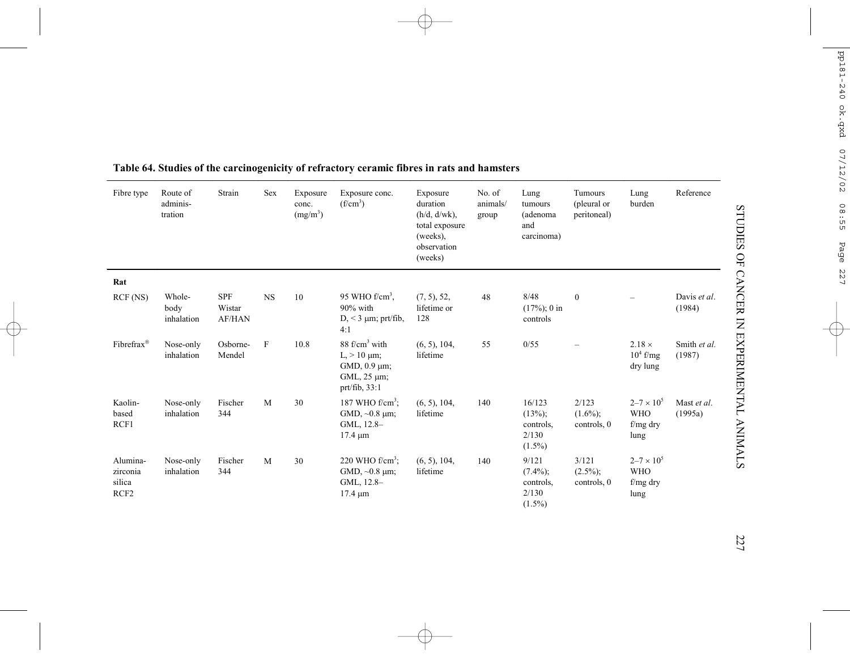| Fibre type                                         | Route of<br>adminis-<br>tration | Strain                                | Sex       | Exposure<br>conc.<br>(mg/m <sup>3</sup> ) | Exposure conc.<br>$(f/cm^3)$                                                                                   | Exposure<br>duration<br>$(h/d, d/wk)$ ,<br>total exposure<br>(weeks),<br>observation<br>(weeks) | No. of<br>animals/<br>group | Lung<br>tumours<br>(adenoma<br>and<br>carcinoma)        | Tumours<br>(pleural or<br>peritoneal) | Lung<br>burden                                            | Reference              |
|----------------------------------------------------|---------------------------------|---------------------------------------|-----------|-------------------------------------------|----------------------------------------------------------------------------------------------------------------|-------------------------------------------------------------------------------------------------|-----------------------------|---------------------------------------------------------|---------------------------------------|-----------------------------------------------------------|------------------------|
| Rat                                                |                                 |                                       |           |                                           |                                                                                                                |                                                                                                 |                             |                                                         |                                       |                                                           |                        |
| RCF (NS)                                           | Whole-<br>body<br>inhalation    | <b>SPF</b><br>Wistar<br><b>AF/HAN</b> | <b>NS</b> | 10                                        | 95 WHO $f/cm3$ ,<br>90% with<br>$D_{1}$ < 3 $\mu$ m; prt/fib,<br>4:1                                           | $(7, 5)$ , 52,<br>lifetime or<br>128                                                            | 48                          | 8/48<br>$(17\%)$ ; 0 in<br>controls                     | $\bf{0}$                              | -                                                         | Davis et al.<br>(1984) |
| Fibrefrax®                                         | Nose-only<br>inhalation         | Osborne-<br>Mendel                    | F         | 10.8                                      | 88 f/cm <sup>3</sup> with<br>$L > 10 \mu m$ ;<br>$GMD$ , 0.9 $\mu$ m;<br>GML, $25 \mu m$ ;<br>$prt/fib$ , 33:1 | (6, 5), 104,<br>lifetime                                                                        | 55                          | 0/55                                                    | $\overline{\phantom{0}}$              | $2.18 \times$<br>$10^4$ f/mg<br>dry lung                  | Smith et al.<br>(1987) |
| Kaolin-<br>based<br>RCF1                           | Nose-only<br>inhalation         | Fischer<br>344                        | M         | 30                                        | 187 WHO $f/cm3$ .<br>GMD, $\sim 0.8$ $\mu$ m;<br>GML, 12.8-<br>$17.4 \mu m$                                    | (6, 5), 104,<br>lifetime                                                                        | 140                         | 16/123<br>$(13\%)$ ;<br>controls.<br>2/130<br>$(1.5\%)$ | 2/123<br>$(1.6\%)$ ;<br>controls, 0   | $2 - 7 \times 10^{5}$<br><b>WHO</b><br>$f/mg$ dry<br>lung | Mast et al.<br>(1995a) |
| Alumina-<br>zirconia<br>silica<br>RCF <sub>2</sub> | Nose-only<br>inhalation         | Fischer<br>344                        | M         | 30                                        | 220 WHO $f/cm^3$ :<br>GMD, $\sim 0.8$ $\mu$ m;<br>GML, 12.8-<br>$17.4 \mu m$                                   | (6, 5), 104,<br>lifetime                                                                        | 140                         | 9/121<br>$(7.4\%)$ ;<br>controls.<br>2/130<br>$(1.5\%)$ | 3/121<br>$(2.5\%)$ ;<br>controls, 0   | $2 - 7 \times 10^{5}$<br><b>WHO</b><br>f/mg dry<br>lung   |                        |

# **Table 64. Studies of the carcinogenicity of refractory ceramic fibres in rats and hamsters**

227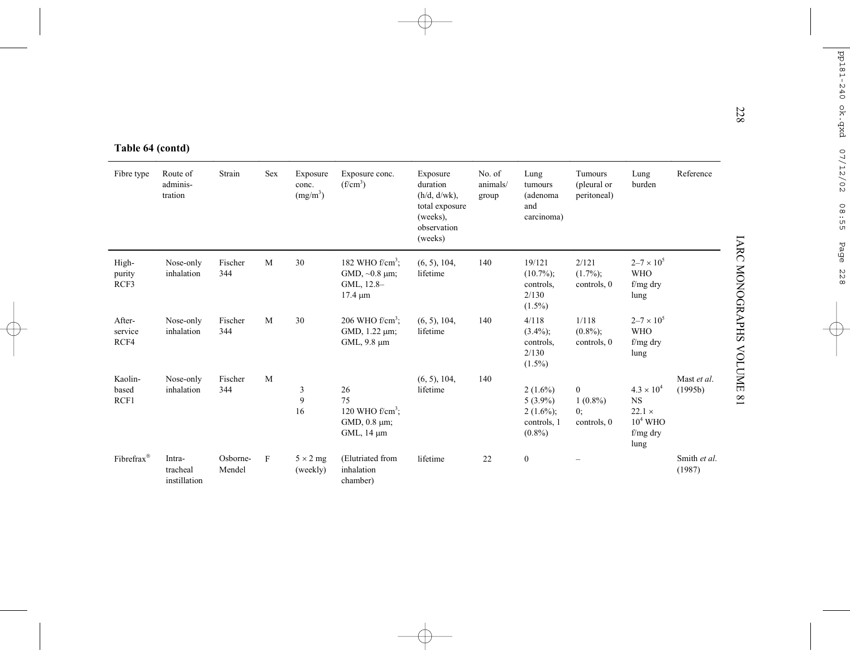| Table 64 (contd) |  |  |
|------------------|--|--|
|------------------|--|--|

| Table 64 (contd)          |                                    |                    |     |                                           |                                                                             |                                                                                                 |                             |                                                                      |                                             |                                                                                       |                        |
|---------------------------|------------------------------------|--------------------|-----|-------------------------------------------|-----------------------------------------------------------------------------|-------------------------------------------------------------------------------------------------|-----------------------------|----------------------------------------------------------------------|---------------------------------------------|---------------------------------------------------------------------------------------|------------------------|
| Fibre type                | Route of<br>adminis-<br>tration    | Strain             | Sex | Exposure<br>conc.<br>(mg/m <sup>3</sup> ) | Exposure conc.<br>(f/cm <sup>3</sup> )                                      | Exposure<br>duration<br>$(h/d, d/wk)$ ,<br>total exposure<br>(weeks),<br>observation<br>(weeks) | No. of<br>animals/<br>group | Lung<br>tumours<br>(adenoma<br>and<br>carcinoma)                     | Tumours<br>(pleural or<br>peritoneal)       | Lung<br>burden                                                                        | Reference              |
| High-<br>purity<br>RCF3   | Nose-only<br>inhalation            | Fischer<br>344     | M   | 30                                        | 182 WHO $f/cm3$ .<br>GMD, $\sim 0.8$ $\mu$ m;<br>GML, 12.8-<br>$17.4 \mu m$ | (6, 5), 104,<br>lifetime                                                                        | 140                         | 19/121<br>$(10.7\%)$ ;<br>controls,<br>2/130<br>$(1.5\%)$            | 2/121<br>$(1.7\%)$ ;<br>controls, 0         | $2 - 7 \times 10^{5}$<br><b>WHO</b><br>$f/mg$ dry<br>lung                             |                        |
| After-<br>service<br>RCF4 | Nose-only<br>inhalation            | Fischer<br>344     | M   | 30                                        | 206 WHO $f/cm^3$ ;<br>GMD, 1.22 µm;<br>GML, 9.8 µm                          | (6, 5), 104,<br>lifetime                                                                        | 140                         | 4/118<br>$(3.4\%)$ ;<br>controls.<br>2/130<br>$(1.5\%)$              | 1/118<br>$(0.8\%)$ ;<br>controls, 0         | $2 - 7 \times 10^{5}$<br><b>WHO</b><br>f/mg dry<br>lung                               |                        |
| Kaolin-<br>based<br>RCF1  | Nose-only<br>inhalation            | Fischer<br>344     | M   | 3<br>9<br>16                              | 26<br>75<br>120 WHO $f/cm3$ .<br>GMD, 0.8 µm;<br>GML, 14 µm                 | (6, 5), 104,<br>lifetime                                                                        | 140                         | $2(1.6\%)$<br>$5(3.9\%)$<br>$2(1.6\%)$ ;<br>controls, 1<br>$(0.8\%)$ | $\bf{0}$<br>$1(0.8\%)$<br>0:<br>controls, 0 | $4.3 \times 10^{4}$<br><b>NS</b><br>$22.1 \times$<br>$10^4$ WHO<br>$f/mg$ dry<br>lung | Mast et al.<br>(1995b) |
| Fibrefrax <sup>®</sup>    | Intra-<br>tracheal<br>instillation | Osborne-<br>Mendel | F   | $5 \times 2$ mg<br>(weekly)               | (Elutriated from<br>inhalation<br>chamber)                                  | lifetime                                                                                        | 22                          | $\boldsymbol{0}$                                                     |                                             |                                                                                       | Smith et al.<br>(1987) |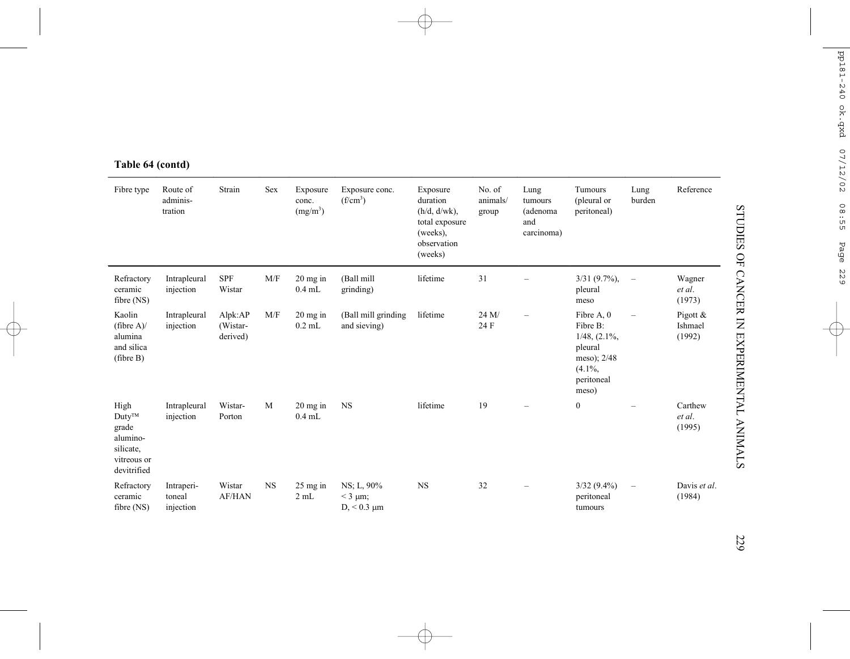| Fibre type                                                                          | Route of<br>adminis-<br>tration   | Strain                          | Sex       | Exposure<br>conc.<br>(mg/m <sup>3</sup> ) | Exposure conc.<br>$(f/cm^3)$                          | Exposure<br>duration<br>$(h/d, d/wk)$ ,<br>total exposure<br>(weeks),<br>observation<br>(weeks) | No. of<br>animals/<br>group | Lung<br>tumours<br>(adenoma<br>and<br>carcinoma) | Tumours<br>(pleural or<br>peritoneal)                                                                       | Lung<br>burden           | Reference                       |
|-------------------------------------------------------------------------------------|-----------------------------------|---------------------------------|-----------|-------------------------------------------|-------------------------------------------------------|-------------------------------------------------------------------------------------------------|-----------------------------|--------------------------------------------------|-------------------------------------------------------------------------------------------------------------|--------------------------|---------------------------------|
| Refractory<br>ceramic<br>fibre $(NS)$                                               | Intrapleural<br>injection         | <b>SPF</b><br>Wistar            | M/F       | $20$ mg in<br>$0.4$ mL                    | (Ball mill<br>grinding)                               | lifetime                                                                                        | 31                          |                                                  | $3/31$ (9.7%),<br>pleural<br>meso                                                                           | $\overline{\phantom{m}}$ | Wagner<br>et al.<br>(1973)      |
| Kaolin<br>(fibre $A$ )/<br>alumina<br>and silica<br>(fibre B)                       | Intrapleural<br>injection         | Alpk:AP<br>(Wistar-<br>derived) | M/F       | $20$ mg in<br>$0.2$ mL                    | (Ball mill grinding<br>and sieving)                   | lifetime                                                                                        | 24 M/<br>24 F               | $\overline{\phantom{a}}$                         | Fibre A, 0<br>Fibre B:<br>$1/48$ , $(2.1\%$ ,<br>pleural<br>meso); 2/48<br>$(4.1\%,$<br>peritoneal<br>meso) | $\overline{\phantom{m}}$ | Pigott $&$<br>Ishmael<br>(1992) |
| High<br>$Duty^{TM}$<br>grade<br>alumino-<br>silicate,<br>vitreous or<br>devitrified | Intrapleural<br>injection         | Wistar-<br>Porton               | M         | $20$ mg in<br>$0.4$ mL                    | <b>NS</b>                                             | lifetime                                                                                        | 19                          |                                                  | $\boldsymbol{0}$                                                                                            |                          | Carthew<br>et al.<br>(1995)     |
| Refractory<br>ceramic<br>fibre $(NS)$                                               | Intraperi-<br>toneal<br>injection | Wistar<br><b>AF/HAN</b>         | <b>NS</b> | $25$ mg in<br>2 mL                        | NS; L, 90%<br>$<$ 3 $\mu$ m;<br>$D_{1}$ < 0.3 $\mu$ m | $_{\rm NS}$                                                                                     | 32                          |                                                  | $3/32(9.4\%)$<br>peritoneal<br>tumours                                                                      | $\overline{\phantom{m}}$ | Davis et al.<br>(1984)          |

# **Table 64 (contd)**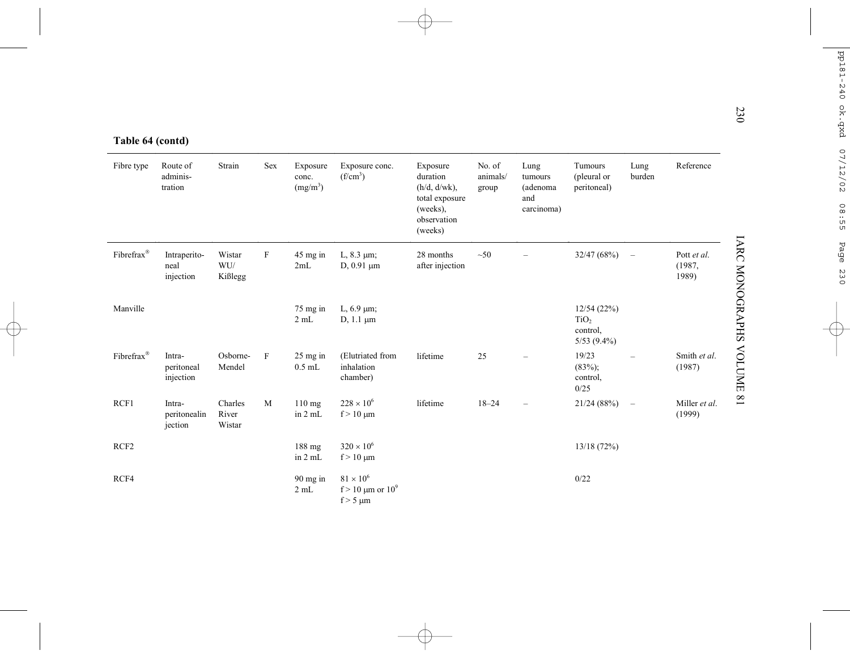| Table 64 (contd)       |                                   |                            |             |                                           |                                                          |                                                                                                 |                             |                                                  |                                                             |                          |                                |
|------------------------|-----------------------------------|----------------------------|-------------|-------------------------------------------|----------------------------------------------------------|-------------------------------------------------------------------------------------------------|-----------------------------|--------------------------------------------------|-------------------------------------------------------------|--------------------------|--------------------------------|
| Fibre type             | Route of<br>adminis-<br>tration   | Strain                     | Sex         | Exposure<br>conc.<br>(mg/m <sup>3</sup> ) | Exposure conc.<br>(f/cm <sup>3</sup> )                   | Exposure<br>duration<br>$(h/d, d/wk)$ ,<br>total exposure<br>(weeks),<br>observation<br>(weeks) | No. of<br>animals/<br>group | Lung<br>tumours<br>(adenoma<br>and<br>carcinoma) | Tumours<br>(pleural or<br>peritoneal)                       | Lung<br>burden           | Reference                      |
| Fibrefrax®             | Intraperito-<br>neal<br>injection | Wistar<br>WU/<br>Kißlegg   | $\mathbf F$ | 45 mg in<br>2mL                           | L, $8.3 \mu m$ ;<br>$D, 0.91 \mu m$                      | 28 months<br>after injection                                                                    | $\sim 50$                   |                                                  | 32/47 (68%)                                                 | $\overline{\phantom{a}}$ | Pott et al.<br>(1987,<br>1989) |
| Manville               |                                   |                            |             | $75$ mg in<br>2 mL                        | L, $6.9 \mu m$ ;<br>$D, 1.1 \mu m$                       |                                                                                                 |                             |                                                  | 12/54(22%)<br>TiO <sub>2</sub><br>control,<br>$5/53$ (9.4%) |                          |                                |
| Fibrefrax <sup>®</sup> | Intra-<br>peritoneal<br>injection | Osborne-<br>Mendel         | F           | $25$ mg in<br>$0.5$ mL                    | (Elutriated from<br>inhalation<br>chamber)               | lifetime                                                                                        | 25                          |                                                  | 19/23<br>$(83\%)$ ;<br>control,<br>0/25                     | $\overline{\phantom{0}}$ | Smith et al.<br>(1987)         |
| RCF1                   | Intra-<br>peritonealin<br>jection | Charles<br>River<br>Wistar | M           | 110 mg<br>in 2 mL                         | $228 \times 10^{6}$<br>$f > 10 \mu m$                    | lifetime                                                                                        | $18 - 24$                   |                                                  | 21/24(88%)                                                  | $\overline{\phantom{m}}$ | Miller et al.<br>(1999)        |
| RCF <sub>2</sub>       |                                   |                            |             | 188 mg<br>in 2 mL                         | $320 \times 10^{6}$<br>$f > 10 \mu m$                    |                                                                                                 |                             |                                                  | 13/18(72%)                                                  |                          |                                |
| RCF4                   |                                   |                            |             | $90$ mg in<br>2 mL                        | $81 \times 10^6$<br>f > 10 μm or $10^9$<br>$f > 5 \mu m$ |                                                                                                 |                             |                                                  | 0/22                                                        |                          |                                |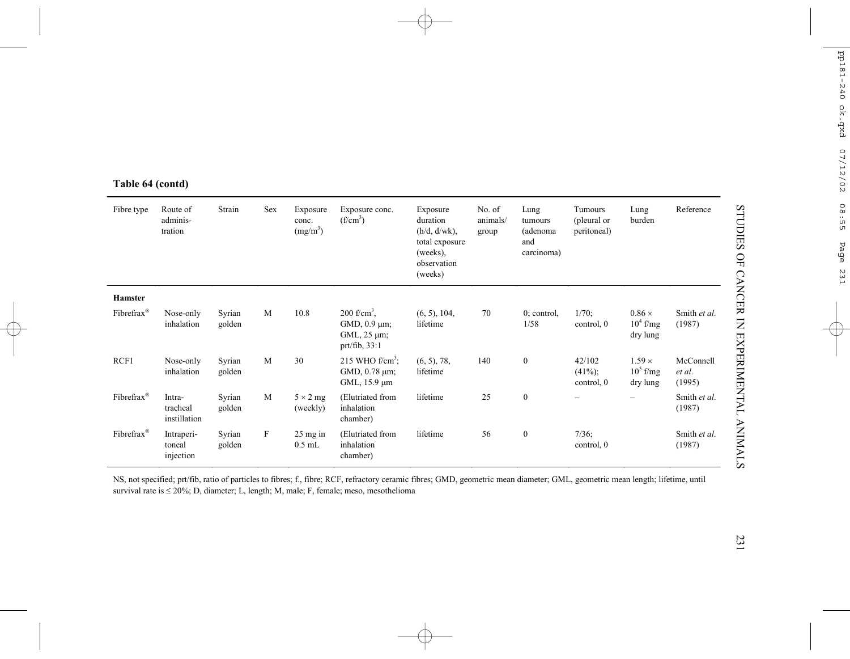| Fibre type             | Route of<br>adminis-<br>tration    | Strain           | Sex | Exposure<br>conc.<br>(mg/m <sup>3</sup> ) | Exposure conc.<br>$(f/cm^3)$                                                                 | Exposure<br>duration<br>$(h/d, d/wk)$ ,<br>total exposure<br>(weeks),<br>observation<br>(weeks) | No. of<br>animals/<br>group | Lung<br>tumours<br>(adenoma<br>and<br>carcinoma) | Tumours<br>(pleural or<br>peritoneal) | Lung<br>burden                           | Reference                     |
|------------------------|------------------------------------|------------------|-----|-------------------------------------------|----------------------------------------------------------------------------------------------|-------------------------------------------------------------------------------------------------|-----------------------------|--------------------------------------------------|---------------------------------------|------------------------------------------|-------------------------------|
| <b>Hamster</b>         |                                    |                  |     |                                           |                                                                                              |                                                                                                 |                             |                                                  |                                       |                                          |                               |
| Fibrefrax®             | Nose-only<br>inhalation            | Syrian<br>golden | M   | 10.8                                      | $200$ f/cm <sup>3</sup> .<br>$GMD$ , 0.9 $\mu$ m;<br>$GML$ , 25 $\mu$ m;<br>$prt/fib$ , 33:1 | (6, 5), 104,<br>lifetime                                                                        | 70                          | $0$ ; control,<br>1/58                           | $1/70$ ;<br>control, 0                | $0.86 \times$<br>$10^4$ f/mg<br>dry lung | Smith et al.<br>(1987)        |
| RCF1                   | Nose-only<br>inhalation            | Syrian<br>golden | M   | 30                                        | 215 WHO $f/cm3$ .<br>GMD, 0.78 µm;<br>GML, $15.9 \mu m$                                      | (6, 5), 78,<br>lifetime                                                                         | 140                         | $\boldsymbol{0}$                                 | 42/102<br>$(41\%)$ ;<br>control, 0    | $1.59 \times$<br>$10^5$ f/mg<br>dry lung | McConnell<br>et al.<br>(1995) |
| Fibrefrax®             | Intra-<br>tracheal<br>instillation | Syrian<br>golden | M   | $5 \times 2$ mg<br>(weekly)               | (Elutriated from<br>inhalation<br>chamber)                                                   | lifetime                                                                                        | 25                          | $\boldsymbol{0}$                                 |                                       | $\overline{\phantom{0}}$                 | Smith et al.<br>(1987)        |
| Fibrefrax <sup>®</sup> | Intraperi-<br>toneal<br>injection  | Syrian<br>golden | F   | $25 \,\mathrm{mg}$ in<br>$0.5$ mL         | (Elutriated from<br>inhalation<br>chamber)                                                   | lifetime                                                                                        | 56                          | $\mathbf{0}$                                     | $7/36$ ;<br>control, 0                |                                          | Smith et al.<br>(1987)        |

**Table 64 (contd)**

NS, not specified; prt/fib, ratio of particles to fibres; f., fibre; RCF, refractory ceramic fibres; GMD, geometric mean diameter; GML, geometric mean length; lifetime, until survival rate is <sup>≤</sup> 20%; D, diameter; L, length; M, male; F, female; meso, mesothelioma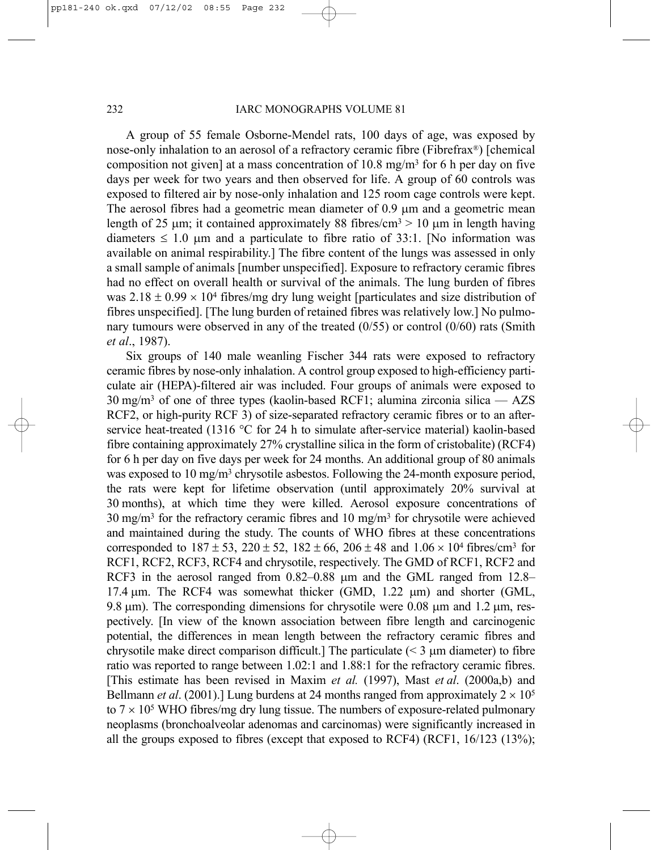A group of 55 female Osborne-Mendel rats, 100 days of age, was exposed by nose-only inhalation to an aerosol of a refractory ceramic fibre (Fibrefrax®) [chemical composition not given] at a mass concentration of 10.8 mg/m3 for 6 h per day on five days per week for two years and then observed for life. A group of 60 controls was exposed to filtered air by nose-only inhalation and 125 room cage controls were kept. The aerosol fibres had a geometric mean diameter of 0.9 µm and a geometric mean length of 25  $\mu$ m; it contained approximately 88 fibres/cm<sup>3</sup> > 10  $\mu$ m in length having diameters  $\leq 1.0$  µm and a particulate to fibre ratio of 33:1. [No information was available on animal respirability.] The fibre content of the lungs was assessed in only a small sample of animals [number unspecified]. Exposure to refractory ceramic fibres had no effect on overall health or survival of the animals. The lung burden of fibres was  $2.18 \pm 0.99 \times 10^4$  fibres/mg dry lung weight [particulates and size distribution of fibres unspecified]. [The lung burden of retained fibres was relatively low.] No pulmonary tumours were observed in any of the treated (0/55) or control (0/60) rats (Smith *et al*., 1987).

Six groups of 140 male weanling Fischer 344 rats were exposed to refractory ceramic fibres by nose-only inhalation. A control group exposed to high-efficiency particulate air (HEPA)-filtered air was included. Four groups of animals were exposed to  $30 \text{ mg/m}^3$  of one of three types (kaolin-based RCF1; alumina zirconia silica — AZS RCF2, or high-purity RCF 3) of size-separated refractory ceramic fibres or to an afterservice heat-treated (1316 °C for 24 h to simulate after-service material) kaolin-based fibre containing approximately 27% crystalline silica in the form of cristobalite) (RCF4) for 6 h per day on five days per week for 24 months. An additional group of 80 animals was exposed to 10 mg/m<sup>3</sup> chrysotile asbestos. Following the 24-month exposure period, the rats were kept for lifetime observation (until approximately 20% survival at 30 months), at which time they were killed. Aerosol exposure concentrations of 30 mg/m3 for the refractory ceramic fibres and 10 mg/m3 for chrysotile were achieved and maintained during the study. The counts of WHO fibres at these concentrations corresponded to  $187 \pm 53$ ,  $220 \pm 52$ ,  $182 \pm 66$ ,  $206 \pm 48$  and  $1.06 \times 10^4$  fibres/cm<sup>3</sup> for RCF1, RCF2, RCF3, RCF4 and chrysotile, respectively. The GMD of RCF1, RCF2 and RCF3 in the aerosol ranged from 0.82–0.88  $\mu$ m and the GML ranged from 12.8– 17.4 µm. The RCF4 was somewhat thicker (GMD, 1.22 µm) and shorter (GML, 9.8  $\mu$ m). The corresponding dimensions for chrysotile were 0.08  $\mu$ m and 1.2  $\mu$ m, respectively. [In view of the known association between fibre length and carcinogenic potential, the differences in mean length between the refractory ceramic fibres and chrysotile make direct comparison difficult.] The particulate  $(< 3 \mu m$  diameter) to fibre ratio was reported to range between 1.02:1 and 1.88:1 for the refractory ceramic fibres. [This estimate has been revised in Maxim *et al.* (1997), Mast *et al*. (2000a,b) and Bellmann *et al.* (2001).] Lung burdens at 24 months ranged from approximately  $2 \times 10^5$ to  $7 \times 10^5$  WHO fibres/mg dry lung tissue. The numbers of exposure-related pulmonary neoplasms (bronchoalveolar adenomas and carcinomas) were significantly increased in all the groups exposed to fibres (except that exposed to RCF4) (RCF1, 16/123 (13%);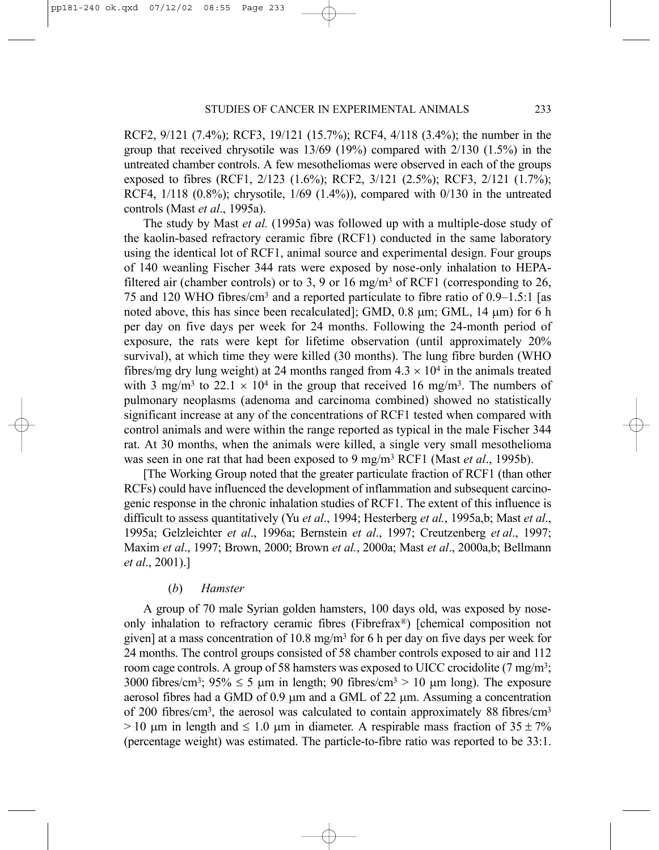RCF2, 9/121 (7.4%); RCF3, 19/121 (15.7%); RCF4, 4/118 (3.4%); the number in the group that received chrysotile was  $13/69$  (19%) compared with  $2/130$  (1.5%) in the untreated chamber controls. A few mesotheliomas were observed in each of the groups exposed to fibres (RCF1, 2/123 (1.6%); RCF2, 3/121 (2.5%); RCF3, 2/121 (1.7%); RCF4, 1/118 (0.8%); chrysotile, 1/69 (1.4%)), compared with 0/130 in the untreated controls (Mast *et al*., 1995a).

The study by Mast *et al.* (1995a) was followed up with a multiple-dose study of the kaolin-based refractory ceramic fibre (RCF1) conducted in the same laboratory using the identical lot of RCF1, animal source and experimental design. Four groups of 140 weanling Fischer 344 rats were exposed by nose-only inhalation to HEPAfiltered air (chamber controls) or to 3, 9 or 16 mg/m<sup>3</sup> of RCF1 (corresponding to 26, 75 and 120 WHO fibres/cm3 and a reported particulate to fibre ratio of 0.9–1.5:1 [as noted above, this has since been recalculated]; GMD, 0.8 µm; GML, 14 µm) for 6 h per day on five days per week for 24 months. Following the 24-month period of exposure, the rats were kept for lifetime observation (until approximately 20% survival), at which time they were killed (30 months). The lung fibre burden (WHO fibres/mg dry lung weight) at 24 months ranged from  $4.3 \times 10^4$  in the animals treated with 3 mg/m<sup>3</sup> to 22.1  $\times$  10<sup>4</sup> in the group that received 16 mg/m<sup>3</sup>. The numbers of pulmonary neoplasms (adenoma and carcinoma combined) showed no statistically significant increase at any of the concentrations of RCF1 tested when compared with control animals and were within the range reported as typical in the male Fischer 344 rat. At 30 months, when the animals were killed, a single very small mesothelioma was seen in one rat that had been exposed to 9 mg/m3 RCF1 (Mast *et al*., 1995b).

[The Working Group noted that the greater particulate fraction of RCF1 (than other RCFs) could have influenced the development of inflammation and subsequent carcinogenic response in the chronic inhalation studies of RCF1. The extent of this influence is difficult to assess quantitatively (Yu *et al*., 1994; Hesterberg *et al.*, 1995a,b; Mast *et al*., 1995a; Gelzleichter *et al*., 1996a; Bernstein *et al*., 1997; Creutzenberg *et al*., 1997; Maxim *et al*., 1997; Brown, 2000; Brown *et al.*, 2000a; Mast *et al*., 2000a,b; Bellmann *et al*., 2001).]

#### (*b*) *Hamster*

A group of 70 male Syrian golden hamsters, 100 days old, was exposed by noseonly inhalation to refractory ceramic fibres (Fibrefrax®) [chemical composition not given] at a mass concentration of 10.8 mg/m<sup>3</sup> for 6 h per day on five days per week for 24 months. The control groups consisted of 58 chamber controls exposed to air and 112 room cage controls. A group of 58 hamsters was exposed to UICC crocidolite (7 mg/m3; 3000 fibres/cm<sup>3</sup>;  $95\% \le 5$  µm in length; 90 fibres/cm<sup>3</sup> > 10 µm long). The exposure aerosol fibres had a GMD of 0.9 µm and a GML of 22 µm. Assuming a concentration of 200 fibres/cm3, the aerosol was calculated to contain approximately 88 fibres/cm3  $> 10$  µm in length and  $\leq 1.0$  µm in diameter. A respirable mass fraction of 35 ± 7% (percentage weight) was estimated. The particle-to-fibre ratio was reported to be 33:1.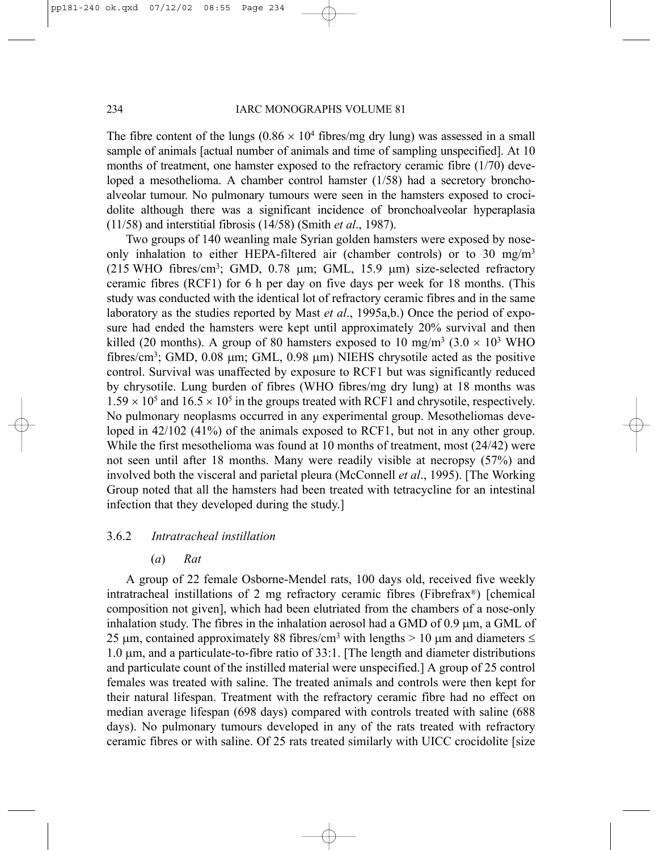The fibre content of the lungs  $(0.86 \times 10^4$  fibres/mg dry lung) was assessed in a small sample of animals [actual number of animals and time of sampling unspecified]. At 10 months of treatment, one hamster exposed to the refractory ceramic fibre (1/70) developed a mesothelioma. A chamber control hamster (1/58) had a secretory bronchoalveolar tumour. No pulmonary tumours were seen in the hamsters exposed to crocidolite although there was a significant incidence of bronchoalveolar hyperaplasia (11/58) and interstitial fibrosis (14/58) (Smith *et al*., 1987).

Two groups of 140 weanling male Syrian golden hamsters were exposed by noseonly inhalation to either HEPA-filtered air (chamber controls) or to 30 mg/m<sup>3</sup> (215 WHO fibres/cm3; GMD, 0.78 µm; GML, 15.9 µm) size-selected refractory ceramic fibres (RCF1) for 6 h per day on five days per week for 18 months. (This study was conducted with the identical lot of refractory ceramic fibres and in the same laboratory as the studies reported by Mast *et al*., 1995a,b.) Once the period of exposure had ended the hamsters were kept until approximately 20% survival and then killed (20 months). A group of 80 hamsters exposed to 10 mg/m<sup>3</sup> ( $3.0 \times 10^{3}$  WHO fibres/cm3; GMD, 0.08 µm; GML, 0.98 µm) NIEHS chrysotile acted as the positive control. Survival was unaffected by exposure to RCF1 but was significantly reduced by chrysotile. Lung burden of fibres (WHO fibres/mg dry lung) at 18 months was  $1.59 \times 10^5$  and  $16.5 \times 10^5$  in the groups treated with RCF1 and chrysotile, respectively. No pulmonary neoplasms occurred in any experimental group. Mesotheliomas developed in 42/102 (41%) of the animals exposed to RCF1, but not in any other group. While the first mesothelioma was found at 10 months of treatment, most (24/42) were not seen until after 18 months. Many were readily visible at necropsy (57%) and involved both the visceral and parietal pleura (McConnell *et al*., 1995). [The Working Group noted that all the hamsters had been treated with tetracycline for an intestinal infection that they developed during the study.]

## 3.6.2 *Intratracheal instillation*

### (*a*) *Rat*

A group of 22 female Osborne-Mendel rats, 100 days old, received five weekly intratracheal instillations of 2 mg refractory ceramic fibres (Fibrefrax®) [chemical composition not given], which had been elutriated from the chambers of a nose-only inhalation study. The fibres in the inhalation aerosol had a GMD of 0.9 µm, a GML of 25 µm, contained approximately 88 fibres/cm<sup>3</sup> with lengths  $> 10$  µm and diameters  $\le$  $1.0 \mu$ m, and a particulate-to-fibre ratio of 33:1. [The length and diameter distributions and particulate count of the instilled material were unspecified.] A group of 25 control females was treated with saline. The treated animals and controls were then kept for their natural lifespan. Treatment with the refractory ceramic fibre had no effect on median average lifespan (698 days) compared with controls treated with saline (688 days). No pulmonary tumours developed in any of the rats treated with refractory ceramic fibres or with saline. Of 25 rats treated similarly with UICC crocidolite [size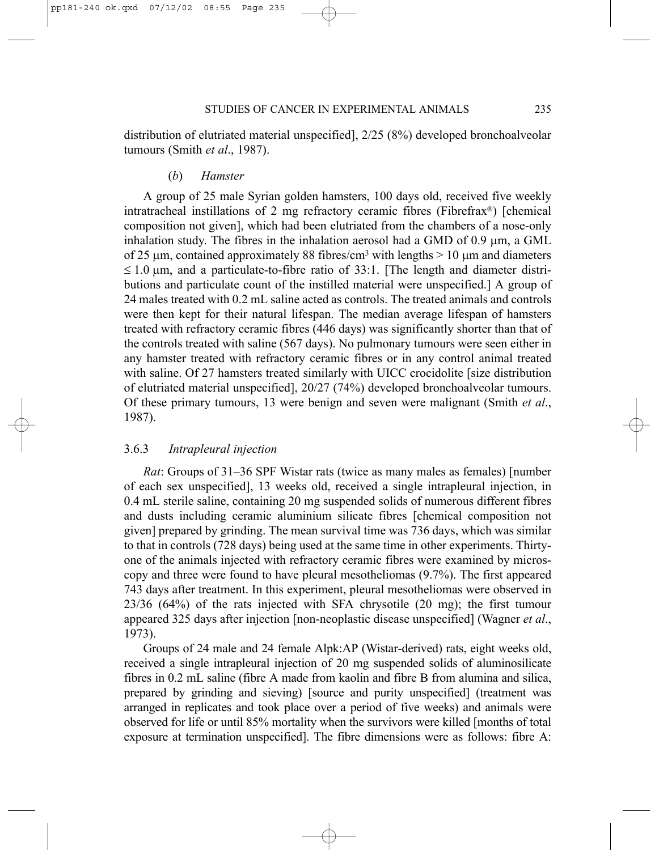distribution of elutriated material unspecified], 2/25 (8%) developed bronchoalveolar tumours (Smith *et al*., 1987).

# (*b*) *Hamster*

A group of 25 male Syrian golden hamsters, 100 days old, received five weekly intratracheal instillations of 2 mg refractory ceramic fibres (Fibrefrax®) [chemical composition not given], which had been elutriated from the chambers of a nose-only inhalation study. The fibres in the inhalation aerosol had a GMD of  $0.9 \mu m$ , a GML of 25  $\mu$ m, contained approximately 88 fibres/cm<sup>3</sup> with lengths  $> 10 \mu$ m and diameters  $\leq 1.0$  µm, and a particulate-to-fibre ratio of 33:1. [The length and diameter distributions and particulate count of the instilled material were unspecified.] A group of 24 males treated with 0.2 mL saline acted as controls. The treated animals and controls were then kept for their natural lifespan. The median average lifespan of hamsters treated with refractory ceramic fibres (446 days) was significantly shorter than that of the controls treated with saline (567 days). No pulmonary tumours were seen either in any hamster treated with refractory ceramic fibres or in any control animal treated with saline. Of 27 hamsters treated similarly with UICC crocidolite [size distribution of elutriated material unspecified], 20/27 (74%) developed bronchoalveolar tumours. Of these primary tumours, 13 were benign and seven were malignant (Smith *et al*., 1987).

# 3.6.3 *Intrapleural injection*

*Rat*: Groups of 31–36 SPF Wistar rats (twice as many males as females) [number of each sex unspecified], 13 weeks old, received a single intrapleural injection, in 0.4 mL sterile saline, containing 20 mg suspended solids of numerous different fibres and dusts including ceramic aluminium silicate fibres [chemical composition not given] prepared by grinding. The mean survival time was 736 days, which was similar to that in controls (728 days) being used at the same time in other experiments. Thirtyone of the animals injected with refractory ceramic fibres were examined by microscopy and three were found to have pleural mesotheliomas (9.7%). The first appeared 743 days after treatment. In this experiment, pleural mesotheliomas were observed in 23/36 (64%) of the rats injected with SFA chrysotile (20 mg); the first tumour appeared 325 days after injection [non-neoplastic disease unspecified] (Wagner *et al*., 1973).

Groups of 24 male and 24 female Alpk:AP (Wistar-derived) rats, eight weeks old, received a single intrapleural injection of 20 mg suspended solids of aluminosilicate fibres in 0.2 mL saline (fibre A made from kaolin and fibre B from alumina and silica, prepared by grinding and sieving) [source and purity unspecified] (treatment was arranged in replicates and took place over a period of five weeks) and animals were observed for life or until 85% mortality when the survivors were killed [months of total exposure at termination unspecified]. The fibre dimensions were as follows: fibre A: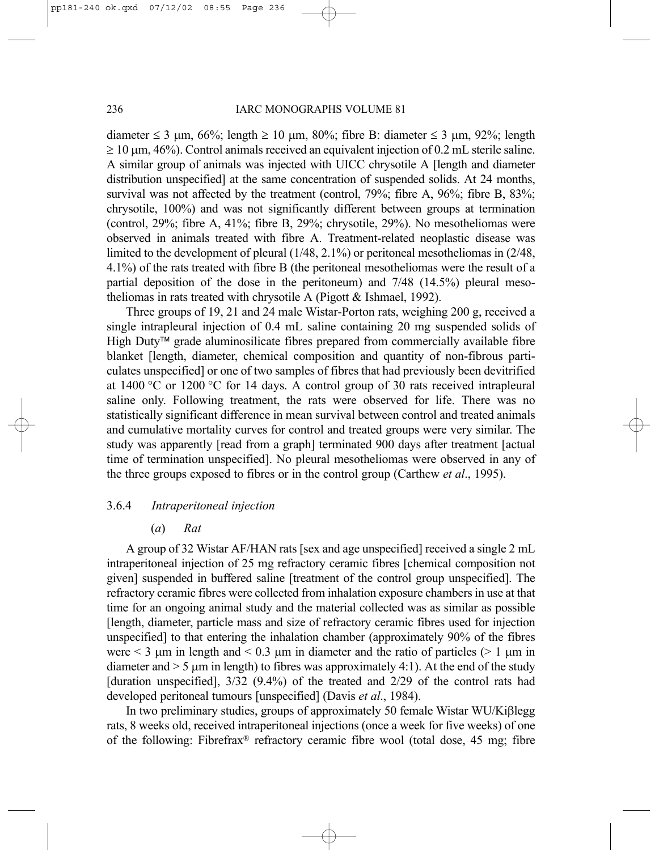diameter  $\leq 3$  µm, 66%; length  $\geq 10$  µm, 80%; fibre B: diameter  $\leq 3$  µm, 92%; length  $\geq 10$  µm, 46%). Control animals received an equivalent injection of 0.2 mL sterile saline. A similar group of animals was injected with UICC chrysotile A [length and diameter distribution unspecified] at the same concentration of suspended solids. At 24 months, survival was not affected by the treatment (control, 79%; fibre A, 96%; fibre B, 83%; chrysotile, 100%) and was not significantly different between groups at termination (control, 29%; fibre A, 41%; fibre B, 29%; chrysotile, 29%). No mesotheliomas were observed in animals treated with fibre A. Treatment-related neoplastic disease was limited to the development of pleural (1/48, 2.1%) or peritoneal mesotheliomas in (2/48, 4.1%) of the rats treated with fibre B (the peritoneal mesotheliomas were the result of a partial deposition of the dose in the peritoneum) and 7/48 (14.5%) pleural mesotheliomas in rats treated with chrysotile A (Pigott & Ishmael, 1992).

Three groups of 19, 21 and 24 male Wistar-Porton rats, weighing 200 g, received a single intrapleural injection of 0.4 mL saline containing 20 mg suspended solids of High Duty<sup> $\mathsf{TM}$ </sup> grade aluminosilicate fibres prepared from commercially available fibre blanket [length, diameter, chemical composition and quantity of non-fibrous particulates unspecified] or one of two samples of fibres that had previously been devitrified at 1400 °C or 1200 °C for 14 days. A control group of 30 rats received intrapleural saline only. Following treatment, the rats were observed for life. There was no statistically significant difference in mean survival between control and treated animals and cumulative mortality curves for control and treated groups were very similar. The study was apparently [read from a graph] terminated 900 days after treatment [actual time of termination unspecified]. No pleural mesotheliomas were observed in any of the three groups exposed to fibres or in the control group (Carthew *et al*., 1995).

# 3.6.4 *Intraperitoneal injection*

# (*a*) *Rat*

A group of 32 Wistar AF/HAN rats [sex and age unspecified] received a single 2 mL intraperitoneal injection of 25 mg refractory ceramic fibres [chemical composition not given] suspended in buffered saline [treatment of the control group unspecified]. The refractory ceramic fibres were collected from inhalation exposure chambers in use at that time for an ongoing animal study and the material collected was as similar as possible [length, diameter, particle mass and size of refractory ceramic fibres used for injection unspecified] to that entering the inhalation chamber (approximately 90% of the fibres were  $\leq$  3  $\mu$ m in length and  $\leq$  0.3  $\mu$ m in diameter and the ratio of particles ( $\geq$  1  $\mu$ m in diameter and  $> 5 \mu$ m in length) to fibres was approximately 4:1). At the end of the study [duration unspecified], 3/32 (9.4%) of the treated and 2/29 of the control rats had developed peritoneal tumours [unspecified] (Davis *et al*., 1984).

In two preliminary studies, groups of approximately 50 female Wistar WU/Kiβlegg rats, 8 weeks old, received intraperitoneal injections (once a week for five weeks) of one of the following: Fibrefrax® refractory ceramic fibre wool (total dose, 45 mg; fibre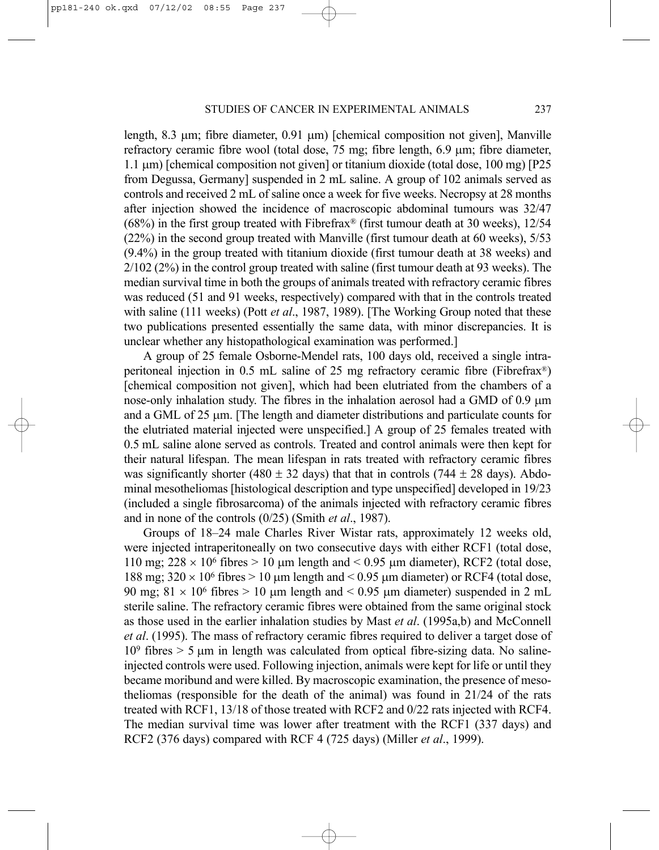length, 8.3  $\mu$ m; fibre diameter, 0.91  $\mu$ m) [chemical composition not given], Manville refractory ceramic fibre wool (total dose, 75 mg; fibre length, 6.9 µm; fibre diameter, 1.1 µm) [chemical composition not given] or titanium dioxide (total dose, 100 mg) [P25 from Degussa, Germany] suspended in 2 mL saline. A group of 102 animals served as controls and received 2 mL of saline once a week for five weeks. Necropsy at 28 months after injection showed the incidence of macroscopic abdominal tumours was 32/47  $(68%)$  in the first group treated with Fibrefrax<sup>®</sup> (first tumour death at 30 weeks), 12/54 (22%) in the second group treated with Manville (first tumour death at 60 weeks), 5/53 (9.4%) in the group treated with titanium dioxide (first tumour death at 38 weeks) and 2/102 (2%) in the control group treated with saline (first tumour death at 93 weeks). The median survival time in both the groups of animals treated with refractory ceramic fibres was reduced (51 and 91 weeks, respectively) compared with that in the controls treated with saline (111 weeks) (Pott *et al*., 1987, 1989). [The Working Group noted that these two publications presented essentially the same data, with minor discrepancies. It is unclear whether any histopathological examination was performed.]

A group of 25 female Osborne-Mendel rats, 100 days old, received a single intraperitoneal injection in 0.5 mL saline of 25 mg refractory ceramic fibre (Fibrefrax®) [chemical composition not given], which had been elutriated from the chambers of a nose-only inhalation study. The fibres in the inhalation aerosol had a GMD of 0.9  $\mu$ m and a GML of 25 µm. [The length and diameter distributions and particulate counts for the elutriated material injected were unspecified.] A group of 25 females treated with 0.5 mL saline alone served as controls. Treated and control animals were then kept for their natural lifespan. The mean lifespan in rats treated with refractory ceramic fibres was significantly shorter (480  $\pm$  32 days) that that in controls (744  $\pm$  28 days). Abdominal mesotheliomas [histological description and type unspecified] developed in 19/23 (included a single fibrosarcoma) of the animals injected with refractory ceramic fibres and in none of the controls (0/25) (Smith *et al*., 1987).

Groups of 18–24 male Charles River Wistar rats, approximately 12 weeks old, were injected intraperitoneally on two consecutive days with either RCF1 (total dose, 110 mg;  $228 \times 10^6$  fibres  $> 10$  µm length and  $< 0.95$  µm diameter), RCF2 (total dose, 188 mg;  $320 \times 10^6$  fibres  $> 10 \mu$ m length and  $< 0.95 \mu$ m diameter) or RCF4 (total dose, 90 mg;  $81 \times 10^6$  fibres  $> 10$  µm length and  $< 0.95$  µm diameter) suspended in 2 mL sterile saline. The refractory ceramic fibres were obtained from the same original stock as those used in the earlier inhalation studies by Mast *et al*. (1995a,b) and McConnell *et al*. (1995). The mass of refractory ceramic fibres required to deliver a target dose of  $10<sup>9</sup>$  fibres  $> 5$  µm in length was calculated from optical fibre-sizing data. No salineinjected controls were used. Following injection, animals were kept for life or until they became moribund and were killed. By macroscopic examination, the presence of mesotheliomas (responsible for the death of the animal) was found in 21/24 of the rats treated with RCF1, 13/18 of those treated with RCF2 and 0/22 rats injected with RCF4. The median survival time was lower after treatment with the RCF1 (337 days) and RCF2 (376 days) compared with RCF 4 (725 days) (Miller *et al*., 1999).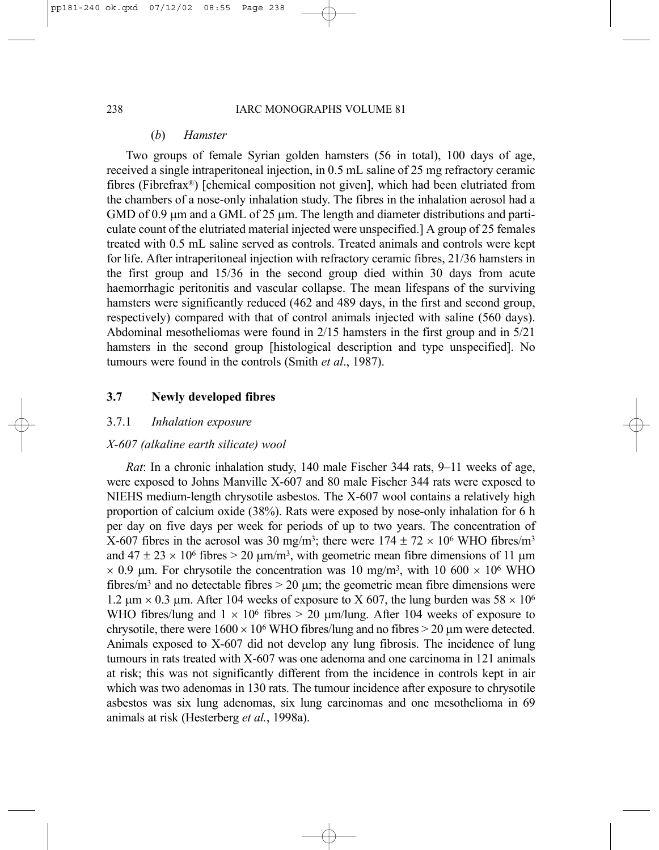# (*b*) *Hamster*

Two groups of female Syrian golden hamsters (56 in total), 100 days of age, received a single intraperitoneal injection, in 0.5 mL saline of 25 mg refractory ceramic fibres (Fibrefrax®) [chemical composition not given], which had been elutriated from the chambers of a nose-only inhalation study. The fibres in the inhalation aerosol had a GMD of 0.9 µm and a GML of 25 µm. The length and diameter distributions and particulate count of the elutriated material injected were unspecified.] A group of 25 females treated with 0.5 mL saline served as controls. Treated animals and controls were kept for life. After intraperitoneal injection with refractory ceramic fibres, 21/36 hamsters in the first group and 15/36 in the second group died within 30 days from acute haemorrhagic peritonitis and vascular collapse. The mean lifespans of the surviving hamsters were significantly reduced (462 and 489 days, in the first and second group, respectively) compared with that of control animals injected with saline (560 days). Abdominal mesotheliomas were found in 2/15 hamsters in the first group and in 5/21 hamsters in the second group [histological description and type unspecified]. No tumours were found in the controls (Smith *et al*., 1987).

# **3.7 Newly developed fibres**

# 3.7.1 *Inhalation exposure*

# *X-607 (alkaline earth silicate) wool*

*Rat*: In a chronic inhalation study, 140 male Fischer 344 rats, 9–11 weeks of age, were exposed to Johns Manville X-607 and 80 male Fischer 344 rats were exposed to NIEHS medium-length chrysotile asbestos. The X-607 wool contains a relatively high proportion of calcium oxide (38%). Rats were exposed by nose-only inhalation for 6 h per day on five days per week for periods of up to two years. The concentration of X-607 fibres in the aerosol was 30 mg/m<sup>3</sup>; there were  $174 \pm 72 \times 10^6$  WHO fibres/m<sup>3</sup> and  $47 \pm 23 \times 10^6$  fibres  $> 20 \mu m/m^3$ , with geometric mean fibre dimensions of 11  $\mu$ m  $\times$  0.9 µm. For chrysotile the concentration was 10 mg/m<sup>3</sup>, with 10 600  $\times$  10<sup>6</sup> WHO fibres/ $m<sup>3</sup>$  and no detectable fibres  $> 20 \mu m$ ; the geometric mean fibre dimensions were 1.2  $\mu$ m × 0.3  $\mu$ m. After 104 weeks of exposure to X 607, the lung burden was 58 × 10<sup>6</sup> WHO fibres/lung and  $1 \times 10^6$  fibres  $> 20$  µm/lung. After 104 weeks of exposure to chrysotile, there were  $1600 \times 10^6$  WHO fibres/lung and no fibres  $> 20$  µm were detected. Animals exposed to X-607 did not develop any lung fibrosis. The incidence of lung tumours in rats treated with X-607 was one adenoma and one carcinoma in 121 animals at risk; this was not significantly different from the incidence in controls kept in air which was two adenomas in 130 rats. The tumour incidence after exposure to chrysotile asbestos was six lung adenomas, six lung carcinomas and one mesothelioma in 69 animals at risk (Hesterberg *et al.*, 1998a).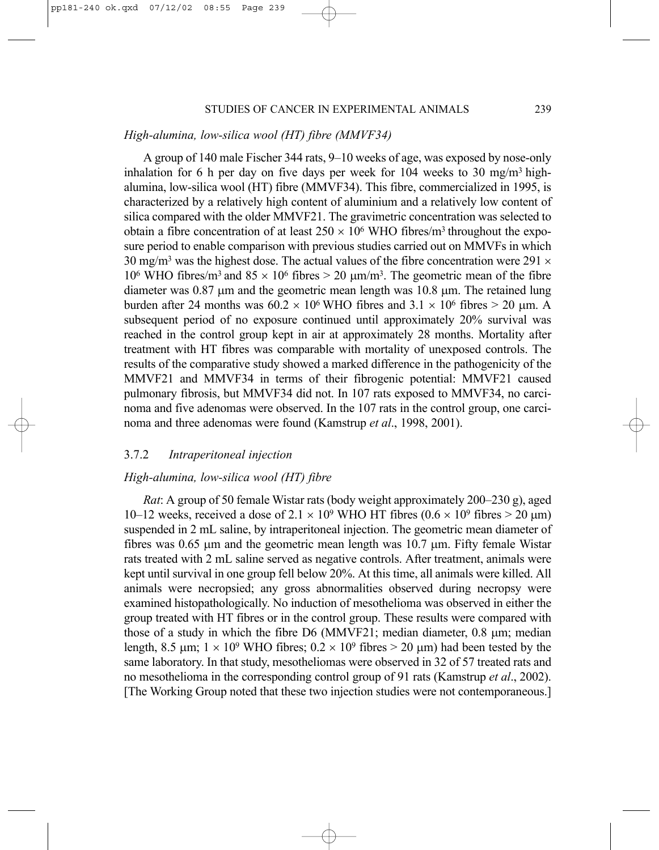### *High-alumina, low-silica wool (HT) fibre (MMVF34)*

A group of 140 male Fischer 344 rats, 9–10 weeks of age, was exposed by nose-only inhalation for 6 h per day on five days per week for 104 weeks to 30 mg/m<sup>3</sup> highalumina, low-silica wool (HT) fibre (MMVF34). This fibre, commercialized in 1995, is characterized by a relatively high content of aluminium and a relatively low content of silica compared with the older MMVF21. The gravimetric concentration was selected to obtain a fibre concentration of at least  $250 \times 10^6$  WHO fibres/m<sup>3</sup> throughout the exposure period to enable comparison with previous studies carried out on MMVFs in which 30 mg/m<sup>3</sup> was the highest dose. The actual values of the fibre concentration were 291  $\times$ 10<sup>6</sup> WHO fibres/m<sup>3</sup> and  $85 \times 10^6$  fibres  $> 20 \text{ µm/m}^3$ . The geometric mean of the fibre diameter was  $0.87$  µm and the geometric mean length was  $10.8$  µm. The retained lung burden after 24 months was  $60.2 \times 10^6$  WHO fibres and  $3.1 \times 10^6$  fibres  $> 20$  µm. A subsequent period of no exposure continued until approximately 20% survival was reached in the control group kept in air at approximately 28 months. Mortality after treatment with HT fibres was comparable with mortality of unexposed controls. The results of the comparative study showed a marked difference in the pathogenicity of the MMVF21 and MMVF34 in terms of their fibrogenic potential: MMVF21 caused pulmonary fibrosis, but MMVF34 did not. In 107 rats exposed to MMVF34, no carcinoma and five adenomas were observed. In the 107 rats in the control group, one carcinoma and three adenomas were found (Kamstrup *et al*., 1998, 2001).

# 3.7.2 *Intraperitoneal injection*

# *High-alumina, low-silica wool (HT) fibre*

*Rat*: A group of 50 female Wistar rats (body weight approximately 200–230 g), aged 10–12 weeks, received a dose of  $2.1 \times 10^9$  WHO HT fibres (0.6  $\times$  10<sup>9</sup> fibres > 20  $\mu$ m) suspended in 2 mL saline, by intraperitoneal injection. The geometric mean diameter of fibres was 0.65 µm and the geometric mean length was 10.7 µm. Fifty female Wistar rats treated with 2 mL saline served as negative controls. After treatment, animals were kept until survival in one group fell below 20%. At this time, all animals were killed. All animals were necropsied; any gross abnormalities observed during necropsy were examined histopathologically. No induction of mesothelioma was observed in either the group treated with HT fibres or in the control group. These results were compared with those of a study in which the fibre  $D6$  (MMVF21; median diameter, 0.8  $\mu$ m; median length, 8.5  $\mu$ m;  $1 \times 10^9$  WHO fibres;  $0.2 \times 10^9$  fibres > 20  $\mu$ m) had been tested by the same laboratory. In that study, mesotheliomas were observed in 32 of 57 treated rats and no mesothelioma in the corresponding control group of 91 rats (Kamstrup *et al*., 2002). [The Working Group noted that these two injection studies were not contemporaneous.]